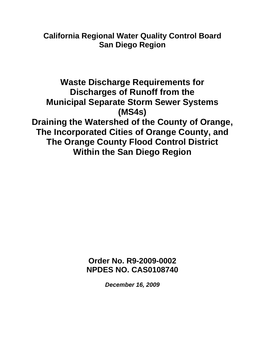# **California Regional Water Quality Control Board San Diego Region**

**Waste Discharge Requirements for Discharges of Runoff from the Municipal Separate Storm Sewer Systems (MS4s) Draining the Watershed of the County of Orange, The Incorporated Cities of Orange County, and The Orange County Flood Control District Within the San Diego Region** 

> **Order No. R9-2009-0002 NPDES NO. CAS0108740**

> > *December 16, 2009*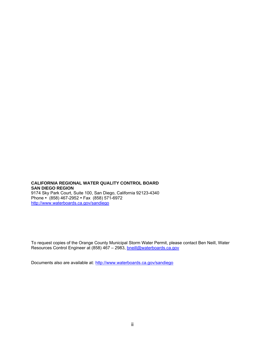#### **CALIFORNIA REGIONAL WATER QUALITY CONTROL BOARD SAN DIEGO REGION**  9174 Sky Park Court, Suite 100, San Diego, California 92123-4340 Phone (858) 467-2952 Fax (858) 571-6972 http://www.waterboards.ca.gov/sandiego

To request copies of the Orange County Municipal Storm Water Permit, please contact Ben Neill, Water Resources Control Engineer at (858) 467 – 2983, bneill@waterboards.ca.gov

Documents also are available at: http://www.waterboards.ca.gov/sandiego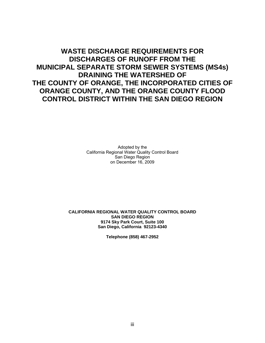# **WASTE DISCHARGE REQUIREMENTS FOR DISCHARGES OF RUNOFF FROM THE MUNICIPAL SEPARATE STORM SEWER SYSTEMS (MS4s) DRAINING THE WATERSHED OF THE COUNTY OF ORANGE, THE INCORPORATED CITIES OF ORANGE COUNTY, AND THE ORANGE COUNTY FLOOD CONTROL DISTRICT WITHIN THE SAN DIEGO REGION**

Adopted by the California Regional Water Quality Control Board San Diego Region on December 16, 2009

#### **CALIFORNIA REGIONAL WATER QUALITY CONTROL BOARD SAN DIEGO REGION 9174 Sky Park Court, Suite 100 San Diego, California 92123-4340**

**Telephone (858) 467-2952**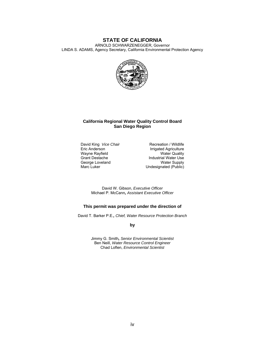#### **STATE OF CALIFORNIA**

ARNOLD SCHWARZENEGGER, Governor

LINDA S. ADAMS, Agency Secretary, California Environmental Protection Agency



#### **California Regional Water Quality Control Board San Diego Region**

Wayne Rayfield<br>Grant Destache George Loveland<br>Marc Luker

David King *Vice Chair* Recreation / Wildlife<br>
Eric Anderson **Recreation Intervals** Irrigated Agriculture Irrigated Agriculture<br>Water Quality Industrial Water Use<br>Water Supply Undesignated (Public)

David W. Gibson, *Executive Officer*  Michael P. McCann*, Assistant Executive Officer*

#### **This permit was prepared under the direction of**

David T. Barker P.E.*, Chief, Water Resource Protection Branch* 

**by**

Jimmy G. Smith*, Senior Environmental Scientist*  Ben Neill, *Water Resource Control Engineer*  Chad Loflen, *Environmental Scientist*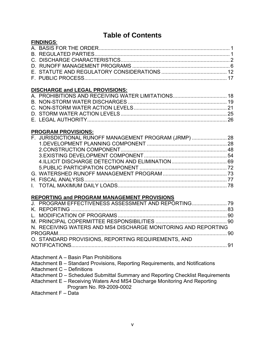# **Table of Contents**

| <b>FINDINGS:</b>                       |  |
|----------------------------------------|--|
|                                        |  |
|                                        |  |
|                                        |  |
|                                        |  |
|                                        |  |
|                                        |  |
| <b>DISCHARGE and LEGAL PROVISIONS:</b> |  |
|                                        |  |
|                                        |  |
|                                        |  |
|                                        |  |

# **PROGRAM PROVISIONS:**

| F. JURISDICTIONAL RUNOFF MANAGEMENT PROGRAM (JRMP)  28 |  |
|--------------------------------------------------------|--|
|                                                        |  |
|                                                        |  |
|                                                        |  |
|                                                        |  |
|                                                        |  |
|                                                        |  |
|                                                        |  |
|                                                        |  |
|                                                        |  |

# **REPORTING and PROGRAM MANAGEMENT PROVISIONS**

| N. RECEIVING WATERS AND MS4 DISCHARGE MONITORING AND REPORTING |  |
|----------------------------------------------------------------|--|
|                                                                |  |
| O. STANDARD PROVISIONS, REPORTING REQUIREMENTS, AND            |  |
|                                                                |  |
|                                                                |  |

Attachment A – Basin Plan Prohibitions

Attachment B – Standard Provisions, Reporting Requirements, and Notifications

Attachment C – Definitions

| Attachment D – Scheduled Submittal Summary and Reporting Checklist Requirements |  |
|---------------------------------------------------------------------------------|--|
|---------------------------------------------------------------------------------|--|

Attachment E – Receiving Waters And MS4 Discharge Monitoring And Reporting Program No. R9-2009-0002

Attachment F – Data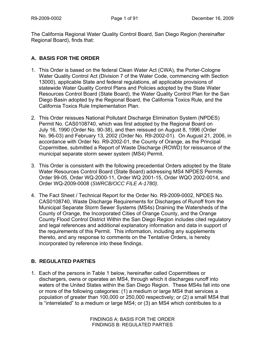The California Regional Water Quality Control Board, San Diego Region (hereinafter Regional Board), finds that:

# **A. BASIS FOR THE ORDER**

- 1. This Order is based on the federal Clean Water Act (CWA), the Porter-Cologne Water Quality Control Act (Division 7 of the Water Code, commencing with Section 13000), applicable State and federal regulations, all applicable provisions of statewide Water Quality Control Plans and Policies adopted by the State Water Resources Control Board (State Board), the Water Quality Control Plan for the San Diego Basin adopted by the Regional Board, the California Toxics Rule, and the California Toxics Rule Implementation Plan.
- 2. This Order reissues National Pollutant Discharge Elimination System (NPDES) Permit No. CAS0108740, which was first adopted by the Regional Board on July 16, 1990 (Order No. 90-38), and then reissued on August 8, 1996 (Order No. 96-03) and February 13, 2002 (Order No. R9-2002-01). On August 21, 2006, in accordance with Order No. R9-2002-01, the County of Orange, as the Principal Copermittee, submitted a Report of Waste Discharge (ROWD) for reissuance of the municipal separate storm sewer system (MS4) Permit.
- 3. This Order is consistent with the following precedential Orders adopted by the State Water Resources Control Board (State Board) addressing MS4 NPDES Permits: Order 99-05, Order WQ-2000-11, Order WQ 2001-15, Order WQO 2002-0014, and Order WQ-2009-0008 (*SWRCB/OCC FILE A-1780).*
- 4. The Fact Sheet / Technical Report for the Order No. R9-2009-0002, NPDES No. CAS0108740, Waste Discharge Requirements for Discharges of Runoff from the Municipal Separate Storm Sewer Systems (MS4s) Draining the Watersheds of the County of Orange, the Incorporated Cities of Orange County, and the Orange County Flood Control District Within the San Diego Region includes cited regulatory and legal references and additional explanatory information and data in support of the requirements of this Permit. This information, including any supplements thereto, and any response to comments on the Tentative Orders, is hereby incorporated by reference into these findings.

# **B. REGULATED PARTIES**

1. Each of the persons in Table 1 below, hereinafter called Copermittees or dischargers, owns or operates an MS4, through which it discharges runoff into waters of the United States within the San Diego Region. These MS4s fall into one or more of the following categories: (1) a medium or large MS4 that services a population of greater than 100,000 or 250,000 respectively; or (2) a small MS4 that is "interrelated" to a medium or large MS4; or (3) an MS4 which contributes to a

> FINDINGS A: BASIS FOR THE ORDER FINDINGS B: REGULATED PARTIES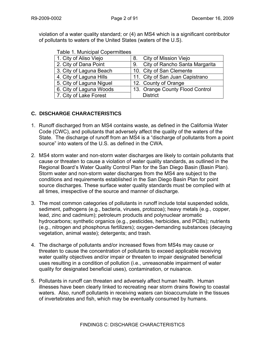violation of a water quality standard; or (4) an MS4 which is a significant contributor of pollutants to waters of the United States (waters of the U.S).

| rabic r. manioipar copermitteco      |
|--------------------------------------|
| 8. City of Mission Viejo             |
| City of Rancho Santa Margarita<br>9. |
| 10. City of San Clemente             |
| 11. City of San Juan Capistrano      |
| 12. County of Orange                 |
| 13. Orange County Flood Control      |
| <b>District</b>                      |
|                                      |

# **C. DISCHARGE CHARACTERISTICS**

- 1. Runoff discharged from an MS4 contains waste, as defined in the California Water Code (CWC), and pollutants that adversely affect the quality of the waters of the State. The discharge of runoff from an MS4 is a "discharge of pollutants from a point source" into waters of the U.S. as defined in the CWA.
- 2. MS4 storm water and non-storm water discharges are likely to contain pollutants that cause or threaten to cause a violation of water quality standards, as outlined in the Regional Board's Water Quality Control Plan for the San Diego Basin (Basin Plan). Storm water and non-storm water discharges from the MS4 are subject to the conditions and requirements established in the San Diego Basin Plan for point source discharges. These surface water quality standards must be complied with at all times, irrespective of the source and manner of discharge.
- 3. The most common categories of pollutants in runoff include total suspended solids, sediment, pathogens (e.g., bacteria, viruses, protozoa); heavy metals (e.g., copper, lead, zinc and cadmium); petroleum products and polynuclear aromatic hydrocarbons; synthetic organics (e.g., pesticides, herbicides, and PCBs); nutrients (e.g., nitrogen and phosphorus fertilizers); oxygen-demanding substances (decaying vegetation, animal waste); detergents; and trash.
- 4. The discharge of pollutants and/or increased flows from MS4s may cause or threaten to cause the concentration of pollutants to exceed applicable receiving water quality objectives and/or impair or threaten to impair designated beneficial uses resulting in a condition of pollution (i.e., unreasonable impairment of water quality for designated beneficial uses), contamination, or nuisance.
- 5. Pollutants in runoff can threaten and adversely affect human health. Human illnesses have been clearly linked to recreating near storm drains flowing to coastal waters. Also, runoff pollutants in receiving waters can bioaccumulate in the tissues of invertebrates and fish, which may be eventually consumed by humans.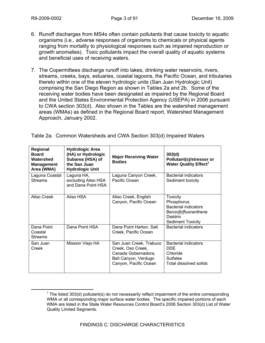- 6. Runoff discharges from MS4s often contain pollutants that cause toxicity to aquatic organisms (i.e., adverse responses of organisms to chemicals or physical agents ranging from mortality to physiological responses such as impaired reproduction or growth anomalies). Toxic pollutants impact the overall quality of aquatic systems and beneficial uses of receiving waters.
- 7. The Copermittees discharge runoff into lakes, drinking water reservoirs, rivers, streams, creeks, bays, estuaries, coastal lagoons, the Pacific Ocean, and tributaries thereto within one of the eleven hydrologic units (San Juan Hydrologic Unit) comprising the San Diego Region as shown in Tables 2a and 2b. Some of the receiving water bodies have been designated as impaired by the Regional Board and the United States Environmental Protection Agency (USEPA) in 2006 pursuant to CWA section 303(d). Also shown in the Tables are the watershed management areas (WMAs) as defined in the Regional Board report, Watershed Management Approach, January 2002.

| Regional<br><b>Board</b><br>Watershed<br><b>Management</b><br>Area (WMA) | <b>Hydrologic Area</b><br>(HA) or Hydrologic<br>Subarea (HSA) of<br>the San Juan<br><b>Hydrologic Unit</b> | <b>Major Receiving Water</b><br><b>Bodies</b>                                                                        | 303(d)<br>Pollutant(s)/stressor or<br><b>Water Quality Effect<sup>1</sup></b>                                                |
|--------------------------------------------------------------------------|------------------------------------------------------------------------------------------------------------|----------------------------------------------------------------------------------------------------------------------|------------------------------------------------------------------------------------------------------------------------------|
| Laguna Coastal<br><b>Streams</b>                                         | Laguna HA,<br>excluding Aliso HSA<br>and Dana Point HSA                                                    | Laguna Canyon Creek,<br>Pacific Ocean                                                                                | Bacterial indicators<br>Sediment toxicity                                                                                    |
| Aliso Creek                                                              | Aliso HSA                                                                                                  | Aliso Creek, English<br>Canyon, Pacific Ocean                                                                        | <b>Toxicity</b><br>Phosphorus<br><b>Bacterial indicators</b><br>Benzo[b]fluoranthene<br>Dieldrin<br><b>Sediment Toxicity</b> |
| Dana Point<br>Coastal<br><b>Streams</b>                                  | Dana Point HSA                                                                                             | Dana Point Harbor, Salt<br>Creek, Pacific Ocean                                                                      | Bacterial indicators                                                                                                         |
| San Juan<br>Creek                                                        | Mission Viejo HA                                                                                           | San Juan Creek, Trabuco<br>Creek, Oso Creek,<br>Canada Gobernadora,<br>Bell Canyon, Verdugo<br>Canyon, Pacific Ocean | Bacterial indicators<br><b>DDE</b><br>Chloride<br><b>Sulfates</b><br>Total dissolved solids                                  |

Table 2a. Common Watersheds and CWA Section 303(d) Impaired Waters

 $\overline{\phantom{a}}$  $1$  The listed 303(d) pollutant(s) do not necessarily reflect impairment of the entire corresponding WMA or all corresponding major surface water bodies. The specific impaired portions of each WMA are listed in the State Water Resources Control Board's 2006 Section 303(d) List of Water Quality Limited Segments.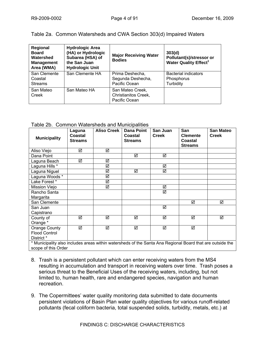Table 2a. Common Watersheds and CWA Section 303(d) Impaired Waters

| Regional<br><b>Board</b><br>Watershed<br><b>Management</b><br>Area (WMA) | <b>Hydrologic Area</b><br>(HA) or Hydrologic<br>Subarea (HSA) of<br>the San Juan<br><b>Hydrologic Unit</b> | <b>Major Receiving Water</b><br><b>Bodies</b>             | 303(d)<br>Pollutant(s)/stressor or<br><b>Water Quality Effect<sup>1</sup></b> |
|--------------------------------------------------------------------------|------------------------------------------------------------------------------------------------------------|-----------------------------------------------------------|-------------------------------------------------------------------------------|
| San Clemente<br>Coastal<br><b>Streams</b>                                | San Clemente HA                                                                                            | Prima Deshecha,<br>Segunda Deshecha,<br>Pacific Ocean     | <b>Bacterial indicators</b><br>Phosphorus<br>Turbidity                        |
| San Mateo<br>Creek                                                       | San Mateo HA                                                                                               | San Mateo Creek,<br>Christianitos Creek,<br>Pacific Ocean |                                                                               |

Table 2b. Common Watersheds and Municipalities

| <b>Municipality</b>                                                                                                              | Laguna<br>Coastal<br><b>Streams</b> | <b>Aliso Creek</b> | <b>Dana Point</b><br>Coastal<br>Streams | San Juan<br><b>Creek</b> | San<br><b>Clemente</b><br>Coastal<br><b>Streams</b> | <b>San Mateo</b><br><b>Creek</b> |
|----------------------------------------------------------------------------------------------------------------------------------|-------------------------------------|--------------------|-----------------------------------------|--------------------------|-----------------------------------------------------|----------------------------------|
| Aliso Viejo                                                                                                                      | ☑                                   | ☑                  |                                         |                          |                                                     |                                  |
| Dana Point                                                                                                                       |                                     |                    | ☑                                       | ☑                        |                                                     |                                  |
| Laguna Beach                                                                                                                     | ☑                                   | ☑                  |                                         |                          |                                                     |                                  |
| Laguna Hills <sup>*</sup>                                                                                                        |                                     | ☑                  |                                         | ☑                        |                                                     |                                  |
| Laguna Niguel                                                                                                                    |                                     | ☑                  | ☑                                       | $\overline{\mathbf{S}}$  |                                                     |                                  |
| Laguna Woods *                                                                                                                   |                                     | ☑                  |                                         |                          |                                                     |                                  |
| Lake Forest*                                                                                                                     |                                     | ☑                  |                                         |                          |                                                     |                                  |
| Mission Viejo                                                                                                                    |                                     | ☑                  |                                         | ☑                        |                                                     |                                  |
| Rancho Santa<br>Margarita                                                                                                        |                                     |                    |                                         | ☑                        |                                                     |                                  |
| San Clemente                                                                                                                     |                                     |                    |                                         |                          | ☑                                                   | ☑                                |
| San Juan<br>Capistrano                                                                                                           |                                     |                    |                                         | ☑                        |                                                     |                                  |
| County of<br>Orange *                                                                                                            | ☑                                   | ☑                  | ☑                                       | ☑                        | ☑                                                   | ☑                                |
| Orange County<br><b>Flood Control</b><br>District *                                                                              | ☑                                   | ☑                  | ☑                                       | ☑                        | ☑                                                   |                                  |
| * Municipality also includes areas within watersheds of the Santa Ana Regional Board that are outside the<br>scope of this Order |                                     |                    |                                         |                          |                                                     |                                  |

- 8. Trash is a persistent pollutant which can enter receiving waters from the MS4 resulting in accumulation and transport in receiving waters over time. Trash poses a serious threat to the Beneficial Uses of the receiving waters, including, but not limited to, human health, rare and endangered species, navigation and human recreation.
- 9. The Copermittees' water quality monitoring data submitted to date documents persistent violations of Basin Plan water quality objectives for various runoff-related pollutants (fecal coliform bacteria, total suspended solids, turbidity, metals, etc.) at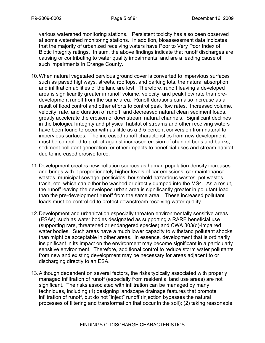various watershed monitoring stations. Persistent toxicity has also been observed at some watershed monitoring stations. In addition, bioassessment data indicates that the majority of urbanized receiving waters have Poor to Very Poor Index of Biotic Integrity ratings. In sum, the above findings indicate that runoff discharges are causing or contributing to water quality impairments, and are a leading cause of such impairments in Orange County.

- 10. When natural vegetated pervious ground cover is converted to impervious surfaces such as paved highways, streets, rooftops, and parking lots, the natural absorption and infiltration abilities of the land are lost. Therefore, runoff leaving a developed area is significantly greater in runoff volume, velocity, and peak flow rate than predevelopment runoff from the same area. Runoff durations can also increase as a result of flood control and other efforts to control peak flow rates. Increased volume, velocity, rate, and duration of runoff, and decreased natural clean sediment loads, greatly accelerate the erosion of downstream natural channels. Significant declines in the biological integrity and physical habitat of streams and other receiving waters have been found to occur with as little as a 3-5 percent conversion from natural to impervious surfaces. The increased runoff characteristics from new development must be controlled to protect against increased erosion of channel beds and banks, sediment pollutant generation, or other impacts to beneficial uses and stream habitat due to increased erosive force.
- 11. Development creates new pollution sources as human population density increases and brings with it proportionately higher levels of car emissions, car maintenance wastes, municipal sewage, pesticides, household hazardous wastes, pet wastes, trash, etc. which can either be washed or directly dumped into the MS4. As a result, the runoff leaving the developed urban area is significantly greater in pollutant load than the pre-development runoff from the same area. These increased pollutant loads must be controlled to protect downstream receiving water quality.
- 12. Development and urbanization especially threaten environmentally sensitive areas (ESAs), such as water bodies designated as supporting a RARE beneficial use (supporting rare, threatened or endangered species) and CWA 303(d)-impaired water bodies. Such areas have a much lower capacity to withstand pollutant shocks than might be acceptable in other areas. In essence, development that is ordinarily insignificant in its impact on the environment may become significant in a particularly sensitive environment. Therefore, additional control to reduce storm water pollutants from new and existing development may be necessary for areas adjacent to or discharging directly to an ESA.
- 13. Although dependent on several factors, the risks typically associated with properly managed infiltration of runoff (especially from residential land use areas) are not significant. The risks associated with infiltration can be managed by many techniques, including (1) designing landscape drainage features that promote infiltration of runoff, but do not "inject" runoff (injection bypasses the natural processes of filtering and transformation that occur in the soil); (2) taking reasonable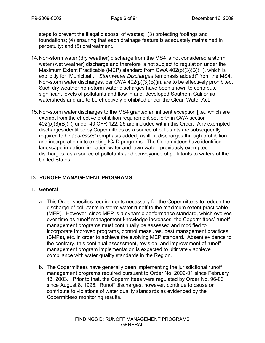steps to prevent the illegal disposal of wastes; (3) protecting footings and foundations; (4) ensuring that each drainage feature is adequately maintained in perpetuity; and (5) pretreatment.

- 14. Non-storm water (dry weather) discharge from the MS4 is not considered a storm water (wet weather) discharge and therefore is not subject to regulation under the Maximum Extent Practicable (MEP) standard from CWA 402(p)(3)(B)(iii), which is explicitly for "Municipal … *Stormwater Discharges* (emphasis added)" from the MS4. Non-storm water discharges, per CWA 402(p)(3)(B)(ii), are to be effectively prohibited. Such dry weather non-storm water discharges have been shown to contribute significant levels of pollutants and flow in arid, developed Southern California watersheds and are to be effectively prohibited under the Clean Water Act.
- 15. Non-storm water discharges to the MS4 granted an influent exception [i.e., which are exempt from the effective prohibition requirement set forth in CWA section 402(p)(3)(B)(ii)] under 40 CFR 122. 26 are included within this Order. Any exempted discharges identified by Copermittees as a source of pollutants are subsequently required to be *addressed* (emphasis added) as illicit discharges through prohibition and incorporation into existing IC/ID programs. The Copermittees have identified landscape irrigation, irrigation water and lawn water, previously exempted discharges, as a source of pollutants and conveyance of pollutants to waters of the United States.

# **D. RUNOFF MANAGEMENT PROGRAMS**

#### 1. **General**

- a. This Order specifies requirements necessary for the Copermittees to reduce the discharge of pollutants in storm water runoff to the maximum extent practicable (MEP). However, since MEP is a dynamic performance standard, which evolves over time as runoff management knowledge increases, the Copermittees' runoff management programs must continually be assessed and modified to incorporate improved programs, control measures, best management practices (BMPs), etc. in order to achieve the evolving MEP standard. Absent evidence to the contrary, this continual assessment, revision, and improvement of runoff management program implementation is expected to ultimately achieve compliance with water quality standards in the Region.
- b. The Copermittees have generally been implementing the jurisdictional runoff management programs required pursuant to Order No. 2002-01 since February 13, 2003. Prior to that, the Copermittees were regulated by Order No. 96-03 since August 8, 1996. Runoff discharges, however, continue to cause or contribute to violations of water quality standards as evidenced by the Copermittees monitoring results.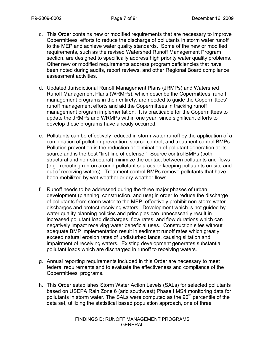- c. This Order contains new or modified requirements that are necessary to improve Copermittees' efforts to reduce the discharge of pollutants in storm water runoff to the MEP and achieve water quality standards. Some of the new or modified requirements, such as the revised Watershed Runoff Management Program section, are designed to specifically address high priority water quality problems. Other new or modified requirements address program deficiencies that have been noted during audits, report reviews, and other Regional Board compliance assessment activities.
- d. Updated Jurisdictional Runoff Management Plans (JRMPs) and Watershed Runoff Management Plans (WRMPs), which describe the Copermittees' runoff management programs in their entirety, are needed to guide the Copermittees' runoff management efforts and aid the Copermittees in tracking runoff management program implementation. It is practicable for the Copermittees to update the JRMPs and WRMPs within one year, since significant efforts to develop these programs have already occurred.
- e. Pollutants can be effectively reduced in storm water runoff by the application of a combination of pollution prevention, source control, and treatment control BMPs. Pollution prevention is the reduction or elimination of pollutant generation at its source and is the best "first line of defense." Source control BMPs (both structural and non-structural) minimize the contact between pollutants and flows (e.g., rerouting run-on around pollutant sources or keeping pollutants on-site and out of receiving waters). Treatment control BMPs remove pollutants that have been mobilized by wet-weather or dry-weather flows.
- f. Runoff needs to be addressed during the three major phases of urban development (planning, construction, and use) in order to reduce the discharge of pollutants from storm water to the MEP, effectively prohibit non-storm water discharges and protect receiving waters. Development which is not guided by water quality planning policies and principles can unnecessarily result in increased pollutant load discharges, flow rates, and flow durations which can negatively impact receiving water beneficial uses. Construction sites without adequate BMP implementation result in sediment runoff rates which greatly exceed natural erosion rates of undisturbed lands, causing siltation and impairment of receiving waters. Existing development generates substantial pollutant loads which are discharged in runoff to receiving waters.
- g. Annual reporting requirements included in this Order are necessary to meet federal requirements and to evaluate the effectiveness and compliance of the Copermittees' programs.
- h. This Order establishes Storm Water Action Levels (SALs) for selected pollutants based on USEPA Rain Zone 6 (arid southwest) Phase I MS4 monitoring data for pollutants in storm water. The SALs were computed as the 90<sup>th</sup> percentile of the data set, utilizing the statistical based population approach, one of three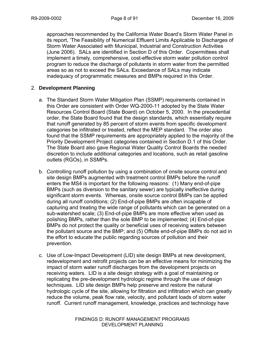approaches recommended by the California Water Board's Storm Water Panel in its report, 'The Feasibility of Numerical Effluent Limits Applicable to Discharges of Storm Water Associated with Municipal, Industrial and Construction Activities (June 2006). SALs are identified in Section D of this Order. Copermittees shall implement a timely, comprehensive, cost-effective storm water pollution control program to reduce the discharge of pollutants in storm water from the permitted areas so as not to exceed the SALs. Exceedance of SALs may indicate inadequacy of programmatic measures and BMPs required in this Order.

### 2. **Development Planning**

- a. The Standard Storm Water Mitigation Plan (SSMP) requirements contained in this Order are consistent with Order WQ-2000-11 adopted by the State Water Resources Control Board (State Board) on October 5, 2000. In the precedential order, the State Board found that the design standards, which essentially require that runoff generated by 85 percent of storm events from specific development categories be infiltrated or treated, reflect the MEP standard. The order also found that the SSMP requirements are appropriately applied to the majority of the Priority Development Project categories contained in Section D.1 of this Order. The State Board also gave Regional Water Quality Control Boards the needed discretion to include additional categories and locations, such as retail gasoline outlets (RGOs), in SSMPs.
- b. Controlling runoff pollution by using a combination of onsite source control and site design BMPs augmented with treatment control BMPs before the runoff enters the MS4 is important for the following reasons: (1) Many end-of-pipe BMPs (such as diversion to the sanitary sewer) are typically ineffective during significant storm events. Whereas, onsite source control BMPs can be applied during all runoff conditions; (2) End-of-pipe BMPs are often incapable of capturing and treating the wide range of pollutants which can be generated on a sub-watershed scale; (3) End-of-pipe BMPs are more effective when used as polishing BMPs, rather than the sole BMP to be implemented; (4) End-of-pipe BMPs do not protect the quality or beneficial uses of receiving waters between the pollutant source and the BMP; and (5) Offsite end-of-pipe BMPs do not aid in the effort to educate the public regarding sources of pollution and their prevention.
- c. Use of Low-Impact Development (LID) site design BMPs at new development, redevelopment and retrofit projects can be an effective means for minimizing the impact of storm water runoff discharges from the development projects on receiving waters. LID is a site design strategy with a goal of maintaining or replicating the pre-development hydrologic regime through the use of design techniques. LID site design BMPs help preserve and restore the natural hydrologic cycle of the site, allowing for filtration and infiltration which can greatly reduce the volume, peak flow rate, velocity, and pollutant loads of storm water runoff. Current runoff management, knowledge, practices and technology have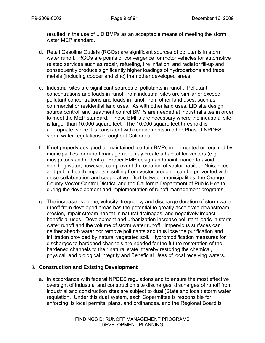resulted in the use of LID BMPs as an acceptable means of meeting the storm water MEP standard.

- d. Retail Gasoline Outlets (RGOs) are significant sources of pollutants in storm water runoff. RGOs are points of convergence for motor vehicles for automotive related services such as repair, refueling, tire inflation, and radiator fill-up and consequently produce significantly higher loadings of hydrocarbons and trace metals (including copper and zinc) than other developed areas.
- e. Industrial sites are significant sources of pollutants in runoff. Pollutant concentrations and loads in runoff from industrial sites are similar or exceed pollutant concentrations and loads in runoff from other land uses, such as commercial or residential land uses. As with other land uses, LID site design, source control, and treatment control BMPs are needed at industrial sites in order to meet the MEP standard. These BMPs are necessary where the industrial site is larger than 10,000 square feet. The 10,000 square feet threshold is appropriate, since it is consistent with requirements in other Phase I NPDES storm water regulations throughout California.
- f. If not properly designed or maintained, certain BMPs implemented or required by municipalities for runoff management may create a habitat for vectors (e.g. mosquitoes and rodents). Proper BMP design and maintenance to avoid standing water, however, can prevent the creation of vector habitat. Nuisances and public health impacts resulting from vector breeding can be prevented with close collaboration and cooperative effort between municipalities, the Orange County Vector Control District, and the California Department of Public Health during the development and implementation of runoff management programs.
- g. The increased volume, velocity, frequency and discharge duration of storm water runoff from developed areas has the potential to greatly accelerate downstream erosion, impair stream habitat in natural drainages, and negatively impact beneficial uses. Development and urbanization increase pollutant loads in storm water runoff and the volume of storm water runoff. Impervious surfaces can neither absorb water nor remove pollutants and thus lose the purification and infiltration provided by natural vegetated soil. Hydromodification measures for discharges to hardened channels are needed for the future restoration of the hardened channels to their natural state, thereby restoring the chemical, physical, and biological integrity and Beneficial Uses of local receiving waters.

#### 3. **Construction and Existing Development**

a. In accordance with federal NPDES regulations and to ensure the most effective oversight of industrial and construction site discharges, discharges of runoff from industrial and construction sites are subject to dual (State and local) storm water regulation. Under this dual system, each Copermittee is responsible for enforcing its local permits, plans, and ordinances, and the Regional Board is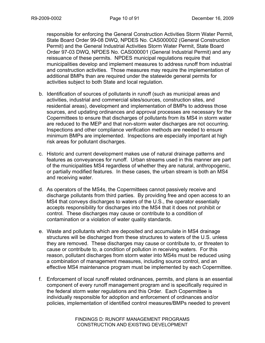responsible for enforcing the General Construction Activities Storm Water Permit, State Board Order 99-08 DWQ, NPDES No. CAS000002 (General Construction Permit) and the General Industrial Activities Storm Water Permit, State Board Order 97-03 DWQ, NPDES No. CAS000001 (General Industrial Permit) and any reissuance of these permits. NPDES municipal regulations require that municipalities develop and implement measures to address runoff from industrial and construction activities. Those measures may require the implementation of additional BMPs than are required under the statewide general permits for activities subject to both State and local regulation.

- b. Identification of sources of pollutants in runoff (such as municipal areas and activities, industrial and commercial sites/sources, construction sites, and residential areas), development and implementation of BMPs to address those sources, and updating ordinances and approval processes are necessary for the Copermittees to ensure that discharges of pollutants from its MS4 in storm water are reduced to the MEP and that non-storm water discharges are not occurring. Inspections and other compliance verification methods are needed to ensure minimum BMPs are implemented. Inspections are especially important at high risk areas for pollutant discharges.
- c. Historic and current development makes use of natural drainage patterns and features as conveyances for runoff. Urban streams used in this manner are part of the municipalities MS4 regardless of whether they are natural, anthropogenic, or partially modified features. In these cases, the urban stream is both an MS4 and receiving water.
- d. As operators of the MS4s, the Copermittees cannot passively receive and discharge pollutants from third parties. By providing free and open access to an MS4 that conveys discharges to waters of the U.S., the operator essentially accepts responsibility for discharges into the MS4 that it does not prohibit or control. These discharges may cause or contribute to a condition of contamination or a violation of water quality standards.
- e. Waste and pollutants which are deposited and accumulate in MS4 drainage structures will be discharged from these structures to waters of the U.S. unless they are removed. These discharges may cause or contribute to, or threaten to cause or contribute to, a condition of pollution in receiving waters. For this reason, pollutant discharges from storm water into MS4s must be reduced using a combination of management measures, including source control, and an effective MS4 maintenance program must be implemented by each Copermittee.
- f. Enforcement of local runoff related ordinances, permits, and plans is an essential component of every runoff management program and is specifically required in the federal storm water regulations and this Order. Each Copermittee is individually responsible for adoption and enforcement of ordinances and/or policies, implementation of identified control measures/BMPs needed to prevent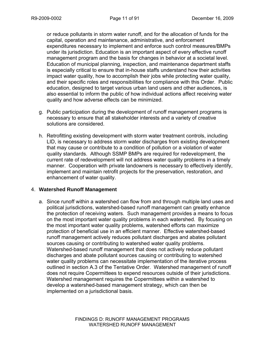or reduce pollutants in storm water runoff, and for the allocation of funds for the capital, operation and maintenance, administrative, and enforcement expenditures necessary to implement and enforce such control measures/BMPs under its jurisdiction. Education is an important aspect of every effective runoff management program and the basis for changes in behavior at a societal level. Education of municipal planning, inspection, and maintenance department staffs is especially critical to ensure that in-house staffs understand how their activities impact water quality, how to accomplish their jobs while protecting water quality, and their specific roles and responsibilities for compliance with this Order. Public education, designed to target various urban land users and other audiences, is also essential to inform the public of how individual actions affect receiving water quality and how adverse effects can be minimized.

- g. Public participation during the development of runoff management programs is necessary to ensure that all stakeholder interests and a variety of creative solutions are considered.
- h. Retrofitting existing development with storm water treatment controls, including LID, is necessary to address storm water discharges from existing development that may cause or contribute to a condition of pollution or a violation of water quality standards. Although SSMP BMPs are required for redevelopment, the current rate of redevelopment will not address water quality problems in a timely manner. Cooperation with private landowners is necessary to effectively identify, implement and maintain retrofit projects for the preservation, restoration, and enhancement of water quality.

#### 4. **Watershed Runoff Management**

a. Since runoff within a watershed can flow from and through multiple land uses and political jurisdictions, watershed-based runoff management can greatly enhance the protection of receiving waters. Such management provides a means to focus on the most important water quality problems in each watershed. By focusing on the most important water quality problems, watershed efforts can maximize protection of beneficial use in an efficient manner. Effective watershed-based runoff management actively reduces pollutant discharges and abates pollutant sources causing or contributing to watershed water quality problems. Watershed-based runoff management that does not actively reduce pollutant discharges and abate pollutant sources causing or contributing to watershed water quality problems can necessitate implementation of the iterative process outlined in section A.3 of the Tentative Order. Watershed management of runoff does not require Copermittees to expend resources outside of their jurisdictions. Watershed management requires the Copermittees within a watershed to develop a watershed-based management strategy, which can then be implemented on a jurisdictional basis.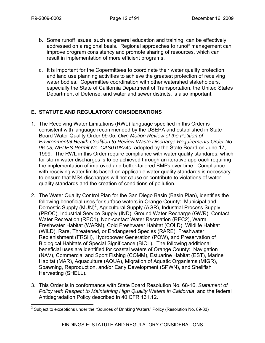- b. Some runoff issues, such as general education and training, can be effectively addressed on a regional basis. Regional approaches to runoff management can improve program consistency and promote sharing of resources, which can result in implementation of more efficient programs.
- c. It is important for the Copermittees to coordinate their water quality protection and land use planning activities to achieve the greatest protection of receiving water bodies. Copermittee coordination with other watershed stakeholders, especially the State of California Department of Transportation, the United States Department of Defense, and water and sewer districts, is also important.

# **E. STATUTE AND REGULATORY CONSIDERATIONS**

- 1. The Receiving Water Limitations (RWL) language specified in this Order is consistent with language recommended by the USEPA and established in State Board Water Quality Order 99-05, *Own Motion Review of the Petition of Environmental Health Coalition to Review Waste Discharge Requirements Order No. 96-03, NPDES Permit No. CAS0108740*, adopted by the State Board on June 17, 1999. The RWL in this Order require compliance with water quality standards, which for storm water discharges is to be achieved through an iterative approach requiring the implementation of improved and better-tailored BMPs over time. Compliance with receiving water limits based on applicable water quality standards is necessary to ensure that MS4 discharges will not cause or contribute to violations of water quality standards and the creation of conditions of pollution.
- 2. The Water Quality Control Plan for the San Diego Basin (Basin Plan), identifies the following beneficial uses for surface waters in Orange County: Municipal and Domestic Supply (MUN)<sup>2</sup>, Agricultural Supply (AGR), Industrial Process Supply (PROC), Industrial Service Supply (IND), Ground Water Recharge (GWR), Contact Water Recreation (REC1), Non-contact Water Recreation (REC2), Warm Freshwater Habitat (WARM), Cold Freshwater Habitat (COLD), Wildlife Habitat (WILD), Rare, Threatened, or Endangered Species (RARE), Freshwater Replenishment (FRSH), Hydropower Generation (POW), and Preservation of Biological Habitats of Special Significance (BIOL). The following additional beneficial uses are identified for coastal waters of Orange County: Navigation (NAV), Commercial and Sport Fishing (COMM), Estuarine Habitat (EST), Marine Habitat (MAR), Aquaculture (AQUA), Migration of Aquatic Organisms (MIGR), Spawning, Reproduction, and/or Early Development (SPWN), and Shellfish Harvesting (SHELL).
- 3. This Order is in conformance with State Board Resolution No. 68-16, *Statement of Policy with Respect to Maintaining High Quality Waters in California*, and the federal Antidegradation Policy described in 40 CFR 131.12.

<sup>&</sup>lt;u>2</u><br><sup>2</sup> Subject to exceptions under the "Sources of Drinking Waters" Policy (Resolution No. 89-33)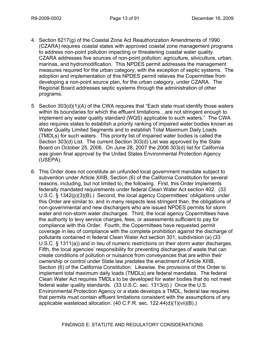- 4. Section 6217(g) of the Coastal Zone Act Reauthorization Amendments of 1990 (CZARA) requires coastal states with approved coastal zone management programs to address non-point pollution impacting or threatening coastal water quality. CZARA addresses five sources of non-point pollution: agriculture, silviculture, urban, marinas, and hydromodification. This NPDES permit addresses the management measures required for the urban category, with the exception of septic systems. The adoption and implementation of this NPDES permit relieves the Copermittee from developing a non-point source plan, for the urban category, under CZARA. The Regional Board addresses septic systems through the administration of other programs.
- 5. Section 303(d)(1)(A) of the CWA requires that "Each state must identify those waters within its boundaries for which the effluent limitations…are not stringent enough to implement any water quality standard (WQS) applicable to such waters." The CWA also requires states to establish a priority ranking of impaired water bodies known as Water Quality Limited Segments and to establish Total Maximum Daily Loads (TMDLs) for such waters. This priority list of impaired water bodies is called the Section 303(d) List. The current Section 303(d) List was approved by the State Board on October 25, 2006. On June 28, 2007 the 2006 303(d) list for California was given final approval by the United States Environmental Protection Agency (USEPA).
- 6. This Order does not constitute an unfunded local government mandate subject to subvention under Article XIIIB, Section (6) of the California Constitution for several reasons, including, but not limited to, the following. First, this Order implements federally mandated requirements under federal Clean Water Act section 402. (33 U.S.C. § 1342(p)(3)(B).) Second, the local agency Copermittees' obligations under this Order are similar to, and in many respects less stringent than, the obligations of non-governmental and new dischargers who are issued NPDES permits for storm water and non-storm water discharges. Third, the local agency Copermittees have the authority to levy service charges, fees, or assessments sufficient to pay for compliance with this Order. Fourth, the Copermittees have requested permit coverage in lieu of compliance with the complete prohibition against the discharge of pollutants contained in federal Clean Water Act section 301, subdivision (a) (33 U.S.C. § 1311(a)) and in lieu of numeric restrictions on their storm water discharges. Fifth, the local agencies' responsibility for preventing discharges of waste that can create conditions of pollution or nuisance from conveyances that are within their ownership or control under State law predates the enactment of Article XIIIB, Section (6) of the California Constitution. Likewise, the provisions of this Order to implement total maximum daily loads (TMDLs) are federal mandates. The federal Clean Water Act requires TMDLs to be developed for water bodies that do not meet federal water quality standards. (33 U.S.C. sec. 1313(d).) Once the U.S. Environmental Protection Agency or a state develops a TMDL, federal law requires that permits must contain effluent limitations consistent with the assumptions of any applicable wasteload allocation. (40 C.F.R. sec. 122.44(d)(1)(vii)(B).)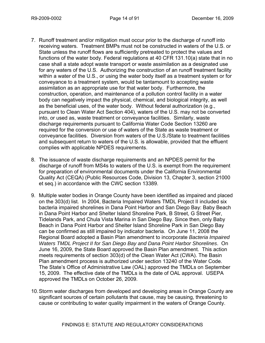- 7. Runoff treatment and/or mitigation must occur prior to the discharge of runoff into receiving waters. Treatment BMPs must not be constructed in waters of the U.S. or State unless the runoff flows are sufficiently pretreated to protect the values and functions of the water body. Federal regulations at 40 CFR 131.10(a) state that in no case shall a state adopt waste transport or waste assimilation as a designated use for any waters of the U.S. Authorizing the construction of an runoff treatment facility within a water of the U.S., or using the water body itself as a treatment system or for conveyance to a treatment system, would be tantamount to accepting waste assimilation as an appropriate use for that water body. Furthermore, the construction, operation, and maintenance of a pollution control facility in a water body can negatively impact the physical, chemical, and biological integrity, as well as the beneficial uses, of the water body. Without federal authorization (e.g., pursuant to Clean Water Act Section 404), waters of the U.S. may not be converted into, or used as, waste treatment or conveyance facilities. Similarly, waste discharge requirements pursuant to California Water Code Section 13260 are required for the conversion or use of waters of the State as waste treatment or conveyance facilities. Diversion from waters of the U.S./State to treatment facilities and subsequent return to waters of the U.S. is allowable, provided that the effluent complies with applicable NPDES requirements.
- 8. The issuance of waste discharge requirements and an NPDES permit for the discharge of runoff from MS4s to waters of the U.S. is exempt from the requirement for preparation of environmental documents under the California Environmental Quality Act (CEQA) (Public Resources Code, Division 13, Chapter 3, section 21000 et seq.) in accordance with the CWC section 13389.
- 9. Multiple water bodies in Orange County have been identified as impaired and placed on the 303(d) list. In 2004, Bacteria Impaired Waters TMDL Project II included six bacteria impaired shorelines in Dana Point Harbor and San Diego Bay: Baby Beach in Dana Point Harbor and Shelter Island Shoreline Park, B Street, G Street Pier, Tidelands Park, and Chula Vista Marina in San Diego Bay. Since then, only Baby Beach in Dana Point Harbor and Shelter Island Shoreline Park in San Diego Bay can be confirmed as still impaired by indicator bacteria. On June 11, 2008 the Regional Board adopted a Basin Plan amendment to incorporate *Bacteria Impaired Waters TMDL Project II for San Diego Bay and Dana Point Harbor Shorelines*. On June 16, 2009, the State Board approved the Basin Plan amendment. This action meets requirements of section 303(d) of the Clean Water Act (CWA). The Basin Plan amendment process is authorized under section 13240 of the Water Code. The State's Office of Administrative Law (OAL) approved the TMDLs on September 15, 2009. The effective date of the TMDLs is the date of OAL approval. USEPA approved the TMDLs on October 26, 2009.
- 10. Storm water discharges from developed and developing areas in Orange County are significant sources of certain pollutants that cause, may be causing, threatening to cause or contributing to water quality impairment in the waters of Orange County.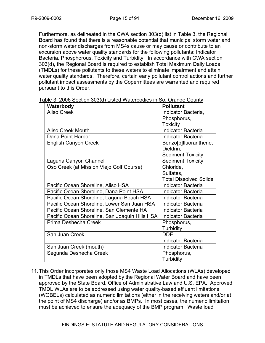Furthermore, as delineated in the CWA section 303(d) list in Table 3, the Regional Board has found that there is a reasonable potential that municipal storm water and non-storm water discharges from MS4s cause or may cause or contribute to an excursion above water quality standards for the following pollutants: Indicator Bacteria, Phosphorous, Toxicity and Turbidity. In accordance with CWA section 303(d), the Regional Board is required to establish Total Maximum Daily Loads (TMDLs) for these pollutants to these waters to eliminate impairment and attain water quality standards. Therefore, certain early pollutant control actions and further pollutant impact assessments by the Copermittees are warranted and required pursuant to this Order.

| Waterbody                                      | <b>Pollutant</b>              |
|------------------------------------------------|-------------------------------|
| <b>Aliso Creek</b>                             | Indicator Bacteria,           |
|                                                | Phosphorus,                   |
|                                                | <b>Toxicity</b>               |
| <b>Aliso Creek Mouth</b>                       | <b>Indicator Bacteria</b>     |
| Dana Point Harbor                              | <b>Indicator Bacteria</b>     |
| <b>English Canyon Creek</b>                    | Benzo[b]fluoranthene,         |
|                                                | Dieldrin,                     |
|                                                | <b>Sediment Toxicity</b>      |
| Laguna Canyon Channel                          | <b>Sediment Toxicity</b>      |
| Oso Creek (at Mission Viejo Golf Course)       | Chloride,                     |
|                                                | Sulfates,                     |
|                                                | <b>Total Dissolved Solids</b> |
| Pacific Ocean Shoreline, Aliso HSA             | <b>Indicator Bacteria</b>     |
| Pacific Ocean Shoreline, Dana Point HSA        | <b>Indicator Bacteria</b>     |
| Pacific Ocean Shoreline, Laguna Beach HSA      | <b>Indicator Bacteria</b>     |
| Pacific Ocean Shoreline, Lower San Juan HSA    | <b>Indicator Bacteria</b>     |
| Pacific Ocean Shoreline, San Clemente HA       | <b>Indicator Bacteria</b>     |
| Pacific Ocean Shoreline, San Joaquin Hills HSA | <b>Indicator Bacteria</b>     |
| Prima Deshecha Creek                           | Phosphorus,                   |
|                                                | Turbidity                     |
| San Juan Creek                                 | DDE,                          |
|                                                | <b>Indicator Bacteria</b>     |
| San Juan Creek (mouth)                         | <b>Indicator Bacteria</b>     |
| Segunda Deshecha Creek                         | Phosphorus,                   |
|                                                | Turbidity                     |

Table 3. 2006 Section 303(d) Listed Waterbodies in So. Orange County

11. This Order incorporates only those MS4 Waste Load Allocations (WLAs) developed in TMDLs that have been adopted by the Regional Water Board and have been approved by the State Board, Office of Administrative Law and U.S. EPA. Approved TMDL WLAs are to be addressed using water quality-based effluent limitations (WQBELs) calculated as numeric limitations (either in the receiving waters and/or at the point of MS4 discharge) and/or as BMPs. In most cases, the numeric limitation must be achieved to ensure the adequacy of the BMP program. Waste load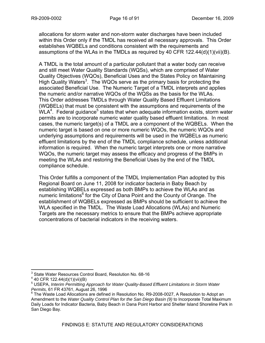allocations for storm water and non-storm water discharges have been included within this Order only if the TMDL has received all necessary approvals. This Order establishes WQBELs and conditions consistent with the requirements and assumptions of the WLAs in the TMDLs as required by 40 CFR  $122.44(d)(1)(iii)(B)$ .

A TMDL is the total amount of a particular pollutant that a water body can receive and still meet Water Quality Standards (WQSs), which are comprised of Water Quality Objectives (WQOs), Beneficial Uses and the States Policy on Maintaining High Quality Waters<sup>3</sup>. The WQOs serve as the primary basis for protecting the associated Beneficial Use. The Numeric Target of a TMDL interprets and applies the numeric and/or narrative WQOs of the WQSs as the basis for the WLAs. This Order addresses TMDLs through Water Quality Based Effluent Limitations (WQBELs) that must be consistent with the assumptions and requirements of the WLA<sup>4</sup>. Federal guidance<sup>5</sup> states that when adequate information exists, storm water permits are to incorporate numeric water quality based effluent limitations. In most cases, the numeric target(s) of a TMDL are a component of the WQBELs. When the numeric target is based on one or more numeric WQOs, the numeric WQOs and underlying assumptions and requirements will be used in the WQBELs as numeric effluent limitations by the end of the TMDL compliance schedule, unless additional information is required. When the numeric target interprets one or more narrative WQOs, the numeric target may assess the efficacy and progress of the BMPs in meeting the WLAs and restoring the Beneficial Uses by the end of the TMDL compliance schedule.

This Order fulfills a component of the TMDL Implementation Plan adopted by this Regional Board on June 11, 2008 for indicator bacteria in Baby Beach by establishing WQBELs expressed as both BMPs to achieve the WLAs and as numeric limitations<sup>6</sup> for the City of Dana Point and the County of Orange. The establishment of WQBELs expressed as BMPs should be sufficient to achieve the WLA specified in the TMDL. The Waste Load Allocations (WLAs) and Numeric Targets are the necessary metrics to ensure that the BMPs achieve appropriate concentrations of bacterial indicators in the receiving waters.

 $\overline{a}$ 

<sup>3</sup> State Water Resources Control Board, Resolution No. 68-16

<sup>&</sup>lt;sup>4</sup> 40 CFR 122.44(d)(1)(vii)(B)

<sup>&</sup>lt;sup>5</sup> USEPA, Interim Permitting Approach for Water Quality-Based Effluent Limitations in Storm Water

*Permits,* 61 FR 43761, August 26, 1996<br><sup>6</sup> The Waste Load Allocations are defined in Resolution No. R9-2008-0027, A Resolution to Adopt an Amendment to the *Water Quality Control Plan for the San Diego Basin (9)* to Incorporate Total Maximum Daily Loads for Indicator Bacteria, Baby Beach in Dana Point Harbor and Shelter Island Shoreline Park in San Diego Bay.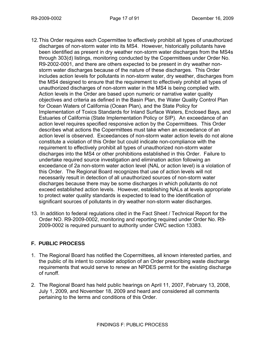- 12. This Order requires each Copermittee to effectively prohibit all types of unauthorized discharges of non-storm water into its MS4. However, historically pollutants have been identified as present in dry weather non-storm water discharges from the MS4s through 303(d) listings, monitoring conducted by the Copermittees under Order No. R9-2002-0001, and there are others expected to be present in dry weather nonstorm water discharges because of the nature of these discharges. This Order includes action levels for pollutants in non-storm water, dry weather, discharges from the MS4 designed to ensure that the requirement to effectively prohibit all types of unauthorized discharges of non-storm water in the MS4 is being complied with. Action levels in the Order are based upon numeric or narrative water quality objectives and criteria as defined in the Basin Plan, the Water Quality Control Plan for Ocean Waters of California (Ocean Plan), and the State Policy for Implementation of Toxics Standards for Inland Surface Waters, Enclosed Bays, and Estuaries of California (State Implementation Policy or SIP). An exceedance of an action level requires specified responsive action by the Copermittees. This Order describes what actions the Copermittees must take when an exceedance of an action level is observed. Exceedances of non-storm water action levels do not alone constitute a violation of this Order but could indicate non-compliance with the requirement to effectively prohibit all types of unauthorized non-storm water discharges into the MS4 or other prohibitions established in this Order. Failure to undertake required source investigation and elimination action following an exceedance of 2a non-storm water action level (NAL or action level) is a violation of this Order. The Regional Board recognizes that use of action levels will not necessarily result in detection of all unauthorized sources of non-storm water discharges because there may be some discharges in which pollutants do not exceed established action levels. However, establishing NALs at levels appropriate to protect water quality standards is expected to lead to the identification of significant sources of pollutants in dry weather non-storm water discharges.
- 13. In addition to federal regulations cited in the Fact Sheet / Technical Report for the Order NO. R9-2009-0002, monitoring and reporting required under Order No. R9- 2009-0002 is required pursuant to authority under CWC section 13383.

# **F. PUBLIC PROCESS**

- 1. The Regional Board has notified the Copermittees, all known interested parties, and the public of its intent to consider adoption of an Order prescribing waste discharge requirements that would serve to renew an NPDES permit for the existing discharge of runoff.
- 2. The Regional Board has held public hearings on April 11, 2007, February 13, 2008, July 1, 2009, and November 18, 2009 and heard and considered all comments pertaining to the terms and conditions of this Order.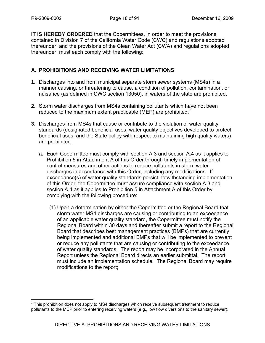**IT IS HEREBY ORDERED** that the Copermittees, in order to meet the provisions contained in Division 7 of the California Water Code (CWC) and regulations adopted thereunder, and the provisions of the Clean Water Act (CWA) and regulations adopted thereunder, must each comply with the following:

# **A. PROHIBITIONS AND RECEIVING WATER LIMITATIONS**

- **1.** Discharges into and from municipal separate storm sewer systems (MS4s) in a manner causing, or threatening to cause, a condition of pollution, contamination, or nuisance (as defined in CWC section 13050), in waters of the state are prohibited.
- **2.** Storm water discharges from MS4s containing pollutants which have not been reduced to the maximum extent practicable (MEP) are prohibited. $\prime$
- **3.** Discharges from MS4s that cause or contribute to the violation of water quality standards (designated beneficial uses, water quality objectives developed to protect beneficial uses, and the State policy with respect to maintaining high quality waters) are prohibited.
	- **a.** Each Copermittee must comply with section A.3 and section A.4 as it applies to Prohibition 5 in Attachment A of this Order through timely implementation of control measures and other actions to reduce pollutants in storm water discharges in accordance with this Order, including any modifications. If exceedance(s) of water quality standards persist notwithstanding implementation of this Order, the Copermittee must assure compliance with section A.3 and section A.4 as it applies to Prohibition 5 in Attachment A of this Order by complying with the following procedure:
		- (1) Upon a determination by either the Copermittee or the Regional Board that storm water MS4 discharges are causing or contributing to an exceedance of an applicable water quality standard, the Copermittee must notify the Regional Board within 30 days and thereafter submit a report to the Regional Board that describes best management practices (BMPs) that are currently being implemented and additional BMPs that will be implemented to prevent or reduce any pollutants that are causing or contributing to the exceedance of water quality standards. The report may be incorporated in the Annual Report unless the Regional Board directs an earlier submittal. The report must include an implementation schedule. The Regional Board may require modifications to the report;

 $\overline{a}$  $7$  This prohibition does not apply to MS4 discharges which receive subsequent treatment to reduce pollutants to the MEP prior to entering receiving waters (e.g., low flow diversions to the sanitary sewer).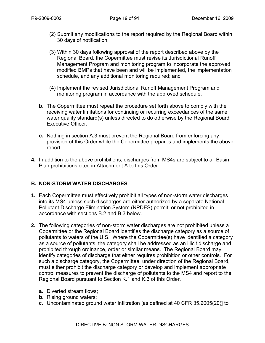- (2) Submit any modifications to the report required by the Regional Board within 30 days of notification;
- (3) Within 30 days following approval of the report described above by the Regional Board, the Copermittee must revise its Jurisdictional Runoff Management Program and monitoring program to incorporate the approved modified BMPs that have been and will be implemented, the implementation schedule, and any additional monitoring required; and
- (4) Implement the revised Jurisdictional Runoff Management Program and monitoring program in accordance with the approved schedule.
- **b.** The Copermittee must repeat the procedure set forth above to comply with the receiving water limitations for continuing or recurring exceedances of the same water quality standard(s) unless directed to do otherwise by the Regional Board Executive Officer.
- **c.** Nothing in section A.3 must prevent the Regional Board from enforcing any provision of this Order while the Copermittee prepares and implements the above report.
- **4.** In addition to the above prohibitions, discharges from MS4s are subject to all Basin Plan prohibitions cited in Attachment A to this Order.

# **B. NON-STORM WATER DISCHARGES**

- **1.** Each Copermittee must effectively prohibit all types of non-storm water discharges into its MS4 unless such discharges are either authorized by a separate National Pollutant Discharge Elimination System (NPDES) permit; or not prohibited in accordance with sections B.2 and B.3 below.
- **2.** The following categories of non-storm water discharges are not prohibited unless a Copermittee or the Regional Board identifies the discharge category as a source of pollutants to waters of the U.S. Where the Copermittee(s) have identified a category as a source of pollutants, the category shall be addressed as an illicit discharge and prohibited through ordinance, order or similar means. The Regional Board may identify categories of discharge that either requires prohibition or other controls. For such a discharge category, the Copermittee, under direction of the Regional Board, must either prohibit the discharge category or develop and implement appropriate control measures to prevent the discharge of pollutants to the MS4 and report to the Regional Board pursuant to Section K.1 and K.3 of this Order.
	- **a.** Diverted stream flows;
	- **b.** Rising ground waters;
	- **c.** Uncontaminated ground water infiltration [as defined at 40 CFR 35.2005(20)] to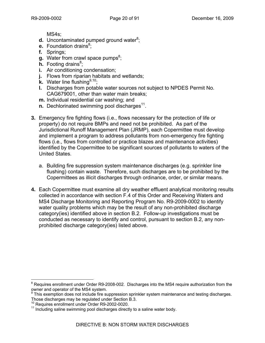MS4s;

- **d.** Uncontaminated pumped ground water<sup>8</sup>;
- **e.** Foundation drains<sup>8</sup>;
- **f.** Springs;
- **g.** Water from crawl space pumps<sup>8</sup>;
- **h.** Footing drains<sup>8</sup>;
- **i.** Air conditioning condensation;
- **j.** Flows from riparian habitats and wetlands;
- **k.** Water line flushing<sup>9,10</sup>;
- **l.** Discharges from potable water sources not subject to NPDES Permit No. CAG679001, other than water main breaks;
- **m.** Individual residential car washing; and
- **n.** Dechlorinated swimming pool discharges<sup>11</sup>.
- **3.** Emergency fire fighting flows (i.e., flows necessary for the protection of life or property) do not require BMPs and need not be prohibited. As part of the Jurisdictional Runoff Management Plan (JRMP), each Copermittee must develop and implement a program to address pollutants from non-emergency fire fighting flows (i.e., flows from controlled or practice blazes and maintenance activities) identified by the Copermittee to be significant sources of pollutants to waters of the United States.
	- a. Building fire suppression system maintenance discharges (e.g. sprinkler line flushing) contain waste. Therefore, such discharges are to be prohibited by the Copermittees as illicit discharges through ordinance, order, or similar means.
- **4.** Each Copermittee must examine all dry weather effluent analytical monitoring results collected in accordance with section F.4 of this Order and Receiving Waters and MS4 Discharge Monitoring and Reporting Program No. R9-2009-0002 to identify water quality problems which may be the result of any non-prohibited discharge category(ies) identified above in section B.2. Follow-up investigations must be conducted as necessary to identify and control, pursuant to section B.2, any nonprohibited discharge category(ies) listed above.

 $\overline{a}$ 

 $8$  Requires enrollment under Order R9-2008-002. Discharges into the MS4 require authorization from the

owner and operator of the MS4 system.<br><sup>9</sup> This exemption does not include fire suppression sprinkler system maintenance and testing discharges. Those discharges may be regulated under Section B.3.<br><sup>10</sup> Requires enrollment under Order R9-2002-0020.

 $11$  Including saline swimming pool discharges directly to a saline water body.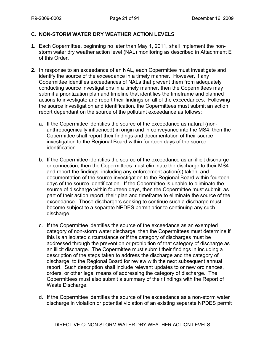### **C. NON-STORM WATER DRY WEATHER ACTION LEVELS**

- **1.** Each Copermittee, beginning no later than May 1, 2011, shall implement the nonstorm water dry weather action level (NAL) monitoring as described in Attachment E of this Order.
- **2.** In response to an exceedance of an NAL, each Copermittee must investigate and identify the source of the exceedance in a timely manner. However, if any Copermittee identifies exceedances of NALs that prevent them from adequately conducting source investigations in a timely manner, then the Copermittees may submit a prioritization plan and timeline that identifies the timeframe and planned actions to investigate and report their findings on all of the exceedances. Following the source investigation and identification, the Copermittees must submit an action report dependant on the source of the pollutant exceedance as follows:
	- a. If the Copermittee identifies the source of the exceedance as natural (nonanthropogenically influenced) in origin and in conveyance into the MS4; then the Copermittee shall report their findings and documentation of their source investigation to the Regional Board within fourteen days of the source identification.
	- b. If the Copermittee identifies the source of the exceedance as an illicit discharge or connection, then the Copermittees must eliminate the discharge to their MS4 and report the findings, including any enforcement action(s) taken, and documentation of the source investigation to the Regional Board within fourteen days of the source identification. If the Copermittee is unable to eliminate the source of discharge within fourteen days, then the Copermittee must submit, as part of their action report, their plan and timeframe to eliminate the source of the exceedance. Those dischargers seeking to continue such a discharge must become subject to a separate NPDES permit prior to continuing any such discharge.
	- c. If the Copermittee identifies the source of the exceedance as an exempted category of non-storm water discharge, then the Copermittees must determine if this is an isolated circumstance or if the category of discharges must be addressed through the prevention or prohibition of that category of discharge as an illicit discharge. The Copermittee must submit their findings in including a description of the steps taken to address the discharge and the category of discharge, to the Regional Board for review with the next subsequent annual report. Such description shall include relevant updates to or new ordinances, orders, or other legal means of addressing the category of discharge. The Copermittees must also submit a summary of their findings with the Report of Waste Discharge.
	- d. If the Copermittee identifies the source of the exceedance as a non-storm water discharge in violation or potential violation of an existing separate NPDES permit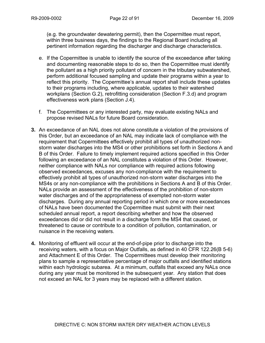(e.g. the groundwater dewatering permit), then the Copermittee must report, within three business days, the findings to the Regional Board including all pertinent information regarding the discharger and discharge characteristics.

- e. If the Copermittee is unable to identify the source of the exceedance after taking and documenting reasonable steps to do so, then the Copermittee must identify the pollutant as a high priority pollutant of concern in the tributary subwatershed, perform additional focused sampling and update their programs within a year to reflect this priority. The Copermittee's annual report shall include these updates to their programs including, where applicable, updates to their watershed workplans (Section G.2), retrofitting consideration (Section F.3.d) and program effectiveness work plans (Section J.4).
- f. The Copermittees or any interested party, may evaluate existing NALs and propose revised NALs for future Board consideration.
- **3.** An exceedance of an NAL does not alone constitute a violation of the provisions of this Order, but an exceedance of an NAL may indicate lack of compliance with the requirement that Copermittees effectively prohibit all types of unauthorized nonstorm water discharges into the MS4 or other prohibitions set forth in Sections A and B of this Order. Failure to timely implement required actions specified in this Order following an exceedance of an NAL constitutes a violation of this Order. However, neither compliance with NALs nor compliance with required actions following observed exceedances, excuses any non-compliance with the requirement to effectively prohibit all types of unauthorized non-storm water discharges into the MS4s or any non-compliance with the prohibitions in Sections A and B of this Order. NALs provide an assessment of the effectiveness of the prohibition of non-storm water discharges and of the appropriateness of exempted non-storm water discharges. During any annual reporting period in which one or more exceedances of NALs have been documented the Copermittee must submit with their next scheduled annual report, a report describing whether and how the observed exceedances did or did not result in a discharge form the MS4 that caused, or threatened to cause or contribute to a condition of pollution, contamination, or nuisance in the receiving waters.
- **4.** Monitoring of effluent will occur at the end-of-pipe prior to discharge into the receiving waters, with a focus on Major Outfalls, as defined in 40 CFR 122.26(B 5-6) and Attachment E of this Order. The Copermittees must develop their monitoring plans to sample a representative percentage of major outfalls and identified stations within each hydrologic subarea. At a minimum, outfalls that exceed any NALs once during any year must be monitored in the subsequent year. Any station that does not exceed an NAL for 3 years may be replaced with a different station.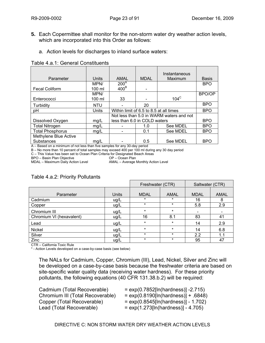- **5.** Each Copermittee shall monitor for the non-storm water dry weather action levels, which are incorporated into this Order as follows:
	- a. Action levels for discharges to inland surface waters:

#### Table 4.a.1: General Constituents

|                         |            |                                                                   |                                          | Instantaneous |              |
|-------------------------|------------|-------------------------------------------------------------------|------------------------------------------|---------------|--------------|
| Parameter               | Units      | AMAL                                                              | <b>MDAL</b>                              | Maximum       | <b>Basis</b> |
|                         | MPN/       | 200 <sup>A</sup>                                                  |                                          |               | <b>BPO</b>   |
| <b>Fecal Coliform</b>   | 100 ml     | 400 <sup>B</sup>                                                  |                                          |               |              |
|                         | MPN/       |                                                                   |                                          |               | BPO/OP       |
| Enterococci             | 100 ml     | 33                                                                |                                          | $104^\circ$   |              |
| Turbidity               | <b>NTU</b> |                                                                   | 20                                       |               | <b>BPO</b>   |
| pH                      | Units      |                                                                   | Within limit of 6.5 to 8.5 at all times  |               |              |
|                         |            |                                                                   | Not less than 5.0 in WARM waters and not |               |              |
| Dissolved Oxygen        | mg/L       | less than 6.0 in COLD waters                                      |                                          |               | <b>BPO</b>   |
| <b>Total Nitrogen</b>   | mg/L       |                                                                   | 1.0                                      | See MDEL      | <b>BPO</b>   |
| <b>Total Phosphorus</b> | mg/L       |                                                                   | 0.1                                      | See MDEL      | <b>BPO</b>   |
| Methylene Blue Active   |            |                                                                   |                                          |               |              |
| Substances<br>.         | mg/L       | $\sim$ $\sim$ $\sim$ $\sim$ $\sim$ $\sim$<br>$\sim$ $\sim$ $\sim$ | 0.5                                      | See MDEL      | <b>BPO</b>   |

A – Based on a minimum of not less than five samples for any 30-day period

B – No more than 10 percent of total samples may exceed 400 per 100 ml during any 30 day period

C – This Value has been set to Ocean Plan Criteria for Designated Beach Areas

BPO – Basin Plan Objective OP – Ocean Plan

AMAL – Average Monthly Action Level

# Table 4.a.2: Priority Pollutants

|                          |       | Freshwater (CTR) |         | Saltwater (CTR)              |             |
|--------------------------|-------|------------------|---------|------------------------------|-------------|
|                          |       |                  |         |                              |             |
| Parameter                | Units | <b>MDAL</b>      | AMAL    | <b>MDAL</b>                  | <b>AMAL</b> |
| Cadmium                  | ug/L  | $\star$          | $\ast$  | 16                           | 8           |
| Copper                   | ug/L  | $\star$          | $\star$ | 5.8                          | 2.9         |
| Chromium III             | ug/L  | $\star$          | $\star$ | $\qquad \qquad \blacksquare$ |             |
| Chromium VI (hexavalent) | ug/L  | 16               | 8.1     | 83                           | 41          |
| Lead                     | ug/L  | $\star$          | $\star$ | 14                           | 2.9         |
| Nickel                   | ug/L  | $\star$          | $\star$ | 14                           | 6.8         |
| Silver                   | ug/L  | $\star$          | $\star$ | 2.2                          | 1.1         |
| Zinc                     | ug/L  | $\star$          | $\star$ | 95                           | 47          |

CTR – California Toxic Rule

\* - Action Levels developed on a case-by-case basis (see below)

The NALs for Cadmium, Copper, Chromium (III), Lead, Nickel, Silver and Zinc will be developed on a case-by-case basis because the freshwater criteria are based on site-specific water quality data (receiving water hardness). For these priority pollutants, the following equations (40 CFR 131.38.b.2) will be required:

- Cadmium (Total Recoverable) = exp(0.7852[ln(hardness)] -2.715)
- Chromium III (Total Recoverable)  $= \exp(0.8190 \ln(\text{hardness})] + .6848$ )
- Copper (Total Recoverable)  $= exp(0.8545[ln(hardness)] 1.702)$
- Lead (Total Recoverable) = exp(1.273[ln(hardness)] 4.705)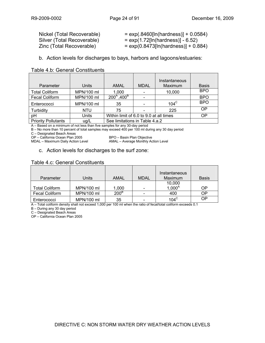Silver (Total Recoverable)  $= exp(1.72[ln(hardness)] - 6.52)$ 

Nickel (Total Recoverable) = exp(.8460[ln(hardness)] + 0.0584)

- 
- $Zinc$  (Total Recoverable)  $= exp(0.8473[ln(hardness)] + 0.884)$
- b.Action levels for discharges to bays, harbors and lagoons/estuaries:

#### Table 4.b: General Constituents

| Parameter                  | Units      | <b>AMAL</b>                                   | <b>MDAL</b> | Instantaneous<br>Maximum | <b>Basis</b> |
|----------------------------|------------|-----------------------------------------------|-------------|--------------------------|--------------|
| <b>Total Coliform</b>      | MPN/100 ml | 1,000                                         |             | 10,000                   | <b>BPO</b>   |
| <b>Fecal Coliform</b>      | MPN/100 ml | $200^{\circ}$ ,400 <sup>B</sup>               |             |                          | <b>BPO</b>   |
| Enterococci                | MPN/100 ml | 35                                            |             | $104^\circ$              | <b>BPO</b>   |
| Turbidity                  | NTU        | 75                                            |             | 225                      | OP           |
| pH                         | Units      | Within limit of 6.0 to 9.0 at all times<br>OP |             |                          |              |
| <b>Priority Pollutants</b> | ug/L       | See limitations in Table 4.a.2                |             |                          |              |

A – Based on a minimum of not less than five samples for any 30-day period

B – No more than 10 percent of total samples may exceed 400 per 100 ml during any 30 day period

C – Designated Beach Areas

MDAL – Maximum Daily Action Level

OP – California Ocean Plan 2005 BPO – Basin Plan Objective

#### c. Action levels for discharges to the surf zone:

#### Table 4.c: General Constituents

| Parameter             | Units      | AMAL             | <b>MDAL</b> | Instantaneous<br><b>Maximum</b> | <b>Basis</b> |
|-----------------------|------------|------------------|-------------|---------------------------------|--------------|
|                       |            |                  |             | 10,000                          |              |
| Total Coliform        | MPN/100 ml | 1,000            |             | $1,000^{\text{A}}$              | OΡ           |
| <b>Fecal Coliform</b> | MPN/100 ml | 200 <sup>B</sup> |             | 400                             | ΟP           |
| Enterococci           | MPN/100 ml | 35               |             | $104^\circ$                     | OΡ           |

A – Total coliform density shall not exceed 1,000 per 100 ml when the ratio of fecal/total coliform exceeds 0.1

B – During any 30 day period

C – Designated Beach Areas

OP – California Ocean Plan 2005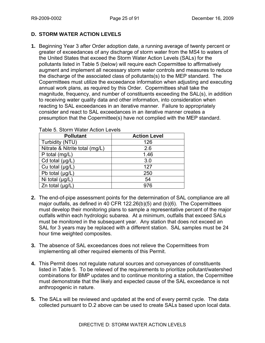# **D. STORM WATER ACTION LEVELS**

**1.** Beginning Year 3 after Order adoption date, a running average of twenty percent or greater of exceedances of any discharge of storm water from the MS4 to waters of the United States that exceed the Storm Water Action Levels (SALs) for the pollutants listed in Table 5 (below) will require each Copermittee to affirmatively augment and implement all necessary storm water controls and measures to reduce the discharge of the associated class of pollutants(s) to the MEP standard. The Copermittees must utilize the exceedance information when adjusting and executing annual work plans, as required by this Order. Copermittees shall take the magnitude, frequency, and number of constituents exceeding the SAL(s), in addition to receiving water quality data and other information, into consideration when reacting to SAL exceedances in an iterative manner. Failure to appropriately consider and react to SAL exceedances in an iterative manner creates a presumption that the Copermittee(s) have not complied with the MEP standard.

| <b>Pollutant</b>               | <b>Action Level</b> |
|--------------------------------|---------------------|
| Turbidity (NTU)                | 126                 |
| Nitrate & Nitrite total (mg/L) | 2.6                 |
| P total (mg/L)                 | 1.46                |
| Cd total $(\mu g/L)$           | 3.0                 |
| Cu total (µg/L)                | 127                 |
| Pb total $(\mu g/L)$           | 250                 |
| Ni total $(\mu g/L)$           | 54                  |
| Zn total $(\mu g/L)$           | 976                 |

Table 5. Storm Water Action Levels

- **2.** The end-of-pipe assessment points for the determination of SAL compliance are all major outfalls, as defined in 40 CFR 122.26(b)(5) and (b)(6). The Copermittees must develop their monitoring plans to sample a representative percent of the major outfalls within each hydrologic subarea. At a minimum, outfalls that exceed SALs must be monitored in the subsequent year. Any station that does not exceed an SAL for 3 years may be replaced with a different station. SAL samples must be 24 hour time weighted composites.
- **3.** The absence of SAL exceedances does not relieve the Copermittees from implementing all other required elements of this Permit.
- **4.** This Permit does not regulate natural sources and conveyances of constituents listed in Table 5. To be relieved of the requirements to prioritize pollutant/watershed combinations for BMP updates and to continue monitoring a station, the Copermittee must demonstrate that the likely and expected cause of the SAL exceedance is not anthropogenic in nature.
- **5.** The SALs will be reviewed and updated at the end of every permit cycle. The data collected pursuant to D.2 above can be used to create SALs based upon local data.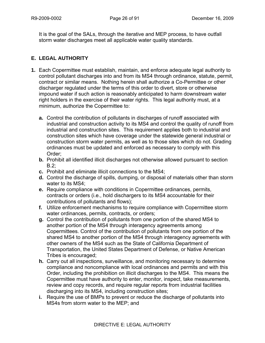It is the goal of the SALs, through the iterative and MEP process, to have outfall storm water discharges meet all applicable water quality standards.

# **E. LEGAL AUTHORITY**

- **1.** Each Copermittee must establish, maintain, and enforce adequate legal authority to control pollutant discharges into and from its MS4 through ordinance, statute, permit, contract or similar means. Nothing herein shall authorize a Co-Permittee or other discharger regulated under the terms of this order to divert, store or otherwise impound water if such action is reasonably anticipated to harm downstream water right holders in the exercise of their water rights. This legal authority must, at a minimum, authorize the Copermittee to:
	- **a.** Control the contribution of pollutants in discharges of runoff associated with industrial and construction activity to its MS4 and control the quality of runoff from industrial and construction sites. This requirement applies both to industrial and construction sites which have coverage under the statewide general industrial or construction storm water permits, as well as to those sites which do not. Grading ordinances must be updated and enforced as necessary to comply with this Order;
	- **b.** Prohibit all identified illicit discharges not otherwise allowed pursuant to section  $B.2$ :
	- **c.** Prohibit and eliminate illicit connections to the MS4;
	- **d.** Control the discharge of spills, dumping, or disposal of materials other than storm water to its MS4;
	- **e.** Require compliance with conditions in Copermittee ordinances, permits, contracts or orders (i.e., hold dischargers to its MS4 accountable for their contributions of pollutants and flows);
	- **f.** Utilize enforcement mechanisms to require compliance with Copermittee storm water ordinances, permits, contracts, or orders;
	- **g.** Control the contribution of pollutants from one portion of the shared MS4 to another portion of the MS4 through interagency agreements among Copermittees. Control of the contribution of pollutants from one portion of the shared MS4 to another portion of the MS4 through interagency agreements with other owners of the MS4 such as the State of California Department of Transportation, the United States Department of Defense, or Native American Tribes is encouraged;
	- **h.** Carry out all inspections, surveillance, and monitoring necessary to determine compliance and noncompliance with local ordinances and permits and with this Order, including the prohibition on illicit discharges to the MS4. This means the Copermittee must have authority to enter, monitor, inspect, take measurements, review and copy records, and require regular reports from industrial facilities discharging into its MS4, including construction sites;
	- **i.** Require the use of BMPs to prevent or reduce the discharge of pollutants into MS4s from storm water to the MEP; and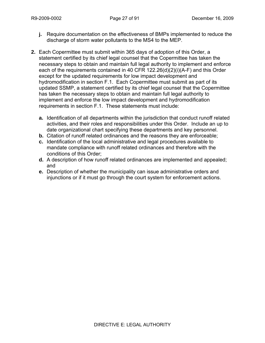- **j.** Require documentation on the effectiveness of BMPs implemented to reduce the discharge of storm water pollutants to the MS4 to the MEP.
- **2.** Each Copermittee must submit within 365 days of adoption of this Order, a statement certified by its chief legal counsel that the Copermittee has taken the necessary steps to obtain and maintain full legal authority to implement and enforce each of the requirements contained in 40 CFR 122.26(d)(2)(i)(A-F) and this Order except for the updated requirements for low impact development and hydromodification in section F.1. Each Copermittee must submit as part of its updated SSMP, a statement certified by its chief legal counsel that the Copermittee has taken the necessary steps to obtain and maintain full legal authority to implement and enforce the low impact development and hydromodification requirements in section F.1. These statements must include:
	- **a.** Identification of all departments within the jurisdiction that conduct runoff related activities, and their roles and responsibilities under this Order. Include an up to date organizational chart specifying these departments and key personnel.
	- **b.** Citation of runoff related ordinances and the reasons they are enforceable;
	- **c.** Identification of the local administrative and legal procedures available to mandate compliance with runoff related ordinances and therefore with the conditions of this Order;
	- **d.** A description of how runoff related ordinances are implemented and appealed; and
	- **e.** Description of whether the municipality can issue administrative orders and injunctions or if it must go through the court system for enforcement actions.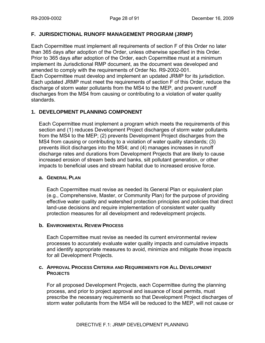### **F. JURISDICTIONAL RUNOFF MANAGEMENT PROGRAM (JRMP)**

Each Copermittee must implement all requirements of section F of this Order no later than 365 days after adoption of the Order, unless otherwise specified in this Order. Prior to 365 days after adoption of the Order, each Copermittee must at a minimum implement its Jurisdictional RMP document, as the document was developed and amended to comply with the requirements of Order No. R9-2002-001. Each Copermittee must develop and implement an updated JRMP for its jurisdiction. Each updated JRMP must meet the requirements of section F of this Order, reduce the discharge of storm water pollutants from the MS4 to the MEP, and prevent runoff discharges from the MS4 from causing or contributing to a violation of water quality standards.

# **1. DEVELOPMENT PLANNING COMPONENT**

Each Copermittee must implement a program which meets the requirements of this section and (1) reduces Development Project discharges of storm water pollutants from the MS4 to the MEP; (2) prevents Development Project discharges from the MS4 from causing or contributing to a violation of water quality standards; (3) prevents illicit discharges into the MS4; and (4) manages increases in runoff discharge rates and durations from Development Projects that are likely to cause increased erosion of stream beds and banks, silt pollutant generation, or other impacts to beneficial uses and stream habitat due to increased erosive force.

#### **a. GENERAL PLAN**

Each Copermittee must revise as needed its General Plan or equivalent plan (e.g., Comprehensive, Master, or Community Plan) for the purpose of providing effective water quality and watershed protection principles and policies that direct land-use decisions and require implementation of consistent water quality protection measures for all development and redevelopment projects.

#### **b. ENVIRONMENTAL REVIEW PROCESS**

Each Copermittee must revise as needed its current environmental review processes to accurately evaluate water quality impacts and cumulative impacts and identify appropriate measures to avoid, minimize and mitigate those impacts for all Development Projects.

#### **c. APPROVAL PROCESS CRITERIA AND REQUIREMENTS FOR ALL DEVELOPMENT PROJECTS**

For all proposed Development Projects, each Copermittee during the planning process, and prior to project approval and issuance of local permits, must prescribe the necessary requirements so that Development Project discharges of storm water pollutants from the MS4 will be reduced to the MEP, will not cause or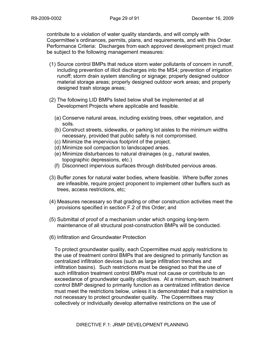contribute to a violation of water quality standards, and will comply with Copermittee's ordinances, permits, plans, and requirements, and with this Order. Performance Criteria: Discharges from each approved development project must be subject to the following management measures:

- (1) Source control BMPs that reduce storm water pollutants of concern in runoff, including prevention of illicit discharges into the MS4; prevention of irrigation runoff; storm drain system stenciling or signage; properly designed outdoor material storage areas; properly designed outdoor work areas; and properly designed trash storage areas;
- (2) The following LID BMPs listed below shall be implemented at all Development Projects where applicable and feasible.
	- (a) Conserve natural areas, including existing trees, other vegetation, and soils.
	- (b) Construct streets, sidewalks, or parking lot aisles to the minimum widths necessary, provided that public safety is not compromised.
	- (c) Minimize the impervious footprint of the project.
	- (d) Minimize soil compaction to landscaped areas.
	- (e) Minimize disturbances to natural drainages (e.g., natural swales, topographic depressions, etc.)
	- (f) Disconnect impervious surfaces through distributed pervious areas.
- (3) Buffer zones for natural water bodies, where feasible. Where buffer zones are infeasible, require project proponent to implement other buffers such as trees, access restrictions, etc;
- (4) Measures necessary so that grading or other construction activities meet the provisions specified in section F.2 of this Order; and
- (5) Submittal of proof of a mechanism under which ongoing long-term maintenance of all structural post-construction BMPs will be conducted.
- (6) Infiltration and Groundwater Protection

To protect groundwater quality, each Copermittee must apply restrictions to the use of treatment control BMPs that are designed to primarily function as centralized infiltration devices (such as large infiltration trenches and infiltration basins). Such restrictions must be designed so that the use of such infiltration treatment control BMPs must not cause or contribute to an exceedance of groundwater quality objectives. At a minimum, each treatment control BMP designed to primarily function as a centralized infiltration device must meet the restrictions below, unless it is demonstrated that a restriction is not necessary to protect groundwater quality. The Copermittees may collectively or individually develop alternative restrictions on the use of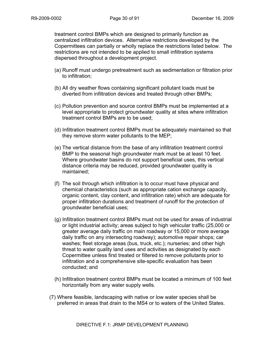treatment control BMPs which are designed to primarily function as centralized infiltration devices. Alternative restrictions developed by the Copermittees can partially or wholly replace the restrictions listed below. The restrictions are not intended to be applied to small infiltration systems dispersed throughout a development project.

- (a) Runoff must undergo pretreatment such as sedimentation or filtration prior to infiltration;
- (b) All dry weather flows containing significant pollutant loads must be diverted from infiltration devices and treated through other BMPs;
- (c) Pollution prevention and source control BMPs must be implemented at a level appropriate to protect groundwater quality at sites where infiltration treatment control BMPs are to be used;
- (d) Infiltration treatment control BMPs must be adequately maintained so that they remove storm water pollutants to the MEP;
- (e) The vertical distance from the base of any infiltration treatment control BMP to the seasonal high groundwater mark must be at least 10 feet. Where groundwater basins do not support beneficial uses, this vertical distance criteria may be reduced, provided groundwater quality is maintained;
- (f) The soil through which infiltration is to occur must have physical and chemical characteristics (such as appropriate cation exchange capacity, organic content, clay content, and infiltration rate) which are adequate for proper infiltration durations and treatment of runoff for the protection of groundwater beneficial uses;
- (g) Infiltration treatment control BMPs must not be used for areas of industrial or light industrial activity; areas subject to high vehicular traffic (25,000 or greater average daily traffic on main roadway or 15,000 or more average daily traffic on any intersecting roadway); automotive repair shops; car washes; fleet storage areas (bus, truck, etc.); nurseries; and other high threat to water quality land uses and activities as designated by each Copermittee unless first treated or filtered to remove pollutants prior to infiltration and a comprehensive site-specific evaluation has been conducted; and
- (h) Infiltration treatment control BMPs must be located a minimum of 100 feet horizontally from any water supply wells.
- (7) Where feasible, landscaping with native or low water species shall be preferred in areas that drain to the MS4 or to waters of the United States.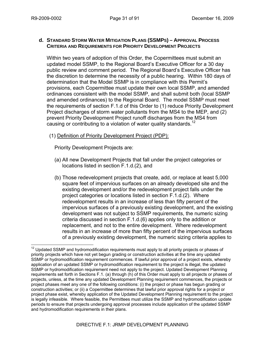#### **d. STANDARD STORM WATER MITIGATION PLANS (SSMPS) – APPROVAL PROCESS CRITERIA AND REQUIREMENTS FOR PRIORITY DEVELOPMENT PROJECTS**

Within two years of adoption of this Order, the Copermittees must submit an updated model SSMP, to the Regional Board's Executive Officer for a 30 day public review and comment period. The Regional Board's Executive Officer has the discretion to determine the necessity of a public hearing. Within 180 days of determination that the Model SSMP is in compliance with this Permit's provisions, each Copermittee must update their own local SSMP, and amended ordinances consistent with the model SSMP, and shall submit both (local SSMP and amended ordinances) to the Regional Board. The model SSMP must meet the requirements of section F.1.d of this Order to (1) reduce Priority Development Project discharges of storm water pollutants from the MS4 to the MEP, and (2) prevent Priority Development Project runoff discharges from the MS4 from causing or contributing to a violation of water quality standards.<sup>12</sup>

#### (1) Definition of Priority Development Project (PDP):

Priority Development Projects are:

- (a) All new Development Projects that fall under the project categories or locations listed in section F.1.d.(2), and
- (b) Those redevelopment projects that create, add, or replace at least 5,000 square feet of impervious surfaces on an already developed site and the existing development and/or the redevelopment project falls under the project categories or locations listed in section F.1.d.(2). Where redevelopment results in an increase of less than fifty percent of the impervious surfaces of a previously existing development, and the existing development was not subject to SSMP requirements, the numeric sizing criteria discussed in section F.1.d.(6) applies only to the addition or replacement, and not to the entire development. Where redevelopment results in an increase of more than fifty percent of the impervious surfaces of a previously existing development, the numeric sizing criteria applies to

 $\overline{a}$  $12$  Updated SSMP and hydromodification requirements must apply to all priority projects or phases of priority projects which have not yet begun grading or construction activities at the time any updated SSMP or hydromodification requirement commences. If lawful prior approval of a project exists, whereby application of an updated SSMP or hydromodification requirement to the project is illegal, the updated SSMP or hydromodification requirement need not apply to the project. Updated Development Planning requirements set forth in Sections F.1. (a) through (h) of this Order must apply to all projects or phases of projects, unless, at the time any updated Development Planning requirement commences, the projects or project phases meet any one of the following conditions: (i) the project or phase has begun grading or construction activities; or (ii) a Copermittee determines that lawful prior approval rights for a project or project phase exist, whereby application of the Updated Development Planning requirement to the project is legally infeasible. Where feasible, the Permittees must utilize the SSMP and hydromodification update periods to ensure that projects undergoing approval processes include application of the updated SSMP and hydromodification requirements in their plans.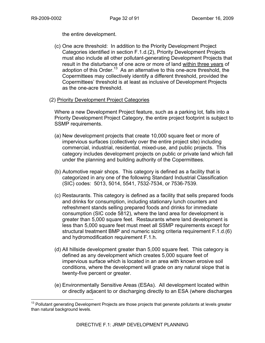$\overline{a}$ 

the entire development.

- (c) One acre threshold: In addition to the Priority Development Project Categories identified in section F.1.d.(2), Priority Development Projects must also include all other pollutant-generating Development Projects that result in the disturbance of one acre or more of land within three years of adoption of this Order.<sup>13</sup> As an alternative to this one-acre threshold, the Copermittees may collectively identify a different threshold, provided the Copermittees' threshold is at least as inclusive of Development Projects as the one-acre threshold.
- (2) Priority Development Project Categories

Where a new Development Project feature, such as a parking lot, falls into a Priority Development Project Category, the entire project footprint is subject to SSMP requirements.

- (a) New development projects that create 10,000 square feet or more of impervious surfaces (collectively over the entire project site) including commercial, industrial, residential, mixed-use, and public projects. This category includes development projects on public or private land which fall under the planning and building authority of the Copermittees.
- (b) Automotive repair shops. This category is defined as a facility that is categorized in any one of the following Standard Industrial Classification (SIC) codes: 5013, 5014, 5541, 7532-7534, or 7536-7539.
- (c) Restaurants. This category is defined as a facility that sells prepared foods and drinks for consumption, including stationary lunch counters and refreshment stands selling prepared foods and drinks for immediate consumption (SIC code 5812), where the land area for development is greater than 5,000 square feet. Restaurants where land development is less than 5,000 square feet must meet all SSMP requirements except for structural treatment BMP and numeric sizing criteria requirement F.1.d.(6) and hydromodification requirement F.1.h.
- (d) All hillside development greater than 5,000 square feet. This category is defined as any development which creates 5,000 square feet of impervious surface which is located in an area with known erosive soil conditions, where the development will grade on any natural slope that is twenty-five percent or greater.
- (e) Environmentally Sensitive Areas (ESAs). All development located within or directly adjacent to or discharging directly to an ESA (where discharges

<sup>&</sup>lt;sup>13</sup> Pollutant generating Development Projects are those projects that generate pollutants at levels greater than natural background levels.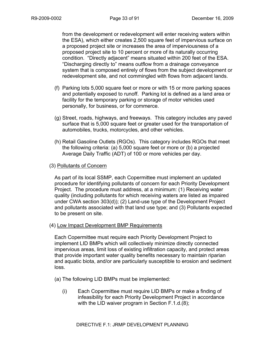from the development or redevelopment will enter receiving waters within the ESA), which either creates 2,500 square feet of impervious surface on a proposed project site or increases the area of imperviousness of a proposed project site to 10 percent or more of its naturally occurring condition. "Directly adjacent" means situated within 200 feet of the ESA. "Discharging directly to" means outflow from a drainage conveyance system that is composed entirely of flows from the subject development or redevelopment site, and not commingled with flows from adjacent lands.

- (f) Parking lots 5,000 square feet or more or with 15 or more parking spaces and potentially exposed to runoff. Parking lot is defined as a land area or facility for the temporary parking or storage of motor vehicles used personally, for business, or for commerce.
- (g) Street, roads, highways, and freeways. This category includes any paved surface that is 5,000 square feet or greater used for the transportation of automobiles, trucks, motorcycles, and other vehicles.
- (h) Retail Gasoline Outlets (RGOs). This category includes RGOs that meet the following criteria: (a) 5,000 square feet or more or (b) a projected Average Daily Traffic (ADT) of 100 or more vehicles per day.

## (3) Pollutants of Concern

As part of its local SSMP, each Copermittee must implement an updated procedure for identifying pollutants of concern for each Priority Development Project. The procedure must address, at a minimum: (1) Receiving water quality (including pollutants for which receiving waters are listed as impaired under CWA section 303(d)); (2) Land-use type of the Development Project and pollutants associated with that land use type; and (3) Pollutants expected to be present on site.

## (4) Low Impact Development BMP Requirements

Each Copermittee must require each Priority Development Project to implement LID BMPs which will collectively minimize directly connected impervious areas, limit loss of existing infiltration capacity, and protect areas that provide important water quality benefits necessary to maintain riparian and aquatic biota, and/or are particularly susceptible to erosion and sediment loss.

- (a) The following LID BMPs must be implemented:
	- (i) Each Copermittee must require LID BMPs or make a finding of infeasibility for each Priority Development Project in accordance with the LID waiver program in Section F.1.d.(8);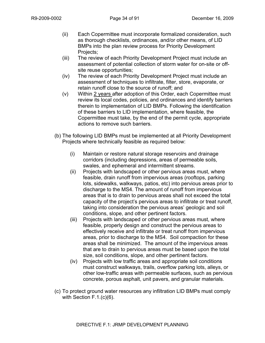- (ii) Each Copermittee must incorporate formalized consideration, such as thorough checklists, ordinances, and/or other means, of LID BMPs into the plan review process for Priority Development Projects:
- (iii) The review of each Priority Development Project must include an assessment of potential collection of storm water for on-site or offsite reuse opportunities;
- (iv) The review of each Priority Development Project must include an assessment of techniques to infiltrate, filter, store, evaporate, or retain runoff close to the source of runoff; and
- (v) Within  $2$  years after adoption of this Order, each Copermittee must review its local codes, policies, and ordinances and identify barriers therein to implementation of LID BMPs. Following the identification of these barriers to LID implementation, where feasible, the Copermittee must take, by the end of the permit cycle, appropriate actions to remove such barriers.
- (b) The following LID BMPs must be implemented at all Priority Development Projects where technically feasible as required below:
	- (i) Maintain or restore natural storage reservoirs and drainage corridors (including depressions, areas of permeable soils, swales, and ephemeral and intermittent streams.
	- (ii) Projects with landscaped or other pervious areas must, where feasible, drain runoff from impervious areas (rooftops, parking lots, sidewalks, walkways, patios, etc) into pervious areas prior to discharge to the MS4. The amount of runoff from impervious areas that is to drain to pervious areas shall not exceed the total capacity of the project's pervious areas to infiltrate or treat runoff, taking into consideration the pervious areas' geologic and soil conditions, slope, and other pertinent factors.
	- (iii) Projects with landscaped or other pervious areas must, where feasible, properly design and construct the pervious areas to effectively receive and infiltrate or treat runoff from impervious areas, prior to discharge to the MS4. Soil compaction for these areas shall be minimized. The amount of the impervious areas that are to drain to pervious areas must be based upon the total size, soil conditions, slope, and other pertinent factors.
	- (iv) Projects with low traffic areas and appropriate soil conditions must construct walkways, trails, overflow parking lots, alleys, or other low-traffic areas with permeable surfaces, such as pervious concrete, porous asphalt, unit pavers, and granular materials.
- (c) To protect ground water resources any infiltration LID BMPs must comply with Section F.1.(c)(6).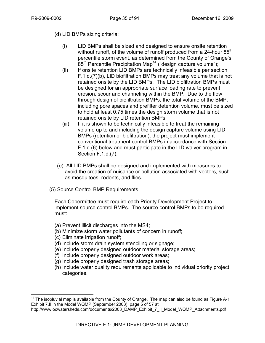(d) LID BMPs sizing criteria:

- (i) LID BMPs shall be sized and designed to ensure onsite retention without runoff, of the volume of runoff produced from a 24-hour  $85<sup>th</sup>$ percentile storm event, as determined from the County of Orange's  $85<sup>th</sup>$  Percentile Precipitation Map<sup>14</sup> ("design capture volume");
- (ii) If onsite retention LID BMPs are technically infeasible per section F.1.d.(7)(b), LID biofiltration BMPs may treat any volume that is not retained onsite by the LID BMPs. The LID biofiltration BMPs must be designed for an appropriate surface loading rate to prevent erosion, scour and channeling within the BMP. Due to the flow through design of biofiltration BMPs, the total volume of the BMP, including pore spaces and prefilter detention volume, must be sized to hold at least 0.75 times the design storm volume that is not retained onsite by LID retention BMPs;
- (iii) If it is shown to be technically infeasible to treat the remaining volume up to and including the design capture volume using LID BMPs (retention or biofiltration), the project must implement conventional treatment control BMPs in accordance with Section F.1.d.(6) below and must participate in the LID waiver program in Section F.1.d.(7).
- (e) All LID BMPs shall be designed and implemented with measures to avoid the creation of nuisance or pollution associated with vectors, such as mosquitoes, rodents, and flies.
- (5) Source Control BMP Requirements

Each Copermittee must require each Priority Development Project to implement source control BMPs. The source control BMPs to be required must:

- (a) Prevent illicit discharges into the MS4;
- (b) Minimize storm water pollutants of concern in runoff;
- (c) Eliminate irrigation runoff;

 $\overline{a}$ 

- (d) Include storm drain system stenciling or signage;
- (e) Include properly designed outdoor material storage areas;
- (f) Include properly designed outdoor work areas;
- (g) Include properly designed trash storage areas;
- (h) Include water quality requirements applicable to individual priority project categories.

 $14$  The isopluvial map is available from the County of Orange. The map can also be found as Figure A-1 Exhibit 7.II in the Model WQMP (September 2003), page 5 of 57 at

http://www.ocwatersheds.com/documents/2003\_DAMP\_Exhibit\_7\_II\_Model\_WQMP\_Attachments.pdf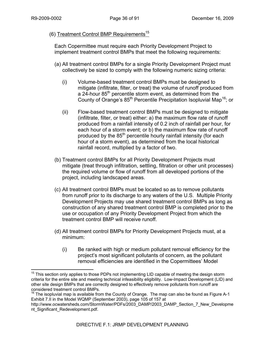$\overline{a}$ 

# (6) Treatment Control BMP Requirements<sup>15</sup>

Each Copermittee must require each Priority Development Project to implement treatment control BMPs that meet the following requirements:

- (a) All treatment control BMPs for a single Priority Development Project must collectively be sized to comply with the following numeric sizing criteria:
	- (i) Volume-based treatment control BMPs must be designed to mitigate (infiltrate, filter, or treat) the volume of runoff produced from a  $24$ -hour  $85<sup>th</sup>$  percentile storm event, as determined from the County of Orange's 85<sup>th</sup> Percentile Precipitation Isopluvial Map<sup>16</sup>; or
	- (ii) Flow-based treatment control BMPs must be designed to mitigate (infiltrate, filter, or treat) either: a) the maximum flow rate of runoff produced from a rainfall intensity of 0.2 inch of rainfall per hour, for each hour of a storm event; or b) the maximum flow rate of runoff produced by the 85<sup>th</sup> percentile hourly rainfall intensity (for each hour of a storm event), as determined from the local historical rainfall record, multiplied by a factor of two.
- (b) Treatment control BMPs for all Priority Development Projects must mitigate (treat through infiltration, settling, filtration or other unit processes) the required volume or flow of runoff from all developed portions of the project, including landscaped areas.
- (c) All treatment control BMPs must be located so as to remove pollutants from runoff prior to its discharge to any waters of the U.S. Multiple Priority Development Projects may use shared treatment control BMPs as long as construction of any shared treatment control BMP is completed prior to the use or occupation of any Priority Development Project from which the treatment control BMP will receive runoff.
- (d) All treatment control BMPs for Priority Development Projects must, at a minimum:
	- (i) Be ranked with high or medium pollutant removal efficiency for the project's most significant pollutants of concern, as the pollutant removal efficiencies are identified in the Copermittees' Model

 $15$  This section only applies to those PDPs not implementing LID capable of meeting the design storm criteria for the entire site and meeting technical infeasibility eligibility. Low-Impact Development (LID) and other site design BMPs that are correctly designed to effectively remove pollutants from runoff are considered treatment control BMPs.

 $16$  The isopluvial map is available from the County of Orange. The map can also be found as Figure A-1 Exhibit 7.II in the Model WQMP (September 2003), page 105 of 157 at

http://www.ocwatersheds.com/StormWater/PDFs/2003\_DAMP/2003\_DAMP\_Section\_7\_New\_Developme nt\_Significant\_Redevelopment.pdf.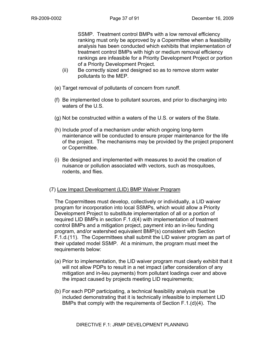SSMP. Treatment control BMPs with a low removal efficiency ranking must only be approved by a Copermittee when a feasibility analysis has been conducted which exhibits that implementation of treatment control BMPs with high or medium removal efficiency rankings are infeasible for a Priority Development Project or portion of a Priority Development Project.

- (ii) Be correctly sized and designed so as to remove storm water pollutants to the MEP.
- (e) Target removal of pollutants of concern from runoff.
- (f) Be implemented close to pollutant sources, and prior to discharging into waters of the U.S.
- (g) Not be constructed within a waters of the U.S. or waters of the State.
- (h) Include proof of a mechanism under which ongoing long-term maintenance will be conducted to ensure proper maintenance for the life of the project. The mechanisms may be provided by the project proponent or Copermittee.
- (i) Be designed and implemented with measures to avoid the creation of nuisance or pollution associated with vectors, such as mosquitoes, rodents, and flies.

## (7) Low Impact Development (LID) BMP Waiver Program

The Copermittees must develop, collectively or individually, a LID waiver program for incorporation into local SSMPs, which would allow a Priority Development Project to substitute implementation of all or a portion of required LID BMPs in section F.1.d(4) with implementation of treatment control BMPs and a mitigation project, payment into an in-lieu funding program, and/or watershed equivalent BMP(s) consistent with Section F.1.d.(11). The Copermittees shall submit the LID waiver program as part of their updated model SSMP. At a minimum, the program must meet the requirements below:

- (a) Prior to implementation, the LID waiver program must clearly exhibit that it will not allow PDPs to result in a net impact (after consideration of any mitigation and in-lieu payments) from pollutant loadings over and above the impact caused by projects meeting LID requirements;
- (b) For each PDP participating, a technical feasibility analysis must be included demonstrating that it is technically infeasible to implement LID BMPs that comply with the requirements of Section F.1.(d)(4). The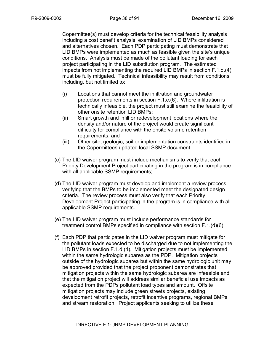Copermittee(s) must develop criteria for the technical feasibility analysis including a cost benefit analysis, examination of LID BMPs considered and alternatives chosen. Each PDP participating must demonstrate that LID BMPs were implemented as much as feasible given the site's unique conditions. Analysis must be made of the pollutant loading for each project participating in the LID substitution program. The estimated impacts from not implementing the required LID BMPs in section F.1.d.(4) must be fully mitigated. Technical infeasibility may result from conditions including, but not limited to:

- (i) Locations that cannot meet the infiltration and groundwater protection requirements in section F.1.c.(6). Where infiltration is technically infeasible, the project must still examine the feasibility of other onsite retention LID BMPs;
- (ii) Smart growth and infill or redevelopment locations where the density and/or nature of the project would create significant difficulty for compliance with the onsite volume retention requirements; and
- (iii) Other site, geologic, soil or implementation constraints identified in the Copermittees updated local SSMP document.
- (c) The LID waiver program must include mechanisms to verify that each Priority Development Project participating in the program is in compliance with all applicable SSMP requirements;
- (d) The LID waiver program must develop and implement a review process verifying that the BMPs to be implemented meet the designated design criteria. The review process must also verify that each Priority Development Project participating in the program is in compliance with all applicable SSMP requirements.
- (e) The LID waiver program must include performance standards for treatment control BMPs specified in compliance with section F.1.(d)(6).
- (f) Each PDP that participates in the LID waiver program must mitigate for the pollutant loads expected to be discharged due to not implementing the LID BMPs in section F.1.d.(4). Mitigation projects must be implemented within the same hydrologic subarea as the PDP. Mitigation projects outside of the hydrologic subarea but within the same hydrologic unit may be approved provided that the project proponent demonstrates that mitigation projects within the same hydrologic subarea are infeasible and that the mitigation project will address similar beneficial use impacts as expected from the PDPs pollutant load types and amount. Offsite mitigation projects may include green streets projects, existing development retrofit projects, retrofit incentive programs, regional BMPs and stream restoration. Project applicants seeking to utilize these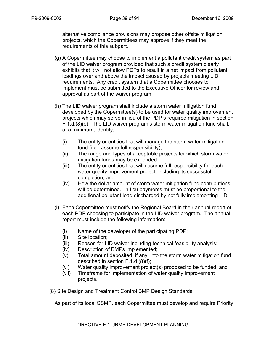alternative compliance provisions may propose other offsite mitigation projects, which the Copermittees may approve if they meet the requirements of this subpart.

- (g) A Copermittee may choose to implement a pollutant credit system as part of the LID waiver program provided that such a credit system clearly exhibits that it will not allow PDPs to result in a net impact from pollutant loadings over and above the impact caused by projects meeting LID requirements. Any credit system that a Copermittee chooses to implement must be submitted to the Executive Officer for review and approval as part of the waiver program.
- (h) The LID waiver program shall include a storm water mitigation fund developed by the Copermittee(s) to be used for water quality improvement projects which may serve in lieu of the PDP's required mitigation in section F.1.d.(8)(e). The LID waiver program's storm water mitigation fund shall, at a minimum, identify;
	- (i) The entity or entities that will manage the storm water mitigation fund (i.e., assume full responsibility);
	- (ii) The range and types of acceptable projects for which storm water mitigation funds may be expended;
	- (iii) The entity or entities that will assume full responsibility for each water quality improvement project, including its successful completion; and
	- (iv) How the dollar amount of storm water mitigation fund contributions will be determined. In-lieu payments must be proportional to the additional pollutant load discharged by not fully implementing LID.
- (i) Each Copermittee must notify the Regional Board in their annual report of each PDP choosing to participate in the LID waiver program. The annual report must include the following information:
	- (i) Name of the developer of the participating PDP;
	- (ii) Site location;
	- (iii) Reason for LID waiver including technical feasibility analysis;
	- (iv) Description of BMPs implemented;
	- (v) Total amount deposited, if any, into the storm water mitigation fund described in section F.1.d.(8)(f);
	- (vi) Water quality improvement project(s) proposed to be funded; and
	- (vii) Timeframe for implementation of water quality improvement projects.

# (8) Site Design and Treatment Control BMP Design Standards

As part of its local SSMP, each Copermittee must develop and require Priority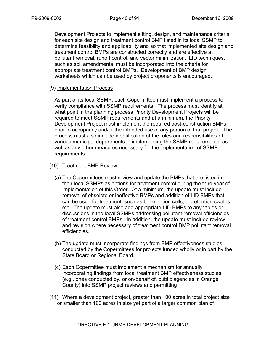Development Projects to implement sitting, design, and maintenance criteria for each site design and treatment control BMP listed in its local SSMP to determine feasibility and applicability and so that implemented site design and treatment control BMPs are constructed correctly and are effective at pollutant removal, runoff control, and vector minimization. LID techniques, such as soil amendments, must be incorporated into the criteria for appropriate treatment control BMPs. Development of BMP design worksheets which can be used by project proponents is encouraged.

## (9) Implementation Process

As part of its local SSMP, each Copermittee must implement a process to verify compliance with SSMP requirements. The process must identify at what point in the planning process Priority Development Projects will be required to meet SSMP requirements and at a minimum, the Priority Development Project must implement the required post-construction BMPs prior to occupancy and/or the intended use of any portion of that project. The process must also include identification of the roles and responsibilities of various municipal departments in implementing the SSMP requirements, as well as any other measures necessary for the implementation of SSMP requirements.

#### (10) Treatment BMP Review

- (a) The Copermittees must review and update the BMPs that are listed in their local SSMPs as options for treatment control during the third year of implementation of this Order. At a minimum, the update must include removal of obsolete or ineffective BMPs and addition of LID BMPs that can be used for treatment, such as bioretention cells, bioretention swales, etc. The update must also add appropriate LID BMPs to any tables or discussions in the local SSMPs addressing pollutant removal efficiencies of treatment control BMPs. In addition, the update must include review and revision where necessary of treatment control BMP pollutant removal efficiencies.
- (b) The update must incorporate findings from BMP effectiveness studies conducted by the Copermittees for projects funded wholly or in part by the State Board or Regional Board.
- (c) Each Copermittee must implement a mechanism for annually incorporating findings from local treatment BMP effectiveness studies (e.g., ones conducted by, or on-behalf of, public agencies in Orange County) into SSMP project reviews and permitting
- (11) Where a development project, greater than 100 acres in total project size or smaller than 100 acres in size yet part of a larger common plan of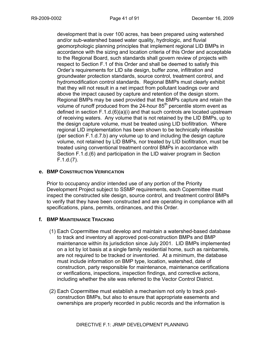development that is over 100 acres, has been prepared using watershed and/or sub-watershed based water quality, hydrologic, and fluvial geomorphologic planning principles that implement regional LID BMPs in accordance with the sizing and location criteria of this Order and acceptable to the Regional Board, such standards shall govern review of projects with respect to Section F.1 of this Order and shall be deemed to satisfy this Order's requirements for LID site design, buffer zone, infiltration and groundwater protection standards, source control, treatment control, and hydromodification control standards. Regional BMPs must clearly exhibit that they will not result in a net impact from pollutant loadings over and above the impact caused by capture and retention of the design storm. Regional BMPs may be used provided that the BMPs capture and retain the volume of runoff produced from the 24-hour 85<sup>th</sup> percentile storm event as defined in section F.1.d.(6)(a)(i) and that such controls are located upstream of receiving waters. Any volume that is not retained by the LID BMPs, up to the design capture volume, must be treated using LID biofiltration. Where regional LID implementation has been shown to be technically infeasible (per section F.1.d.7.b) any volume up to and including the design capture volume, not retained by LID BMPs, nor treated by LID biofiltration, must be treated using conventional treatment control BMPs in accordance with Section F.1.d.(6) and participation in the LID waiver program in Section F.1.d.(7).

## **e. BMP CONSTRUCTION VERIFICATION**

Prior to occupancy and/or intended use of any portion of the Priority Development Project subject to SSMP requirements, each Copermittee must inspect the constructed site design, source control, and treatment control BMPs to verify that they have been constructed and are operating in compliance with all specifications, plans, permits, ordinances, and this Order.

# **f. BMP MAINTENANCE TRACKING**

- (1) Each Copermittee must develop and maintain a watershed-based database to track and inventory all approved post-construction BMPs and BMP maintenance within its jurisdiction since July 2001. LID BMPs implemented on a lot by lot basis at a single family residential home, such as rainbarrels, are not required to be tracked or inventoried. At a minimum, the database must include information on BMP type, location, watershed, date of construction, party responsible for maintenance, maintenance certifications or verifications, inspections, inspection findings, and corrective actions, including whether the site was referred to the Vector Control District.
- (2) Each Copermittee must establish a mechanism not only to track postconstruction BMPs, but also to ensure that appropriate easements and ownerships are properly recorded in public records and the information is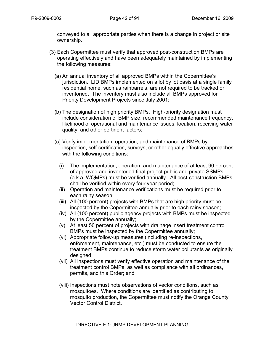conveyed to all appropriate parties when there is a change in project or site ownership.

- (3) Each Copermittee must verify that approved post-construction BMPs are operating effectively and have been adequately maintained by implementing the following measures:
	- (a) An annual inventory of all approved BMPs within the Copermittee's jurisdiction. LID BMPs implemented on a lot by lot basis at a single family residential home, such as rainbarrels, are not required to be tracked or inventoried. The inventory must also include all BMPs approved for Priority Development Projects since July 2001;
	- (b) The designation of high priority BMPs. High-priority designation must include consideration of BMP size, recommended maintenance frequency, likelihood of operational and maintenance issues, location, receiving water quality, and other pertinent factors;
	- (c) Verify implementation, operation, and maintenance of BMPs by inspection, self-certification, surveys, or other equally effective approaches with the following conditions:
		- (i) The implementation, operation, and maintenance of at least 90 percent of approved and inventoried final project public and private SSMPs (a.k.a. WQMPs) must be verified annually. All post-construction BMPs shall be verified within every four year period;
		- (ii) Operation and maintenance verifications must be required prior to each rainy season;
		- (iii) All (100 percent) projects with BMPs that are high priority must be inspected by the Copermittee annually prior to each rainy season;
		- (iv) All (100 percent) public agency projects with BMPs must be inspected by the Copermittee annually;
		- (v) At least 50 percent of projects with drainage insert treatment control BMPs must be inspected by the Copermittee annually;
		- (vi) Appropriate follow-up measures (including re-inspections, enforcement, maintenance, etc.) must be conducted to ensure the treatment BMPs continue to reduce storm water pollutants as originally designed;
		- (vii) All inspections must verify effective operation and maintenance of the treatment control BMPs, as well as compliance with all ordinances, permits, and this Order; and
		- (viii) Inspections must note observations of vector conditions, such as mosquitoes. Where conditions are identified as contributing to mosquito production, the Copermittee must notify the Orange County Vector Control District.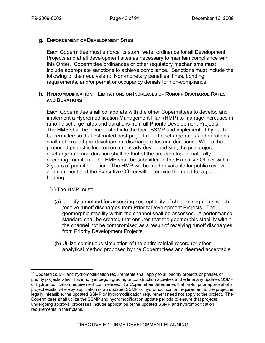## **g. ENFORCEMENT OF DEVELOPMENT SITES**

Each Copermittee must enforce its storm water ordinance for all Development Projects and at all development sites as necessary to maintain compliance with this Order. Copermittee ordinances or other regulatory mechanisms must include appropriate sanctions to achieve compliance. Sanctions must include the following or their equivalent: Non-monetary penalties, fines, bonding requirements, and/or permit or occupancy denials for non-compliance.

### **h. HYDROMODIFICATION – LIMITATIONS ON INCREASES OF RUNOFF DISCHARGE RATES AND DURATIONS<sup>17</sup>**

Each Copermittee shall collaborate with the other Copermittees to develop and implement a Hydromodification Management Plan (HMP) to manage increases in runoff discharge rates and durations from all Priority Development Projects. The HMP shall be incorporated into the local SSMP and implemented by each Copermittee so that estimated post-project runoff discharge rates and durations shall not exceed pre-development discharge rates and durations. Where the proposed project is located on an already developed site, the pre-project discharge rate and duration shall be that of the pre-developed, naturally occurring condition. The HMP shall be submitted to the Executive Officer within 2 years of permit adoption. The HMP will be made available for public review and comment and the Executive Officer will determine the need for a public hearing.

(1) The HMP must:

1

- (a) Identify a method for assessing susceptibility of channel segments which receive runoff discharges from Priority Development Projects. The geomorphic stability within the channel shall be assessed. A performance standard shall be created that ensures that the geomorphic stability within the channel not be compromised as a result of receiving runoff discharges from Priority Development Projects.
- (b) Utilize continuous simulation of the entire rainfall record (or other analytical method proposed by the Copermittees and deemed acceptable

 $17$  Updated SSMP and hydromodification requirements shall apply to all priority projects or phases of priority projects which have not yet begun grading or construction activities at the time any updates SSMP or hydromodification requirement commences. If a Copermittee determines that lawful prior approval of a project exists, whereby application of an updated SSMP or hydromodification requirement to the project is legally infeasible, the updated SSMP or hydromodification requirement need not apply to the project. The Copermittees shall utilize the SSMP and hydromodification update periods to ensure that projects undergoing approval processes include application of the updated SSMP and hydromodification requirements in their plans.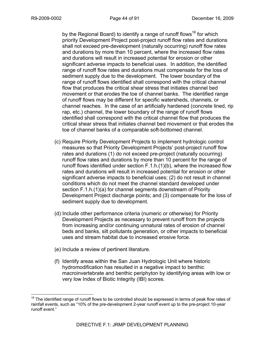by the Regional Board) to identify a range of runoff flows<sup>18</sup> for which priority Development Project post-project runoff flow rates and durations shall not exceed pre-development (naturally occurring) runoff flow rates and durations by more than 10 percent, where the increased flow rates and durations will result in increased potential for erosion or other significant adverse impacts to beneficial uses. In addition, the identified range of runoff flow rates and durations must compensate for the loss of sediment supply due to the development. The lower boundary of the range of runoff flows identified shall correspond with the critical channel flow that produces the critical shear stress that initiates channel bed movement or that erodes the toe of channel banks. The identified range of runoff flows may be different for specific watersheds, channels, or channel reaches. In the case of an artificially hardened (concrete lined, rip rap, etc.) channel, the lower boundary of the range of runoff flows identified shall correspond with the critical channel flow that produces the critical shear stress that initiates channel bed movement or that erodes the toe of channel banks of a comparable soft-bottomed channel.

- (c) Require Priority Development Projects to implement hydrologic control measures so that Priority Development Projects' post-project runoff flow rates and durations (1) do not exceed pre-project (naturally occurring) runoff flow rates and durations by more than 10 percent for the range of runoff flows identified under section F.1.h.(1)(b), where the increased flow rates and durations will result in increased potential for erosion or other significant adverse impacts to beneficial uses; (2) do not result in channel conditions which do not meet the channel standard developed under section F.1.h.(1)(a) for channel segments downstream of Priority Development Project discharge points; and (3) compensate for the loss of sediment supply due to development.
- (d) Include other performance criteria (numeric or otherwise) for Priority Development Projects as necessary to prevent runoff from the projects from increasing and/or continuing unnatural rates of erosion of channel beds and banks, silt pollutants generation, or other impacts to beneficial uses and stream habitat due to increased erosive force.
- (e) Include a review of pertinent literature.
- (f) Identify areas within the San Juan Hydrologic Unit where historic hydromodification has resulted in a negative impact to benthic macroinvertebrate and benthic periphyton by identifying areas with low or very low Index of Biotic Integrity (IBI) scores.

 $\overline{a}$ <sup>18</sup> The identified range of runoff flows to be controlled should be expressed in terms of peak flow rates of rainfall events, such as "10% of the pre-development 2-year runoff event up to the pre-project 10-year runoff event."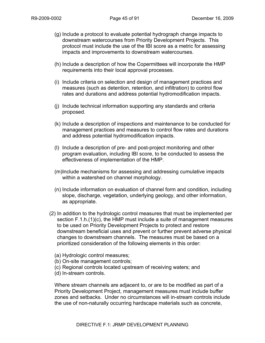- (g) Include a protocol to evaluate potential hydrograph change impacts to downstream watercourses from Priority Development Projects. This protocol must include the use of the IBI score as a metric for assessing impacts and improvements to downstream watercourses.
- (h) Include a description of how the Copermittees will incorporate the HMP requirements into their local approval processes.
- (i) Include criteria on selection and design of management practices and measures (such as detention, retention, and infiltration) to control flow rates and durations and address potential hydromodification impacts.
- (j) Include technical information supporting any standards and criteria proposed.
- (k) Include a description of inspections and maintenance to be conducted for management practices and measures to control flow rates and durations and address potential hydromodification impacts.
- (l) Include a description of pre- and post-project monitoring and other program evaluation, including IBI score, to be conducted to assess the effectiveness of implementation of the HMP.
- (m)Include mechanisms for assessing and addressing cumulative impacts within a watershed on channel morphology.
- (n) Include information on evaluation of channel form and condition, including slope, discharge, vegetation, underlying geology, and other information, as appropriate.
- (2) In addition to the hydrologic control measures that must be implemented per section F.1.h.(1)(c), the HMP must include a suite of management measures to be used on Priority Development Projects to protect and restore downstream beneficial uses and prevent or further prevent adverse physical changes to downstream channels. The measures must be based on a prioritized consideration of the following elements in this order:
	- (a) Hydrologic control measures;
	- (b) On-site management controls;
	- (c) Regional controls located upstream of receiving waters; and
	- (d) In-stream controls.

Where stream channels are adjacent to, or are to be modified as part of a Priority Development Project, management measures must include buffer zones and setbacks. Under no circumstances will in-stream controls include the use of non-naturally occurring hardscape materials such as concrete,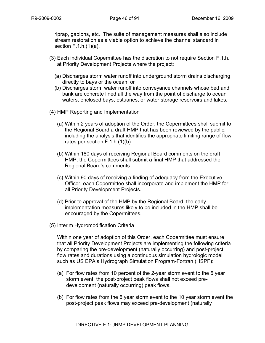riprap, gabions, etc. The suite of management measures shall also include stream restoration as a viable option to achieve the channel standard in section F.1.h.(1)(a).

- (3) Each individual Copermittee has the discretion to not require Section F.1.h. at Priority Development Projects where the project:
	- (a) Discharges storm water runoff into underground storm drains discharging directly to bays or the ocean; or
	- (b) Discharges storm water runoff into conveyance channels whose bed and bank are concrete lined all the way from the point of discharge to ocean waters, enclosed bays, estuaries, or water storage reservoirs and lakes.
- (4) HMP Reporting and Implementation
	- (a) Within 2 years of adoption of the Order, the Copermittees shall submit to the Regional Board a draft HMP that has been reviewed by the public, including the analysis that identifies the appropriate limiting range of flow rates per section F.1.h.(1)(b).
	- (b) Within 180 days of receiving Regional Board comments on the draft HMP, the Copermittees shall submit a final HMP that addressed the Regional Board's comments.
	- (c) Within 90 days of receiving a finding of adequacy from the Executive Officer, each Copermittee shall incorporate and implement the HMP for all Priority Development Projects.
	- (d) Prior to approval of the HMP by the Regional Board, the early implementation measures likely to be included in the HMP shall be encouraged by the Copermittees.
- (5) Interim Hydromodification Criteria

Within one year of adoption of this Order, each Copermittee must ensure that all Priority Development Projects are implementing the following criteria by comparing the pre-development (naturally occurring) and post-project flow rates and durations using a continuous simulation hydrologic model such as US EPA's Hydrograph Simulation Program-Fortran (HSPF):

- (a) For flow rates from 10 percent of the 2-year storm event to the 5 year storm event, the post-project peak flows shall not exceed predevelopment (naturally occurring) peak flows.
- (b) For flow rates from the 5 year storm event to the 10 year storm event the post-project peak flows may exceed pre-development (naturally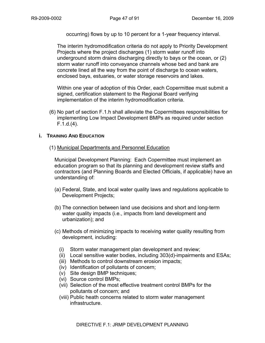occurring) flows by up to 10 percent for a 1-year frequency interval.

The interim hydromodification criteria do not apply to Priority Development Projects where the project discharges (1) storm water runoff into underground storm drains discharging directly to bays or the ocean, or (2) storm water runoff into conveyance channels whose bed and bank are concrete lined all the way from the point of discharge to ocean waters, enclosed bays, estuaries, or water storage reservoirs and lakes.

Within one year of adoption of this Order, each Copermittee must submit a signed, certification statement to the Regional Board verifying implementation of the interim hydromodification criteria.

(6) No part of section F.1.h shall alleviate the Copermittees responsibilities for implementing Low Impact Development BMPs as required under section F.1.d.(4).

## **i. TRAINING AND EDUCATION**

## (1) Municipal Departments and Personnel Education

Municipal Development Planning: Each Copermittee must implement an education program so that its planning and development review staffs and contractors (and Planning Boards and Elected Officials, if applicable) have an understanding of:

- (a) Federal, State, and local water quality laws and regulations applicable to Development Projects;
- (b) The connection between land use decisions and short and long-term water quality impacts (i.e., impacts from land development and urbanization); and
- (c) Methods of minimizing impacts to receiving water quality resulting from development, including:
	- (i) Storm water management plan development and review;
	- (ii) Local sensitive water bodies, including 303(d)-impairments and ESAs;
	- (iii) Methods to control downstream erosion impacts;
	- (iv) Identification of pollutants of concern;
	- (v) Site design BMP techniques;
	- (vi) Source control BMPs;
	- (vii) Selection of the most effective treatment control BMPs for the pollutants of concern; and
	- (viii) Public heath concerns related to storm water management infrastructure.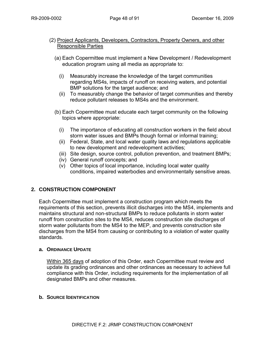## (2) Project Applicants, Developers, Contractors, Property Owners, and other Responsible Parties

- (a) Each Copermittee must implement a New Development / Redevelopment education program using all media as appropriate to:
	- (i) Measurably increase the knowledge of the target communities regarding MS4s, impacts of runoff on receiving waters, and potential BMP solutions for the target audience; and
	- (ii) To measurably change the behavior of target communities and thereby reduce pollutant releases to MS4s and the environment.
- (b) Each Copermittee must educate each target community on the following topics where appropriate:
	- (i) The importance of educating all construction workers in the field about storm water issues and BMPs though formal or informal training;
	- (ii) Federal, State, and local water quality laws and regulations applicable to new development and redevelopment activities;
	- (iii) Site design, source control, pollution prevention, and treatment BMPs;
	- (iv) General runoff concepts; and
	- (v) Other topics of local importance, including local water quality conditions, impaired waterbodies and environmentally sensitive areas.

# **2. CONSTRUCTION COMPONENT**

Each Copermittee must implement a construction program which meets the requirements of this section, prevents illicit discharges into the MS4, implements and maintains structural and non-structural BMPs to reduce pollutants in storm water runoff from construction sites to the MS4, reduces construction site discharges of storm water pollutants from the MS4 to the MEP, and prevents construction site discharges from the MS4 from causing or contributing to a violation of water quality standards.

## **a. ORDINANCE UPDATE**

Within 365 days of adoption of this Order, each Copermittee must review and update its grading ordinances and other ordinances as necessary to achieve full compliance with this Order, including requirements for the implementation of all designated BMPs and other measures.

## **b. SOURCE IDENTIFICATION**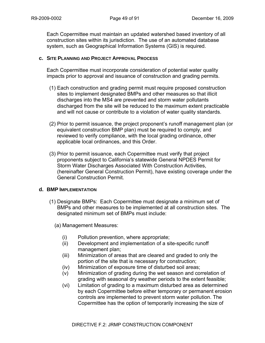Each Copermittee must maintain an updated watershed based inventory of all construction sites within its jurisdiction. The use of an automated database system, such as Geographical Information Systems (GIS) is required.

## **c. SITE PLANNING AND PROJECT APPROVAL PROCESS**

Each Copermittee must incorporate consideration of potential water quality impacts prior to approval and issuance of construction and grading permits.

- (1) Each construction and grading permit must require proposed construction sites to implement designated BMPs and other measures so that illicit discharges into the MS4 are prevented and storm water pollutants discharged from the site will be reduced to the maximum extent practicable and will not cause or contribute to a violation of water quality standards.
- (2) Prior to permit issuance, the project proponent's runoff management plan (or equivalent construction BMP plan) must be required to comply, and reviewed to verify compliance, with the local grading ordinance, other applicable local ordinances, and this Order.
- (3) Prior to permit issuance, each Copermittee must verify that project proponents subject to California's statewide General NPDES Permit for Storm Water Discharges Associated With Construction Activities, (hereinafter General Construction Permit), have existing coverage under the General Construction Permit.

## **d. BMP IMPLEMENTATION**

- (1) Designate BMPs: Each Copermittee must designate a minimum set of BMPs and other measures to be implemented at all construction sites. The designated minimum set of BMPs must include:
	- (a) Management Measures:
		- (i) Pollution prevention, where appropriate;
		- (ii) Development and implementation of a site-specific runoff management plan;
		- (iii) Minimization of areas that are cleared and graded to only the portion of the site that is necessary for construction;
		- (iv) Minimization of exposure time of disturbed soil areas;
		- (v) Minimization of grading during the wet season and correlation of grading with seasonal dry weather periods to the extent feasible;
		- (vi) Limitation of grading to a maximum disturbed area as determined by each Copermittee before either temporary or permanent erosion controls are implemented to prevent storm water pollution. The Copermittee has the option of temporarily increasing the size of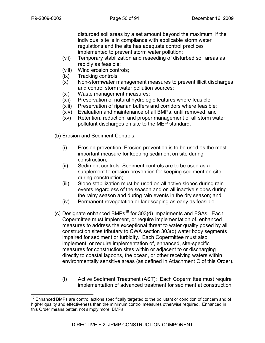disturbed soil areas by a set amount beyond the maximum, if the individual site is in compliance with applicable storm water regulations and the site has adequate control practices implemented to prevent storm water pollution;

- (vii) Temporary stabilization and reseeding of disturbed soil areas as rapidly as feasible;
- (viii) Wind erosion controls;
- (ix) Tracking controls;
- (x) Non-stormwater management measures to prevent illicit discharges and control storm water pollution sources;
- (xi) Waste management measures;
- (xii) Preservation of natural hydrologic features where feasible;
- (xiii) Preservation of riparian buffers and corridors where feasible;
- (xiv) Evaluation and maintenance of all BMPs, until removed; and
- (xv) Retention, reduction, and proper management of all storm water pollutant discharges on site to the MEP standard.
- (b) Erosion and Sediment Controls:
	- (i) Erosion prevention. Erosion prevention is to be used as the most important measure for keeping sediment on site during construction;
	- (ii) Sediment controls. Sediment controls are to be used as a supplement to erosion prevention for keeping sediment on-site during construction;
	- (iii) Slope stabilization must be used on all active slopes during rain events regardless of the season and on all inactive slopes during the rainy season and during rain events in the dry season; and
	- (iv) Permanent revegetation or landscaping as early as feasible.
- (c) Designate enhanced BMPs<sup>19</sup> for 303(d) impairments and ESAs: Each Copermittee must implement, or require implementation of, enhanced measures to address the exceptional threat to water quality posed by all construction sites tributary to CWA section 303(d) water body segments impaired for sediment or turbidity. Each Copermittee must also implement, or require implementation of, enhanced, site-specific measures for construction sites within or adjacent to or discharging directly to coastal lagoons, the ocean, or other receiving waters within environmentally sensitive areas (as defined in Attachment C of this Order).
	- (i) Active Sediment Treatment (AST): Each Copermittee must require implementation of advanced treatment for sediment at construction

<sup>1</sup> <sup>19</sup> Enhanced BMPs are control actions specifically targeted to the pollutant or condition of concern and of higher quality and effectiveness than the minimum control measures otherwise required. Enhanced in this Order means better, not simply more, BMPs.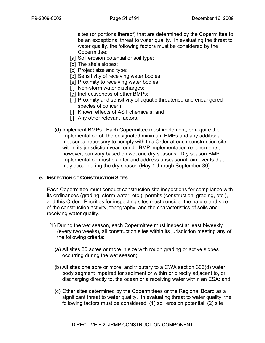sites (or portions thereof) that are determined by the Copermittee to be an exceptional threat to water quality. In evaluating the threat to water quality, the following factors must be considered by the Copermittee:

- [a] Soil erosion potential or soil type;
- [b] The site's slopes;
- [c] Project size and type;
- [d] Sensitivity of receiving water bodies;
- [e] Proximity to receiving water bodies;
- [f] Non-storm water discharges;
- [g] Ineffectiveness of other BMPs;
- [h] Proximity and sensitivity of aquatic threatened and endangered species of concern;
- [i] Known effects of AST chemicals; and
- [j] Any other relevant factors.
- (d) Implement BMPs: Each Copermittee must implement, or require the implementation of, the designated minimum BMPs and any additional measures necessary to comply with this Order at each construction site within its jurisdiction year round. BMP implementation requirements, however, can vary based on wet and dry seasons. Dry season BMP implementation must plan for and address unseasonal rain events that may occur during the dry season (May 1 through September 30).

## **e. INSPECTION OF CONSTRUCTION SITES**

Each Copermittee must conduct construction site inspections for compliance with its ordinances (grading, storm water, etc.), permits (construction, grading, etc.), and this Order. Priorities for inspecting sites must consider the nature and size of the construction activity, topography, and the characteristics of soils and receiving water quality.

- (1) During the wet season, each Copermittee must inspect at least biweekly (every two weeks), all construction sites within its jurisdiction meeting any of the following criteria:
	- (a) All sites 30 acres or more in size with rough grading or active slopes occurring during the wet season;
	- (b) All sites one acre or more, and tributary to a CWA section 303(d) water body segment impaired for sediment or within or directly adjacent to, or discharging directly to, the ocean or a receiving water within an ESA; and
	- (c) Other sites determined by the Copermittees or the Regional Board as a significant threat to water quality. In evaluating threat to water quality, the following factors must be considered: (1) soil erosion potential; (2) site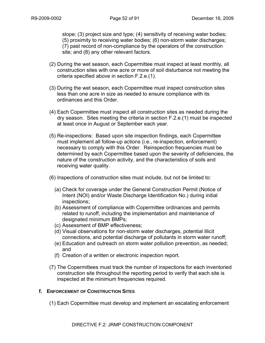slope; (3) project size and type; (4) sensitivity of receiving water bodies; (5) proximity to receiving water bodies; (6) non-storm water discharges; (7) past record of non-compliance by the operators of the construction site; and (8) any other relevant factors.

- (2) During the wet season, each Copermittee must inspect at least monthly, all construction sites with one acre or more of soil disturbance not meeting the criteria specified above in section F.2.e.(1).
- (3) During the wet season, each Copermittee must inspect construction sites less than one acre in size as needed to ensure compliance with its ordinances and this Order.
- (4) Each Copermittee must inspect all construction sites as needed during the dry season. Sites meeting the criteria in section F.2.e.(1) must be inspected at least once in August or September each year.
- (5) Re-inspections: Based upon site inspection findings, each Copermittee must implement all follow-up actions (i.e., re-inspection, enforcement) necessary to comply with this Order. Reinspection frequencies must be determined by each Copermittee based upon the severity of deficiencies, the nature of the construction activity, and the characteristics of soils and receiving water quality.
- (6) Inspections of construction sites must include, but not be limited to:
	- (a) Check for coverage under the General Construction Permit (Notice of Intent (NOI) and/or Waste Discharge Identification No.) during initial inspections;
	- (b) Assessment of compliance with Copermittee ordinances and permits related to runoff, including the implementation and maintenance of designated minimum BMPs;
	- (c) Assessment of BMP effectiveness;
	- (d) Visual observations for non-storm water discharges, potential illicit connections, and potential discharge of pollutants in storm water runoff;
	- (e) Education and outreach on storm water pollution prevention, as needed; and
	- (f) Creation of a written or electronic inspection report.
- (7) The Copermittees must track the number of inspections for each inventoried construction site throughout the reporting period to verify that each site is inspected at the minimum frequencies required.

# **f. ENFORCEMENT OF CONSTRUCTION SITES**

(1) Each Copermittee must develop and implement an escalating enforcement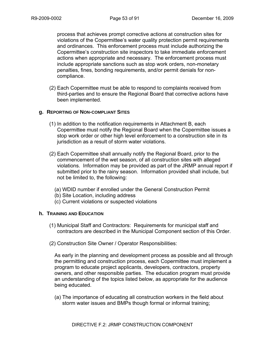process that achieves prompt corrective actions at construction sites for violations of the Copermittee's water quality protection permit requirements and ordinances. This enforcement process must include authorizing the Copermittee's construction site inspectors to take immediate enforcement actions when appropriate and necessary. The enforcement process must include appropriate sanctions such as stop work orders, non-monetary penalties, fines, bonding requirements, and/or permit denials for noncompliance.

(2) Each Copermittee must be able to respond to complaints received from third-parties and to ensure the Regional Board that corrective actions have been implemented.

#### **g. REPORTING OF NON-COMPLIANT SITES**

- (1) In addition to the notification requirements in Attachment B, each Copermittee must notify the Regional Board when the Copermittee issues a stop work order or other high level enforcement to a construction site in its jurisdiction as a result of storm water violations.
- (2) Each Copermittee shall annually notify the Regional Board, prior to the commencement of the wet season, of all construction sites with alleged violations. Information may be provided as part of the JRMP annual report if submitted prior to the rainy season. Information provided shall include, but not be limited to, the following:
	- (a) WDID number if enrolled under the General Construction Permit
	- (b) Site Location, including address
	- (c) Current violations or suspected violations

#### **h. TRAINING AND EDUCATION**

- (1) Municipal Staff and Contractors: Requirements for municipal staff and contractors are described in the Municipal Component section of this Order.
- (2) Construction Site Owner / Operator Responsibilities:

As early in the planning and development process as possible and all through the permitting and construction process, each Copermittee must implement a program to educate project applicants, developers, contractors, property owners, and other responsible parties. The education program must provide an understanding of the topics listed below, as appropriate for the audience being educated.

(a) The importance of educating all construction workers in the field about storm water issues and BMPs though formal or informal training;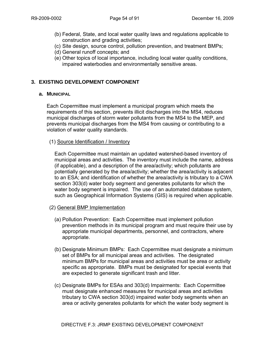- (b) Federal, State, and local water quality laws and regulations applicable to construction and grading activities;
- (c) Site design, source control, pollution prevention, and treatment BMPs;
- (d) General runoff concepts; and
- (e) Other topics of local importance, including local water quality conditions, impaired waterbodies and environmentally sensitive areas.

# **3. EXISTING DEVELOPMENT COMPONENT**

## **a. MUNICIPAL**

Each Copermittee must implement a municipal program which meets the requirements of this section, prevents illicit discharges into the MS4, reduces municipal discharges of storm water pollutants from the MS4 to the MEP, and prevents municipal discharges from the MS4 from causing or contributing to a violation of water quality standards.

## (1) Source Identification / Inventory

Each Copermittee must maintain an updated watershed-based inventory of municipal areas and activities. The inventory must include the name, address (if applicable), and a description of the area/activity; which pollutants are potentially generated by the area/activity; whether the area/activity is adjacent to an ESA; and identification of whether the area/activity is tributary to a CWA section 303(d) water body segment and generates pollutants for which the water body segment is impaired. The use of an automated database system, such as Geographical Information Systems (GIS) is required when applicable.

- (2) General BMP Implementation
	- (a) Pollution Prevention: Each Copermittee must implement pollution prevention methods in its municipal program and must require their use by appropriate municipal departments, personnel, and contractors, where appropriate.
	- (b) Designate Minimum BMPs: Each Copermittee must designate a minimum set of BMPs for all municipal areas and activities. The designated minimum BMPs for municipal areas and activities must be area or activity specific as appropriate. BMPs must be designated for special events that are expected to generate significant trash and litter.
	- (c) Designate BMPs for ESAs and 303(d) Impairments: Each Copermittee must designate enhanced measures for municipal areas and activities tributary to CWA section 303(d) impaired water body segments when an area or activity generates pollutants for which the water body segment is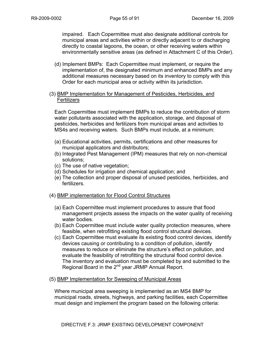impaired. Each Copermittee must also designate additional controls for municipal areas and activities within or directly adjacent to or discharging directly to coastal lagoons, the ocean, or other receiving waters within environmentally sensitive areas (as defined in Attachment C of this Order).

- (d) Implement BMPs: Each Copermittee must implement, or require the implementation of, the designated minimum and enhanced BMPs and any additional measures necessary based on its inventory to comply with this Order for each municipal area or activity within its jurisdiction.
- (3) BMP Implementation for Management of Pesticides, Herbicides, and **Fertilizers**

Each Copermittee must implement BMPs to reduce the contribution of storm water pollutants associated with the application, storage, and disposal of pesticides, herbicides and fertilizers from municipal areas and activities to MS4s and receiving waters. Such BMPs must include, at a minimum:

- (a) Educational activities, permits, certifications and other measures for municipal applicators and distributors;
- (b) Integrated Pest Management (IPM) measures that rely on non-chemical solutions;
- (c) The use of native vegetation;
- (d) Schedules for irrigation and chemical application; and
- (e) The collection and proper disposal of unused pesticides, herbicides, and fertilizers.

## (4) BMP implementation for Flood Control Structures

- (a) Each Copermittee must implement procedures to assure that flood management projects assess the impacts on the water quality of receiving water bodies.
- (b) Each Copermittee must include water quality protection measures, where feasible, when retrofitting existing flood control structural devices.
- (c) Each Copermittee must evaluate its existing flood control devices, identify devices causing or contributing to a condition of pollution, identify measures to reduce or eliminate the structure's effect on pollution, and evaluate the feasibility of retrofitting the structural flood control device. The inventory and evaluation must be completed by and submitted to the Regional Board in the 2<sup>nd</sup> year JRMP Annual Report.
- (5) BMP Implementation for Sweeping of Municipal Areas

Where municipal area sweeping is implemented as an MS4 BMP for municipal roads, streets, highways, and parking facilities, each Copermittee must design and implement the program based on the following criteria: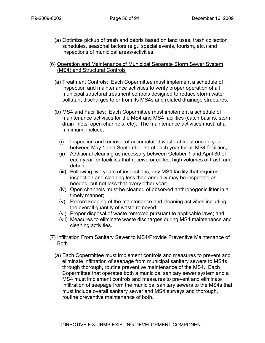(a) Optimize pickup of trash and debris based on land uses, trash collection schedules, seasonal factors (e.g., special events, tourism, etc.) and inspections of municipal areas/activities.

## (6) Operation and Maintenance of Municipal Separate Storm Sewer System (MS4) and Structural Controls

- (a) Treatment Controls: Each Copermittee must implement a schedule of inspection and maintenance activities to verify proper operation of all municipal structural treatment controls designed to reduce storm water pollutant discharges to or from its MS4s and related drainage structures.
- (b) MS4 and Facilities: Each Copermittee must implement a schedule of maintenance activities for the MS4 and MS4 facilities (catch basins, storm drain inlets, open channels, etc). The maintenance activities must, at a minimum, include:
	- (i) Inspection and removal of accumulated waste at least once a year between May 1 and September 30 of each year for all MS4 facilities;
	- (ii) Additional cleaning as necessary between October 1 and April 30 of each year for facilities that receive or collect high volumes of trash and debris;
	- (iii) Following two years of inspections, any MS4 facility that requires inspection and cleaning less than annually may be inspected as needed, but not less that every other year;
	- (iv) Open channels must be cleaned of observed anthropogenic litter in a timely manner;
	- (v) Record keeping of the maintenance and cleaning activities including the overall quantity of waste removed;
	- (vi) Proper disposal of waste removed pursuant to applicable laws; and
	- (vii) Measures to eliminate waste discharges during MS4 maintenance and cleaning activities.

## (7) Infiltration From Sanitary Sewer to MS4/Provide Preventive Maintenance of Both

(a) Each Copermittee must implement controls and measures to prevent and eliminate infiltration of seepage from municipal sanitary sewers to MS4s through thorough, routine preventive maintenance of the MS4. Each Copermittee that operates both a municipal sanitary sewer system and a MS4 must implement controls and measures to prevent and eliminate infiltration of seepage from the municipal sanitary sewers to the MS4s that must include overall sanitary sewer and MS4 surveys and thorough, routine preventive maintenance of both.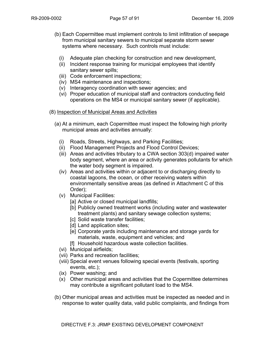- (b) Each Copermittee must implement controls to limit infiltration of seepage from municipal sanitary sewers to municipal separate storm sewer systems where necessary. Such controls must include:
	- (i) Adequate plan checking for construction and new development,
	- (ii) Incident response training for municipal employees that identify sanitary sewer spills;
	- (iii) Code enforcement inspections;
	- (iv) MS4 maintenance and inspections;
	- (v) Interagency coordination with sewer agencies; and
	- (vi) Proper education of municipal staff and contractors conducting field operations on the MS4 or municipal sanitary sewer (if applicable).
- (8) Inspection of Municipal Areas and Activities
	- (a) At a minimum, each Copermittee must inspect the following high priority municipal areas and activities annually:
		- (i) Roads, Streets, Highways, and Parking Facilities;
		- (ii) Flood Management Projects and Flood Control Devices;
		- (iii) Areas and activities tributary to a CWA section 303(d) impaired water body segment, where an area or activity generates pollutants for which the water body segment is impaired.
		- (iv) Areas and activities within or adjacent to or discharging directly to coastal lagoons, the ocean, or other receiving waters within environmentally sensitive areas (as defined in Attachment C of this Order);
		- (v) Municipal Facilities:
			- [a] Active or closed municipal landfills;
			- [b] Publicly owned treatment works (including water and wastewater treatment plants) and sanitary sewage collection systems;
			- [c] Solid waste transfer facilities;
			- [d] Land application sites;
			- [e] Corporate yards including maintenance and storage yards for materials, waste, equipment and vehicles; and
			- [f] Household hazardous waste collection facilities.
		- (vi) Municipal airfields;
		- (vii) Parks and recreation facilities;
		- (viii) Special event venues following special events (festivals, sporting events, etc.);
		- (ix) Power washing; and
		- (x) Other municipal areas and activities that the Copermittee determines may contribute a significant pollutant load to the MS4.
	- (b) Other municipal areas and activities must be inspected as needed and in response to water quality data, valid public complaints, and findings from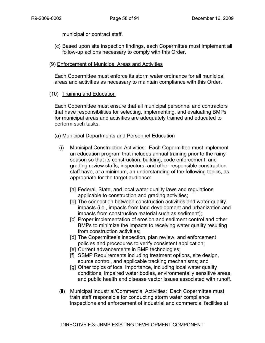municipal or contract staff.

(c) Based upon site inspection findings, each Copermittee must implement all follow-up actions necessary to comply with this Order.

## (9) Enforcement of Municipal Areas and Activities

Each Copermittee must enforce its storm water ordinance for all municipal areas and activities as necessary to maintain compliance with this Order.

## (10) Training and Education

Each Copermittee must ensure that all municipal personnel and contractors that have responsibilities for selecting, implementing, and evaluating BMPs for municipal areas and activities are adequately trained and educated to perform such tasks.

(a) Municipal Departments and Personnel Education

- (i) Municipal Construction Activities: Each Copermittee must implement an education program that includes annual training prior to the rainy season so that its construction, building, code enforcement, and grading review staffs, inspectors, and other responsible construction staff have, at a minimum, an understanding of the following topics, as appropriate for the target audience:
	- [a] Federal, State, and local water quality laws and regulations applicable to construction and grading activities;
	- [b] The connection between construction activities and water quality impacts (i.e., impacts from land development and urbanization and impacts from construction material such as sediment);
	- [c] Proper implementation of erosion and sediment control and other BMPs to minimize the impacts to receiving water quality resulting from construction activities;
	- [d] The Copermittee's inspection, plan review, and enforcement policies and procedures to verify consistent application;
	- [e] Current advancements in BMP technologies;
	- [f] SSMP Requirements including treatment options, site design, source control, and applicable tracking mechanisms; and
	- [g] Other topics of local importance, including local water quality conditions, impaired water bodies, environmentally sensitive areas, and public health and disease vector issues associated with runoff.
- (ii) Municipal Industrial/Commercial Activities: Each Copermittee must train staff responsible for conducting storm water compliance inspections and enforcement of industrial and commercial facilities at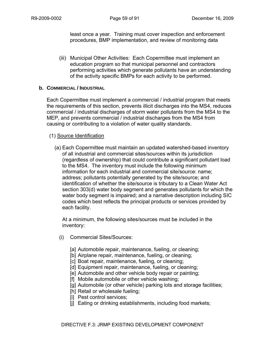least once a year. Training must cover inspection and enforcement procedures, BMP implementation, and review of monitoring data

(iii) Municipal Other Activities: Each Copermittee must implement an education program so that municipal personnel and contractors performing activities which generate pollutants have an understanding of the activity specific BMPs for each activity to be performed.

## **b. COMMERCIAL / INDUSTRIAL**

Each Copermittee must implement a commercial / industrial program that meets the requirements of this section, prevents illicit discharges into the MS4, reduces commercial / industrial discharges of storm water pollutants from the MS4 to the MEP, and prevents commercial / industrial discharges from the MS4 from causing or contributing to a violation of water quality standards.

## (1) Source Identification

(a) Each Copermittee must maintain an updated watershed-based inventory of all industrial and commercial sites/sources within its jurisdiction (regardless of ownership) that could contribute a significant pollutant load to the MS4. The inventory must include the following minimum information for each industrial and commercial site/source: name; address; pollutants potentially generated by the site/source; and identification of whether the site/source is tributary to a Clean Water Act section 303(d) water body segment and generates pollutants for which the water body segment is impaired; and a narrative description including SIC codes which best reflects the principal products or services provided by each facility.

At a minimum, the following sites/sources must be included in the inventory:

- (i) Commercial Sites/Sources:
	- [a] Automobile repair, maintenance, fueling, or cleaning;
	- [b] Airplane repair, maintenance, fueling, or cleaning;
	- [c] Boat repair, maintenance, fueling, or cleaning;
	- [d] Equipment repair, maintenance, fueling, or cleaning;
	- [e] Automobile and other vehicle body repair or painting;
	- [f] Mobile automobile or other vehicle washing;
	- [g] Automobile (or other vehicle) parking lots and storage facilities;
	- [h] Retail or wholesale fueling;
	- [i] Pest control services;
	- [j] Eating or drinking establishments, including food markets;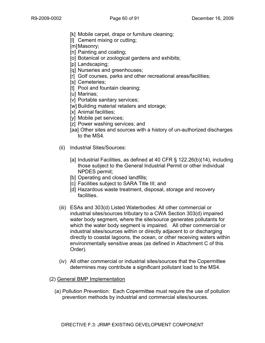- [k] Mobile carpet, drape or furniture cleaning;
- [l] Cement mixing or cutting;
- [m] Masonry;
- [n] Painting and coating;
- [o] Botanical or zoological gardens and exhibits;
- [p] Landscaping;
- [q] Nurseries and greenhouses;
- [r] Golf courses, parks and other recreational areas/facilities;
- [s] Cemeteries:
- [t] Pool and fountain cleaning;
- [u] Marinas;
- [v] Portable sanitary services;
- [w] Building material retailers and storage;
- [x] Animal facilities;
- [v] Mobile pet services;
- [z] Power washing services; and
- [aa] Other sites and sources with a history of un-authorized discharges to the MS4.
- (ii) Industrial Sites/Sources:
	- [a] Industrial Facilities, as defined at 40 CFR § 122.26(b)(14), including those subject to the General Industrial Permit or other individual NPDES permit;
	- [b] Operating and closed landfills;
	- [c] Facilities subject to SARA Title III; and
	- [d] Hazardous waste treatment, disposal, storage and recovery facilities.
- (iii) ESAs and 303(d) Listed Waterbodies: All other commercial or industrial sites/sources tributary to a CWA Section 303(d) impaired water body segment, where the site/source generates pollutants for which the water body segment is impaired. All other commercial or industrial sites/sources within or directly adjacent to or discharging directly to coastal lagoons, the ocean, or other receiving waters within environmentally sensitive areas (as defined in Attachment C of this Order).
- (iv) All other commercial or industrial sites/sources that the Copermittee determines may contribute a significant pollutant load to the MS4.

# (2) General BMP Implementation

(a) Pollution Prevention: Each Copermittee must require the use of pollution prevention methods by industrial and commercial sites/sources.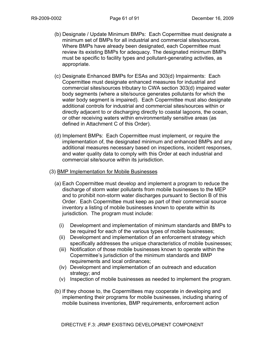- (b) Designate / Update Minimum BMPs: Each Copermittee must designate a minimum set of BMPs for all industrial and commercial sites/sources. Where BMPs have already been designated, each Copermittee must review its existing BMPs for adequacy. The designated minimum BMPs must be specific to facility types and pollutant-generating activities, as appropriate.
- (c) Designate Enhanced BMPs for ESAs and 303(d) Impairments: Each Copermittee must designate enhanced measures for industrial and commercial sites/sources tributary to CWA section 303(d) impaired water body segments (where a site/source generates pollutants for which the water body segment is impaired). Each Copermittee must also designate additional controls for industrial and commercial sites/sources within or directly adjacent to or discharging directly to coastal lagoons, the ocean, or other receiving waters within environmentally sensitive areas (as defined in Attachment C of this Order).
- (d) Implement BMPs: Each Copermittee must implement, or require the implementation of, the designated minimum and enhanced BMPs and any additional measures necessary based on inspections, incident responses, and water quality data to comply with this Order at each industrial and commercial site/source within its jurisdiction.
- (3) BMP Implementation for Mobile Businesses
	- (a) Each Copermittee must develop and implement a program to reduce the discharge of storm water pollutants from mobile businesses to the MEP and to prohibit non-storm water discharges pursuant to Section B of this Order. Each Copermittee must keep as part of their commercial source inventory a listing of mobile businesses known to operate within its jurisdiction. The program must include:
		- (i) Development and implementation of minimum standards and BMPs to be required for each of the various types of mobile businesses;
		- (ii) Development and implementation of an enforcement strategy which specifically addresses the unique characteristics of mobile businesses;
		- (iii) Notification of those mobile businesses known to operate within the Copermittee's jurisdiction of the minimum standards and BMP requirements and local ordinances;
		- (iv) Development and implementation of an outreach and education strategy; and
		- (v) Inspection of mobile businesses as needed to implement the program.
	- (b) If they choose to, the Copermittees may cooperate in developing and implementing their programs for mobile businesses, including sharing of mobile business inventories, BMP requirements, enforcement action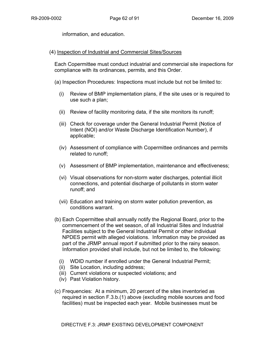information, and education.

## (4) Inspection of Industrial and Commercial Sites/Sources

Each Copermittee must conduct industrial and commercial site inspections for compliance with its ordinances, permits, and this Order.

(a) Inspection Procedures: Inspections must include but not be limited to:

- (i) Review of BMP implementation plans, if the site uses or is required to use such a plan;
- (ii) Review of facility monitoring data, if the site monitors its runoff;
- (iii) Check for coverage under the General Industrial Permit (Notice of Intent (NOI) and/or Waste Discharge Identification Number), if applicable;
- (iv) Assessment of compliance with Copermittee ordinances and permits related to runoff;
- (v) Assessment of BMP implementation, maintenance and effectiveness;
- (vi) Visual observations for non-storm water discharges, potential illicit connections, and potential discharge of pollutants in storm water runoff; and
- (vii) Education and training on storm water pollution prevention, as conditions warrant.
- (b) Each Copermittee shall annually notify the Regional Board, prior to the commencement of the wet season, of all Industrial Sites and Industrial Facilities subject to the General Industrial Permit or other individual NPDES permit with alleged violations. Information may be provided as part of the JRMP annual report if submitted prior to the rainy season. Information provided shall include, but not be limited to, the following:
	- (i) WDID number if enrolled under the General Industrial Permit;
	- (ii) Site Location, including address;
	- (iii) Current violations or suspected violations; and
	- (iv) Past Violation history.
- (c) Frequencies: At a minimum, 20 percent of the sites inventoried as required in section F.3.b.(1) above (excluding mobile sources and food facilities) must be inspected each year. Mobile businesses must be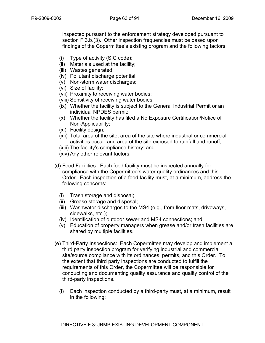inspected pursuant to the enforcement strategy developed pursuant to section F.3.b.(3). Other inspection frequencies must be based upon findings of the Copermittee's existing program and the following factors:

- (i) Type of activity (SIC code);
- (ii) Materials used at the facility;
- (iii) Wastes generated;
- (iv) Pollutant discharge potential;
- (v) Non-storm water discharges;
- (vi) Size of facility;
- (vii) Proximity to receiving water bodies;
- (viii) Sensitivity of receiving water bodies;
- (ix) Whether the facility is subject to the General Industrial Permit or an individual NPDES permit;
- (x) Whether the facility has filed a No Exposure Certification/Notice of Non-Applicability;
- (xi) Facility design;
- (xii) Total area of the site, area of the site where industrial or commercial activities occur, and area of the site exposed to rainfall and runoff;
- (xiii) The facility's compliance history; and
- (xiv) Any other relevant factors.
- (d) Food Facilities: Each food facility must be inspected annually for compliance with the Copermittee's water quality ordinances and this Order. Each inspection of a food facility must, at a minimum, address the following concerns:
	- (i) Trash storage and disposal;
	- (ii) Grease storage and disposal;
	- (iii) Washwater discharges to the MS4 (e.g., from floor mats, driveways, sidewalks, etc.);
	- (iv) Identification of outdoor sewer and MS4 connections; and
	- (v) Education of property managers when grease and/or trash facilities are shared by multiple facilities.
- (e) Third-Party Inspections: Each Copermittee may develop and implement a third party inspection program for verifying industrial and commercial site/source compliance with its ordinances, permits, and this Order. To the extent that third party inspections are conducted to fulfill the requirements of this Order, the Copermittee will be responsible for conducting and documenting quality assurance and quality control of the third-party inspections.
	- (i) Each inspection conducted by a third-party must, at a minimum, result in the following: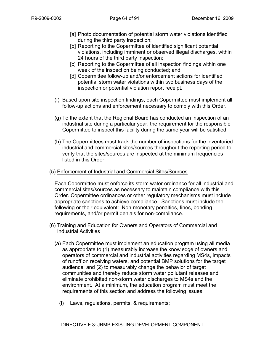- [a] Photo documentation of potential storm water violations identified during the third party inspection;
- [b] Reporting to the Copermittee of identified significant potential violations, including imminent or observed illegal discharges, within 24 hours of the third party inspection;
- [c] Reporting to the Copermittee of all inspection findings within one week of the inspection being conducted; and
- [d] Copermittee follow-up and/or enforcement actions for identified potential storm water violations within two business days of the inspection or potential violation report receipt.
- (f) Based upon site inspection findings, each Copermittee must implement all follow-up actions and enforcement necessary to comply with this Order.
- (g) To the extent that the Regional Board has conducted an inspection of an industrial site during a particular year, the requirement for the responsible Copermittee to inspect this facility during the same year will be satisfied.
- (h) The Copermittees must track the number of inspections for the inventoried industrial and commercial sites/sources throughout the reporting period to verify that the sites/sources are inspected at the minimum frequencies listed in this Order.
- (5) Enforcement of Industrial and Commercial Sites/Sources

Each Copermittee must enforce its storm water ordinance for all industrial and commercial sites/sources as necessary to maintain compliance with this Order. Copermittee ordinances or other regulatory mechanisms must include appropriate sanctions to achieve compliance. Sanctions must include the following or their equivalent: Non-monetary penalties, fines, bonding requirements, and/or permit denials for non-compliance.

#### (6) Training and Education for Owners and Operators of Commercial and Industrial Activities

- (a) Each Copermittee must implement an education program using all media as appropriate to (1) measurably increase the knowledge of owners and operators of commercial and industrial activities regarding MS4s, impacts of runoff on receiving waters, and potential BMP solutions for the target audience; and (2) to measurably change the behavior of target communities and thereby reduce storm water pollutant releases and eliminate prohibited non-storm water discharges to MS4s and the environment. At a minimum, the education program must meet the requirements of this section and address the following issues:
	- (i) Laws, regulations, permits, & requirements;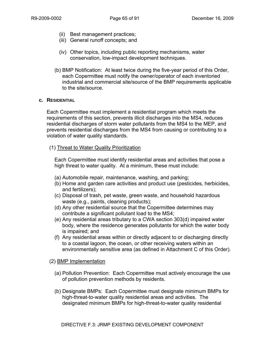- (ii) Best management practices;
- (iii) General runoff concepts; and
- (iv) Other topics, including public reporting mechanisms, water conservation, low-impact development techniques.
- (b) BMP Notification: At least twice during the five-year period of this Order, each Copermittee must notify the owner/operator of each inventoried industrial and commercial site/source of the BMP requirements applicable to the site/source.

## **c. RESIDENTIAL**

Each Copermittee must implement a residential program which meets the requirements of this section, prevents illicit discharges into the MS4, reduces residential discharges of storm water pollutants from the MS4 to the MEP, and prevents residential discharges from the MS4 from causing or contributing to a violation of water quality standards.

## (1) Threat to Water Quality Prioritization

Each Copermittee must identify residential areas and activities that pose a high threat to water quality. At a minimum, these must include:

- (a) Automobile repair, maintenance, washing, and parking;
- (b) Home and garden care activities and product use (pesticides, herbicides, and fertilizers);
- (c) Disposal of trash, pet waste, green waste, and household hazardous waste (e.g., paints, cleaning products);
- (d) Any other residential source that the Copermittee determines may contribute a significant pollutant load to the MS4;
- (e) Any residential areas tributary to a CWA section 303(d) impaired water body, where the residence generates pollutants for which the water body is impaired; and
- (f) Any residential areas within or directly adjacent to or discharging directly to a coastal lagoon, the ocean, or other receiving waters within an environmentally sensitive area (as defined in Attachment C of this Order).

(2) BMP Implementation

- (a) Pollution Prevention: Each Copermittee must actively encourage the use of pollution prevention methods by residents.
- (b) Designate BMPs: Each Copermittee must designate minimum BMPs for high-threat-to-water quality residential areas and activities. The designated minimum BMPs for high-threat-to-water quality residential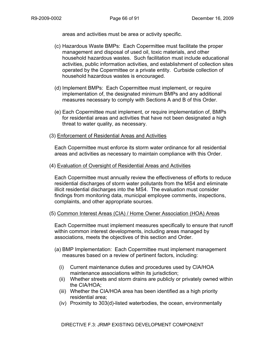areas and activities must be area or activity specific.

- (c) Hazardous Waste BMPs: Each Copermittee must facilitate the proper management and disposal of used oil, toxic materials, and other household hazardous wastes. Such facilitation must include educational activities, public information activities, and establishment of collection sites operated by the Copermittee or a private entity. Curbside collection of household hazardous wastes is encouraged.
- (d) Implement BMPs: Each Copermittee must implement, or require implementation of, the designated minimum BMPs and any additional measures necessary to comply with Sections A and B of this Order.
- (e) Each Copermittee must implement, or require implementation of, BMPs for residential areas and activities that have not been designated a high threat to water quality, as necessary.
- (3) Enforcement of Residential Areas and Activities

Each Copermittee must enforce its storm water ordinance for all residential areas and activities as necessary to maintain compliance with this Order.

#### (4) Evaluation of Oversight of Residential Areas and Activities

Each Copermittee must annually review the effectiveness of efforts to reduce residential discharges of storm water pollutants from the MS4 and eliminate illicit residential discharges into the MS4. The evaluation must consider findings from monitoring data, municipal employee comments, inspections, complaints, and other appropriate sources.

#### (5) Common Interest Areas (CIA) / Home Owner Association (HOA) Areas

Each Copermittee must implement measures specifically to ensure that runoff within common interest developments, including areas managed by associations, meets the objectives of this section and Order.

- (a) BMP Implementation: Each Copermittee must implement management measures based on a review of pertinent factors, including:
	- (i) Current maintenance duties and procedures used by CIA/HOA maintenance associations within its jurisdiction;
	- (ii) Whether streets and storm drains are publicly or privately owned within the CIA/HOA;
	- (iii) Whether the CIA/HOA area has been identified as a high priority residential area;
	- (iv) Proximity to 303(d)-listed waterbodies, the ocean, environmentally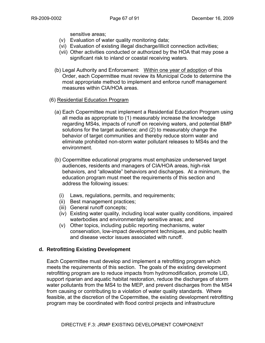sensitive areas;

- (v) Evaluation of water quality monitoring data;
- (vi) Evaluation of existing illegal discharge/illicit connection activities;
- (vii) Other activities conducted or authorized by the HOA that may pose a significant risk to inland or coastal receiving waters.
- (b) Legal Authority and Enforcement: Within one year of adoption of this Order, each Copermittee must review its Municipal Code to determine the most appropriate method to implement and enforce runoff management measures within CIA/HOA areas.
- (6) Residential Education Program
	- (a) Each Copermittee must implement a Residential Education Program using all media as appropriate to (1) measurably increase the knowledge regarding MS4s, impacts of runoff on receiving waters, and potential BMP solutions for the target audience; and (2) to measurably change the behavior of target communities and thereby reduce storm water and eliminate prohibited non-storm water pollutant releases to MS4s and the environment.
	- (b) Copermittee educational programs must emphasize underserved target audiences, residents and managers of CIA/HOA areas, high-risk behaviors, and "allowable" behaviors and discharges. At a minimum, the education program must meet the requirements of this section and address the following issues:
		- (i) Laws, regulations, permits, and requirements;
		- (ii) Best management practices;
		- (iii) General runoff concepts;
		- (iv) Existing water quality, including local water quality conditions, impaired waterbodies and environmentally sensitive areas; and
		- (v) Other topics, including public reporting mechanisms, water conservation, low-impact development techniques, and public health and disease vector issues associated with runoff.

# **d. Retrofitting Existing Development**

Each Copermittee must develop and implement a retrofitting program which meets the requirements of this section. The goals of the existing development retrofitting program are to reduce impacts from hydromodification, promote LID, support riparian and aquatic habitat restoration, reduce the discharges of storm water pollutants from the MS4 to the MEP, and prevent discharges from the MS4 from causing or contributing to a violation of water quality standards. Where feasible, at the discretion of the Copermittee, the existing development retrofitting program may be coordinated with flood control projects and infrastructure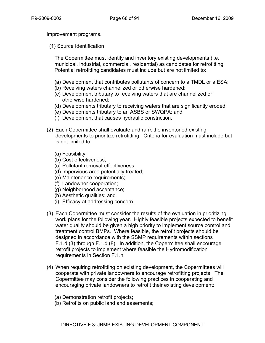improvement programs.

(1) Source Identification

The Copermittee must identify and inventory existing developments (i.e. municipal, industrial, commercial, residential) as candidates for retrofitting. Potential retrofitting candidates must include but are not limited to:

- (a) Development that contributes pollutants of concern to a TMDL or a ESA;
- (b) Receiving waters channelized or otherwise hardened;
- (c) Development tributary to receiving waters that are channelized or otherwise hardened;
- (d) Developments tributary to receiving waters that are significantly eroded;
- (e) Developments tributary to an ASBS or SWQPA; and
- (f) Development that causes hydraulic constriction.
- (2) Each Copermittee shall evaluate and rank the inventoried existing developments to prioritize retrofitting. Criteria for evaluation must include but is not limited to:
	- (a) Feasibility;
	- (b) Cost effectiveness;
	- (c) Pollutant removal effectiveness;
	- (d) Impervious area potentially treated;
	- (e) Maintenance requirements;
	- (f) Landowner cooperation;
	- (g) Neighborhood acceptance;
	- (h) Aesthetic qualities; and
	- (i) Efficacy at addressing concern.
- (3) Each Copermittee must consider the results of the evaluation in prioritizing work plans for the following year. Highly feasible projects expected to benefit water quality should be given a high priority to implement source control and treatment control BMPs. Where feasible, the retrofit projects should be designed in accordance with the SSMP requirements within sections F.1.d.(3) through F.1.d.(8). In addition, the Copermittee shall encourage retrofit projects to implement where feasible the Hydromodification requirements in Section F.1.h.
- (4) When requiring retrofitting on existing development, the Copermittees will cooperate with private landowners to encourage retrofitting projects. The Copermittee may consider the following practices in cooperating and encouraging private landowners to retrofit their existing development:
	- (a) Demonstration retrofit projects;
	- (b) Retrofits on public land and easements;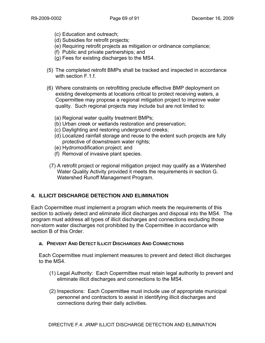- (c) Education and outreach;
- (d) Subsidies for retrofit projects;
- (e) Requiring retrofit projects as mitigation or ordinance compliance;
- (f) Public and private partnerships; and
- (g) Fees for existing discharges to the MS4.
- (5) The completed retrofit BMPs shall be tracked and inspected in accordance with section F.1.f.
- (6) Where constraints on retrofitting preclude effective BMP deployment on existing developments at locations critical to protect receiving waters, a Copermittee may propose a regional mitigation project to improve water quality. Such regional projects may include but are not limited to:
	- (a) Regional water quality treatment BMPs;
	- (b) Urban creek or wetlands restoration and preservation;
	- (c) Daylighting and restoring underground creeks;
	- (d) Localized rainfall storage and reuse to the extent such projects are fully protective of downstream water rights;
	- (e) Hydromodification project; and
	- (f) Removal of invasive plant species.
- (7) A retrofit project or regional mitigation project may qualify as a Watershed Water Quality Activity provided it meets the requirements in section G. Watershed Runoff Management Program.

# **4. ILLICIT DISCHARGE DETECTION AND ELIMINATION**

Each Copermittee must implement a program which meets the requirements of this section to actively detect and eliminate illicit discharges and disposal into the MS4. The program must address all types of illicit discharges and connections excluding those non-storm water discharges not prohibited by the Copermittee in accordance with section B of this Order.

## **a. PREVENT AND DETECT ILLICIT DISCHARGES AND CONNECTIONS**

Each Copermittee must implement measures to prevent and detect illicit discharges to the MS4.

- (1) Legal Authority: Each Copermittee must retain legal authority to prevent and eliminate illicit discharges and connections to the MS4.
- (2) Inspections: Each Copermittee must include use of appropriate municipal personnel and contractors to assist in identifying illicit discharges and connections during their daily activities.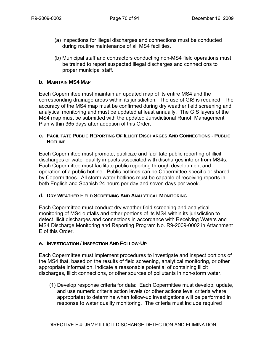- (a) Inspections for illegal discharges and connections must be conducted during routine maintenance of all MS4 facilities.
- (b) Municipal staff and contractors conducting non-MS4 field operations must be trained to report suspected illegal discharges and connections to proper municipal staff.

## **b. MAINTAIN MS4 MAP**

Each Copermittee must maintain an updated map of its entire MS4 and the corresponding drainage areas within its jurisdiction. The use of GIS is required. The accuracy of the MS4 map must be confirmed during dry weather field screening and analytical monitoring and must be updated at least annually. The GIS layers of the MS4 map must be submitted with the updated Jurisdictional Runoff Management Plan within 365 days after adoption of this Order.

#### **c. FACILITATE PUBLIC REPORTING OF ILLICIT DISCHARGES AND CONNECTIONS - PUBLIC HOTLINE**

Each Copermittee must promote, publicize and facilitate public reporting of illicit discharges or water quality impacts associated with discharges into or from MS4s. Each Copermittee must facilitate public reporting through development and operation of a public hotline. Public hotlines can be Copermittee-specific or shared by Copermittees. All storm water hotlines must be capable of receiving reports in both English and Spanish 24 hours per day and seven days per week.

## **d. DRY WEATHER FIELD SCREENING AND ANALYTICAL MONITORING**

Each Copermittee must conduct dry weather field screening and analytical monitoring of MS4 outfalls and other portions of its MS4 within its jurisdiction to detect illicit discharges and connections in accordance with Receiving Waters and MS4 Discharge Monitoring and Reporting Program No. R9-2009-0002 in Attachment E of this Order.

## **e. INVESTIGATION / INSPECTION AND FOLLOW-UP**

Each Copermittee must implement procedures to investigate and inspect portions of the MS4 that, based on the results of field screening, analytical monitoring, or other appropriate information, indicate a reasonable potential of containing illicit discharges, illicit connections, or other sources of pollutants in non-storm water.

(1) Develop response criteria for data: Each Copermittee must develop, update, and use numeric criteria action levels (or other actions level criteria where appropriate) to determine when follow-up investigations will be performed in response to water quality monitoring. The criteria must include required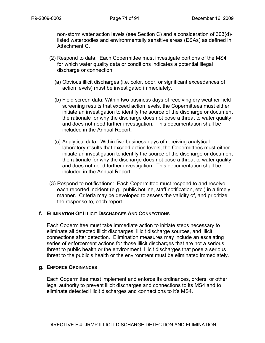non-storm water action levels (see Section C) and a consideration of 303(d) listed waterbodies and environmentally sensitive areas (ESAs) as defined in Attachment C.

- (2) Respond to data: Each Copermittee must investigate portions of the MS4 for which water quality data or conditions indicates a potential illegal discharge or connection.
	- (a) Obvious illicit discharges (i.e. color, odor, or significant exceedances of action levels) must be investigated immediately.
	- (b) Field screen data: Within two business days of receiving dry weather field screening results that exceed action levels, the Copermittees must either initiate an investigation to identify the source of the discharge or document the rationale for why the discharge does not pose a threat to water quality and does not need further investigation. This documentation shall be included in the Annual Report.
	- (c) Analytical data: Within five business days of receiving analytical laboratory results that exceed action levels, the Copermittees must either initiate an investigation to identify the source of the discharge or document the rationale for why the discharge does not pose a threat to water quality and does not need further investigation. This documentation shall be included in the Annual Report.
- (3) Respond to notifications: Each Copermittee must respond to and resolve each reported incident (e.g., public hotline, staff notification, etc.) in a timely manner. Criteria may be developed to assess the validity of, and prioritize the response to, each report.

#### **f. ELIMINATION OF ILLICIT DISCHARGES AND CONNECTIONS**

Each Copermittee must take immediate action to initiate steps necessary to eliminate all detected illicit discharges, illicit discharge sources, and illicit connections after detection. Elimination measures may include an escalating series of enforcement actions for those illicit discharges that are not a serious threat to public health or the environment. Illicit discharges that pose a serious threat to the public's health or the environment must be eliminated immediately.

#### **g. ENFORCE ORDINANCES**

Each Copermittee must implement and enforce its ordinances, orders, or other legal authority to prevent illicit discharges and connections to its MS4 and to eliminate detected illicit discharges and connections to it's MS4.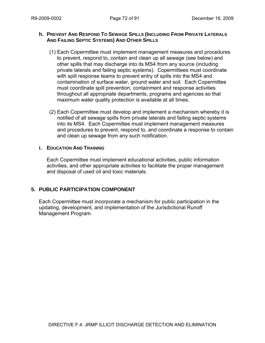#### **h. PREVENT AND RESPOND TO SEWAGE SPILLS (INCLUDING FROM PRIVATE LATERALS AND FAILING SEPTIC SYSTEMS) AND OTHER SPILLS**

- (1) Each Copermittee must implement management measures and procedures to prevent, respond to, contain and clean up all sewage (see below) and other spills that may discharge into its MS4 from any source (including private laterals and failing septic systems). Copermittees must coordinate with spill response teams to prevent entry of spills into the MS4 and contamination of surface water, ground water and soil. Each Copermittee must coordinate spill prevention, containment and response activities throughout all appropriate departments, programs and agencies so that maximum water quality protection is available at all times.
- (2) Each Copermittee must develop and implement a mechanism whereby it is notified of all sewage spills from private laterals and failing septic systems into its MS4. Each Copermittee must implement management measures and procedures to prevent, respond to, and coordinate a response to contain and clean up sewage from any such notification.

#### **i. EDUCATION AND TRAINING**

Each Copermittee must implement educational activities, public information activities, and other appropriate activities to facilitate the proper management and disposal of used oil and toxic materials.

## **5. PUBLIC PARTICIPATION COMPONENT**

Each Copermittee must incorporate a mechanism for public participation in the updating, development, and implementation of the Jurisdictional Runoff Management Program.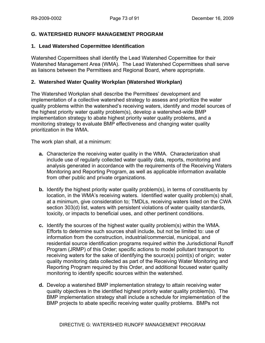## **G. WATERSHED RUNOFF MANAGEMENT PROGRAM**

#### **1. Lead Watershed Copermittee Identification**

Watershed Copermittees shall identify the Lead Watershed Copermittee for their Watershed Management Area (WMA). The Lead Watershed Copermittees shall serve as liaisons between the Permittees and Regional Board, where appropriate.

## **2. Watershed Water Quality Workplan (Watershed Workplan)**

The Watershed Workplan shall describe the Permittees' development and implementation of a collective watershed strategy to assess and prioritize the water quality problems within the watershed's receiving waters, identify and model sources of the highest priority water quality problem(s), develop a watershed-wide BMP implementation strategy to abate highest priority water quality problems, and a monitoring strategy to evaluate BMP effectiveness and changing water quality prioritization in the WMA.

The work plan shall, at a minimum:

- **a.** Characterize the receiving water quality in the WMA. Characterization shall include use of regularly collected water quality data, reports, monitoring and analysis generated in accordance with the requirements of the Receiving Waters Monitoring and Reporting Program, as well as applicable information available from other public and private organizations.
- **b.** Identify the highest priority water quality problem(s), in terms of constituents by location, in the WMA's receiving waters. Identified water quality problem(s) shall, at a minimum, give consideration to; TMDLs, receiving waters listed on the CWA section 303(d) list, waters with persistent violations of water quality standards, toxicity, or impacts to beneficial uses, and other pertinent conditions.
- **c.** Identify the sources of the highest water quality problem(s) within the WMA. Efforts to determine such sources shall include, but not be limited to: use of information from the construction, industrial/commercial, municipal, and residential source identification programs required within the Jurisdictional Runoff Program (JRMP) of this Order; specific actions to model pollutant transport to receiving waters for the sake of identifying the source(s) point(s) of origin; water quality monitoring data collected as part of the Receiving Water Monitoring and Reporting Program required by this Order, and additional focused water quality monitoring to identify specific sources within the watershed.
- **d.** Develop a watershed BMP implementation strategy to attain receiving water quality objectives in the identified highest priority water quality problem(s). The BMP implementation strategy shall include a schedule for implementation of the BMP projects to abate specific receiving water quality problems. BMPs not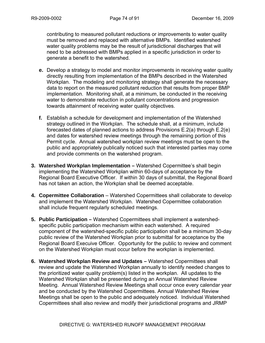contributing to measured pollutant reductions or improvements to water quality must be removed and replaced with alternative BMPs. Identified watershed water quality problems may be the result of jurisdictional discharges that will need to be addressed with BMPs applied in a specific jurisdiction in order to generate a benefit to the watershed.

- **e.** Develop a strategy to model and monitor improvements in receiving water quality directly resulting from implementation of the BMPs described in the Watershed Workplan. The modeling and monitoring strategy shall generate the necessary data to report on the measured pollutant reduction that results from proper BMP implementation. Monitoring shall, at a minimum, be conducted in the receiving water to demonstrate reduction in pollutant concentrations and progression towards attainment of receiving water quality objectives.
- **f.** Establish a schedule for development and implementation of the Watershed strategy outlined in the Workplan. The schedule shall, at a minimum, include forecasted dates of planned actions to address Provisions E.2(a) through E.2(e) and dates for watershed review meetings through the remaining portion of this Permit cycle. Annual watershed workplan review meetings must be open to the public and appropriately publically noticed such that interested parties may come and provide comments on the watershed program.
- **3. Watershed Workplan Implementation** Watershed Copermittee's shall begin implementing the Watershed Workplan within 60-days of acceptance by the Regional Board Executive Officer. If within 30 days of submittal, the Regional Board has not taken an action, the Workplan shall be deemed acceptable.
- **4. Copermittee Collaboration** Watershed Copermittees shall collaborate to develop and implement the Watershed Workplan. Watershed Copermittee collaboration shall include frequent regularly scheduled meetings.
- **5. Public Participation** Watershed Copermittees shall implement a watershedspecific public participation mechanism within each watershed. A required component of the watershed-specific public participation shall be a minimum 30-day public review of the Watershed Workplan prior to submittal for acceptance by the Regional Board Execuive Officer. Opportunity for the public to review and comment on the Watershed Workplan must occur before the workplan is implemented.
- **6. Watershed Workplan Review and Updates** Watershed Copermittees shall review and update the Watershed Workplan annually to identify needed changes to the prioritized water quality problem(s) listed in the workplan. All updates to the Watershed Workplan shall be presented during an Annual Watershed Review Meeting. Annual Watershed Review Meetings shall occur once every calendar year and be conducted by the Watershed Copermittees. Annual Watershed Review Meetings shall be open to the public and adequately noticed. Individual Watershed Copermittees shall also review and modify their jurisdictional programs and JRMP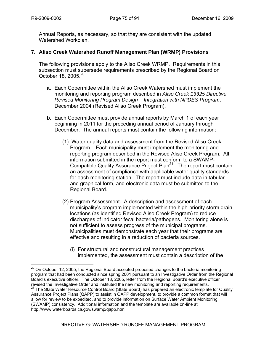$\overline{a}$ 

Annual Reports, as necessary, so that they are consistent with the updated Watershed Workplan.

## **7. Aliso Creek Watershed Runoff Management Plan (WRMP) Provisions**

The following provisions apply to the Aliso Creek WRMP. Requirements in this subsection must supersede requirements prescribed by the Regional Board on October 18, 2005.<sup>20</sup>

- **a.** Each Copermittee within the Aliso Creek Watershed must implement the monitoring and reporting program described in *Aliso Creek 13325 Directive, Revised Monitoring Program Design – Integration with NPDES Program*, December 2004 (Revised Aliso Creek Program).
- **b.** Each Copermittee must provide annual reports by March 1 of each year beginning in 2011 for the preceding annual period of January through December. The annual reports must contain the following information:
	- (1) Water quality data and assessment from the Revised Aliso Creek Program. Each municipality must implement the monitoring and reporting program described in the Revised Aliso Creek Program. All information submitted in the report must conform to a SWAMP-Compatible Quality Assurance Project Plan<sup>21</sup>. The report must contain an assessment of compliance with applicable water quality standards for each monitoring station. The report must include data in tabular and graphical form, and electronic data must be submitted to the Regional Board.
	- (2) Program Assessment. A description and assessment of each municipality's program implemented within the high-priority storm drain locations (as identified Revised Aliso Creek Program) to reduce discharges of indicator fecal bacteria/pathogens. Monitoring alone is not sufficient to assess progress of the municipal programs. Municipalities must demonstrate each year that their programs are effective and resulting in a reduction of bacteria sources.
		- (i) For structural and nonstructural management practices implemented, the assessment must contain a description of the

 $20$  On October 12, 2005, the Regional Board accepted proposed changes to the bacteria monitoring program that had been conducted since spring 2001 pursuant to an Investigative Order from the Regional Board's executive officer. The October 18, 2005, letter from the Regional Board's executive officer revised the Investigative Order and instituted the new monitoring and reporting requirements. revised the Investigative Order and instituted the new monography monography and reporting and reporting  $21$  The State Water Resource Control Board (State Board) has prepared an electronic template for Quality Assurance Project Plans (QAPP) to assist in QAPP development, to provide a common format that will allow for review to be expedited, and to provide information on Surface Water Ambient Monitoring (SWAMP) consistency. Additional information and the template are available on-line at http://www.waterboards.ca.gov/swamp/qapp.html.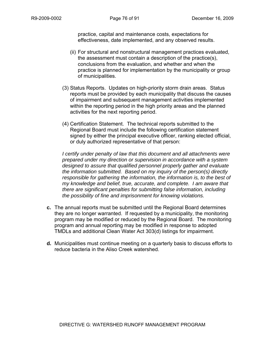practice, capital and maintenance costs, expectations for effectiveness, date implemented, and any observed results.

- (ii) For structural and nonstructural management practices evaluated, the assessment must contain a description of the practice(s), conclusions from the evaluation, and whether and when the practice is planned for implementation by the municipality or group of municipalities.
- (3) Status Reports. Updates on high-priority storm drain areas. Status reports must be provided by each municipality that discuss the causes of impairment and subsequent management activities implemented within the reporting period in the high priority areas and the planned activities for the next reporting period.
- (4) Certification Statement. The technical reports submitted to the Regional Board must include the following certification statement signed by either the principal executive officer, ranking elected official, or duly authorized representative of that person:

*I certify under penalty of law that this document and all attachments were prepared under my direction or supervision in accordance with a system designed to assure that qualified personnel properly gather and evaluate the information submitted. Based on my inquiry of the person(s) directly responsible for gathering the information, the information is, to the best of my knowledge and belief, true, accurate, and complete. I am aware that there are significant penalties for submitting false information, including the possibility of fine and imprisonment for knowing violations.* 

- **c.** The annual reports must be submitted until the Regional Board determines they are no longer warranted. If requested by a municipality, the monitoring program may be modified or reduced by the Regional Board. The monitoring program and annual reporting may be modified in response to adopted TMDLs and additional Clean Water Act 303(d) listings for impairment.
- **d.** Municipalities must continue meeting on a quarterly basis to discuss efforts to reduce bacteria in the Aliso Creek watershed.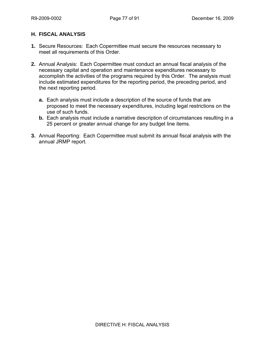## **H. FISCAL ANALYSIS**

- **1.** Secure Resources: Each Copermittee must secure the resources necessary to meet all requirements of this Order.
- **2.** Annual Analysis: Each Copermittee must conduct an annual fiscal analysis of the necessary capital and operation and maintenance expenditures necessary to accomplish the activities of the programs required by this Order. The analysis must include estimated expenditures for the reporting period, the preceding period, and the next reporting period.
	- **a.** Each analysis must include a description of the source of funds that are proposed to meet the necessary expenditures, including legal restrictions on the use of such funds.
	- **b.** Each analysis must include a narrative description of circumstances resulting in a 25 percent or greater annual change for any budget line items.
- **3.** Annual Reporting: Each Copermittee must submit its annual fiscal analysis with the annual JRMP report.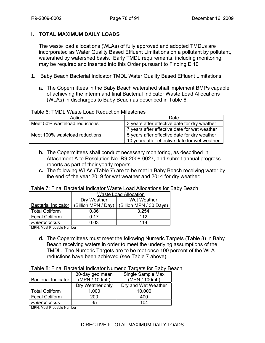## **I. TOTAL MAXIMUM DAILY LOADS**

The waste load allocations (WLAs) of fully approved and adopted TMDLs are incorporated as Water Quality Based Effluent Limitations on a pollutant by pollutant, watershed by watershed basis. Early TMDL requirements, including monitoring, may be required and inserted into this Order pursuant to Finding E.10

- **1.** Baby Beach Bacterial Indicator TMDL Water Quality Based Effluent Limitations
	- **a.** The Copermittees in the Baby Beach watershed shall implement BMPs capable of achieving the interim and final Bacterial Indicator Waste Load Allocations (WLAs) in discharges to Baby Beach as described in Table 6.

## Table 6: TMDL Waste Load Reduction Milestones

| Action                         | Date                                          |
|--------------------------------|-----------------------------------------------|
| Meet 50% wasteload reductions  | 3 years after effective date for dry weather  |
|                                | 7 years after effective date for wet weather  |
| Meet 100% wasteload reductions | 5 years after effective date for dry weather  |
|                                | 10 years after effective date for wet weather |

- **b.** The Copermittees shall conduct necessary monitoring, as described in Attachment A to Resolution No. R9-2008-0027, and submit annual progress reports as part of their yearly reports.
- **c.** The following WLAs (Table 7) are to be met in Baby Beach receiving water by the end of the year 2019 for wet weather and 2014 for dry weather:

| Table 7: Final Bacterial Indicator Waste Load Allocations for Baby Beach |  |
|--------------------------------------------------------------------------|--|
|--------------------------------------------------------------------------|--|

|                            | <b>Waste Load Allocation</b> |                        |
|----------------------------|------------------------------|------------------------|
|                            | Dry Weather                  | Wet Weather            |
| <b>Bacterial Indicator</b> | (Billion MPN / Day)          | Billion MPN / 30 Days) |
| <b>Total Coliform</b>      | 0.86                         | 3,254                  |
| <b>Fecal Coliform</b>      | 0.17                         | 112                    |
| Enterococcus               | 0.03                         | 114                    |

MPN: Most Probable Number

**d.** The Copermittees must meet the following Numeric Targets (Table 8) in Baby Beach receiving waters in order to meet the underlying assumptions of the TMDL. The Numeric Targets are to be met once 100 percent of the WLA reductions have been achieved (see Table 7 above).

#### Table 8: Final Bacterial Indicator Numeric Targets for Baby Beach

|                            | 30-day geo mean  | Single Sample Max   |
|----------------------------|------------------|---------------------|
| <b>Bacterial Indicator</b> | (MPN / 100mL)    | (MPN / 100mL)       |
|                            | Dry Weather only | Dry and Wet Weather |
| <b>Total Coliform</b>      | 1,000            | 10,000              |
| <b>Fecal Coliform</b>      | 200              | 400                 |
| Enterococcus               | 35               | 104                 |

MPN: Most Probable Number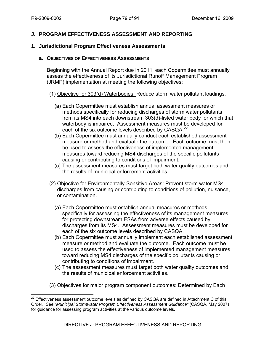## **J. PROGRAM EFFECTIVENESS ASSESSMENT AND REPORTING**

#### **1. Jurisdictional Program Effectiveness Assessments**

#### **a. OBJECTIVES OF EFFECTIVENESS ASSESSMENTS**

Beginning with the Annual Report due in 2011, each Copermittee must annually assess the effectiveness of its Jurisdictional Runoff Management Program (JRMP) implementation at meeting the following objectives:

#### (1) Objective for 303(d) Waterbodies: Reduce storm water pollutant loadings.

- (a) Each Copermittee must establish annual assessment measures or methods specifically for reducing discharges of storm water pollutants from its MS4 into each downstream 303(d)-listed water body for which that waterbody is impaired. Assessment measures must be developed for each of the six outcome levels described by CASQA.<sup>22</sup>
- (b) Each Copermittee must annually conduct each established assessment measure or method and evaluate the outcome. Each outcome must then be used to assess the effectiveness of implemented management measures toward reducing MS4 discharges of the specific pollutants causing or contributing to conditions of impairment.
- (c) The assessment measures must target both water quality outcomes and the results of municipal enforcement activities.
- (2) Objective for Environmentally-Sensitive Areas: Prevent storm water MS4 discharges from causing or contributing to conditions of pollution, nuisance, or contamination.
	- (a) Each Copermittee must establish annual measures or methods specifically for assessing the effectiveness of its management measures for protecting downstream ESAs from adverse effects caused by discharges from its MS4. Assessment measures must be developed for each of the six outcome levels described by CASQA.
	- (b) Each Copermittee must annually implement each established assessment measure or method and evaluate the outcome. Each outcome must be used to assess the effectiveness of implemented management measures toward reducing MS4 discharges of the specific pollutants causing or contributing to conditions of impairment.
	- (c) The assessment measures must target both water quality outcomes and the results of municipal enforcement activities.
- (3) Objectives for major program component outcomes: Determined by Each

 $\overline{a}$  $22$  Effectiveness assessment outcome levels as defined by CASQA are defined in Attachment C of this Order. See "*Municipal Stormwater Program Effectiveness Assessment Guidance"* (CASQA, May 2007) for guidance for assessing program activities at the various outcome levels.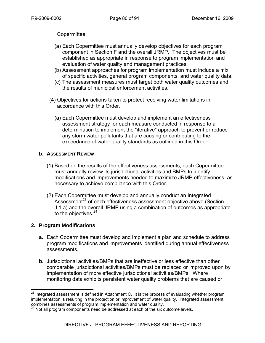Copermittee.

- (a) Each Copermittee must annually develop objectives for each program component in Section F and the overall JRMP. The objectives must be established as appropriate in response to program implementation and evaluation of water quality and management practices.
- (b) Assessment approaches for program implementation must include a mix of specific activities, general program components, and water quality data.
- (c) The assessment measures must target both water quality outcomes and the results of municipal enforcement activities.
- (4) Objectives for actions taken to protect receiving water limitations in accordance with this Order.
	- (a) Each Copermittee must develop and implement an effectiveness assessment strategy for each measure conducted in response to a determination to implement the "iterative" approach to prevent or reduce any storm water pollutants that are causing or contributing to the exceedance of water quality standards as outlined in this Order

## **b. ASSESSMENT REVIEW**

- (1) Based on the results of the effectiveness assessments, each Copermittee must annually review its jurisdictional activities and BMPs to identify modifications and improvements needed to maximize JRMP effectiveness, as necessary to achieve compliance with this Order.
- (2) Each Copermittee must develop and annually conduct an Integrated Assessment<sup>23</sup> of each effectiveness assessment objective above (Section J.1.a) and the overall JRMP using a combination of outcomes as appropriate to the objectives.<sup>24</sup>

# **2. Program Modifications**

- **a.** Each Copermittee must develop and implement a plan and schedule to address program modifications and improvements identified during annual effectiveness assessments.
- **b.** Jurisdictional activities/BMPs that are ineffective or less effective than other comparable jurisdictional activities/BMPs must be replaced or improved upon by implementation of more effective jurisdictional activities/BMPs. Where monitoring data exhibits persistent water quality problems that are caused or

<sup>1</sup>  $^{23}$  Integrated assessment is defined in Attachment C. It is the process of evaluating whether program implementation is resulting in the protection or improvement of water quality. Integrated assessment combines assessments of program implementation and water quality.

 $24$  Not all program components need be addressed at each of the six outcome levels.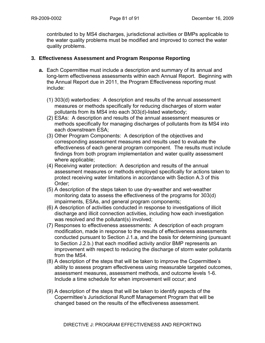contributed to by MS4 discharges, jurisdictional activities or BMPs applicable to the water quality problems must be modified and improved to correct the water quality problems.

## **3. Effectiveness Assessment and Program Response Reporting**

- **a.** Each Copermittee must include a description and summary of its annual and long-term effectiveness assessments within each Annual Report. Beginning with the Annual Report due in 2011, the Program Effectiveness reporting must include:
	- (1) 303(d) waterbodies: A description and results of the annual assessment measures or methods specifically for reducing discharges of storm water pollutants from its MS4 into each 303(d)-listed waterbody;
	- (2) ESAs: A description and results of the annual assessment measures or methods specifically for managing discharges of pollutants from its MS4 into each downstream ESA;
	- (3) Other Program Components: A description of the objectives and corresponding assessment measures and results used to evaluate the effectiveness of each general program component. The results must include findings from both program implementation and water quality assessment where applicable;
	- (4) Receiving water protection: A description and results of the annual assessment measures or methods employed specifically for actions taken to protect receiving water limitations in accordance with Section A.3 of this Order;
	- (5) A description of the steps taken to use dry-weather and wet-weather monitoring data to assess the effectiveness of the programs for 303(d) impairments, ESAs, and general program components;
	- (6) A description of activities conducted in response to investigations of illicit discharge and illicit connection activities, including how each investigation was resolved and the pollutant(s) involved;
	- (7) Responses to effectiveness assessments: A description of each program modification, made in response to the results of effectiveness assessments conducted pursuant to Section J.1.a, and the basis for determining (pursuant to Section J.2.b.) that each modified activity and/or BMP represents an improvement with respect to reducing the discharge of storm water pollutants from the MS4.
	- (8) A description of the steps that will be taken to improve the Copermittee's ability to assess program effectiveness using measurable targeted outcomes, assessment measures, assessment methods, and outcome levels 1-6. Include a time schedule for when improvement will occur; and
	- (9) A description of the steps that will be taken to identify aspects of the Copermittee's Jurisdictional Runoff Management Program that will be changed based on the results of the effectiveness assessment.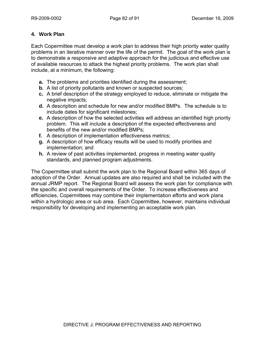# **4. Work Plan**

Each Copermittee must develop a work plan to address their high priority water quality problems in an iterative manner over the life of the permit. The goal of the work plan is to demonstrate a responsive and adaptive approach for the judicious and effective use of available resources to attack the highest priority problems. The work plan shall include, at a minimum, the following:

- **a.** The problems and priorities identified during the assessment;
- **b.** A list of priority pollutants and known or suspected sources;
- **c.** A brief description of the strategy employed to reduce, eliminate or mitigate the negative impacts;
- **d.** A description and schedule for new and/or modified BMPs. The schedule is to include dates for significant milestones;
- **e.** A description of how the selected activities will address an identified high priority problem. This will include a description of the expected effectiveness and benefits of the new and/or modified BMPs;
- **f.** A description of implementation effectiveness metrics;
- **g.** A description of how efficacy results will be used to modify priorities and implementation; and
- **h.** A review of past activities implemented, progress in meeting water quality standards, and planned program adjustments.

The Copermittee shall submit the work plan to the Regional Board within 365 days of adoption of the Order. Annual updates are also required and shall be included with the annual JRMP report. The Regional Board will assess the work plan for compliance with the specific and overall requirements of the Order. To increase effectiveness and efficiencies, Copermittees may combine their implementation efforts and work plans within a hydrologic area or sub area. Each Copermittee, however, maintains individual responsibility for developing and implementing an acceptable work plan.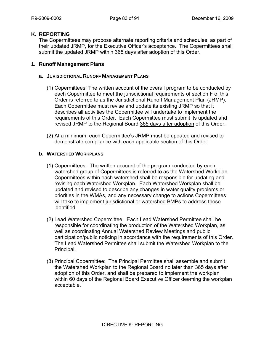## **K. REPORTING**

The Copermittees may propose alternate reporting criteria and schedules, as part of their updated JRMP, for the Executive Officer's acceptance. The Copermittees shall submit the updated JRMP within 365 days after adoption of this Order.

## **1. Runoff Management Plans**

## **a. JURISDICTIONAL RUNOFF MANAGEMENT PLANS**

- (1) Copermittees: The written account of the overall program to be conducted by each Copermittee to meet the jurisdictional requirements of section F of this Order is referred to as the Jurisdictional Runoff Management Plan (JRMP). Each Copermittee must revise and update its existing JRMP so that it describes all activities the Copermittee will undertake to implement the requirements of this Order. Each Copermittee must submit its updated and revised JRMP to the Regional Board 365 days after adoption of this Order.
- (2) At a minimum, each Copermittee's JRMP must be updated and revised to demonstrate compliance with each applicable section of this Order.

## **b. WATERSHED WORKPLANS**

- (1) Copermittees: The written account of the program conducted by each watershed group of Copermittees is referred to as the Watershed Workplan. Copermittees within each watershed shall be responsible for updating and revising each Watershed Workplan. Each Watershed Workplan shall be updated and revised to describe any changes in water quality problems or priorities in the WMAs, and any necessary change to actions Copermittees will take to implement jurisdictional or watershed BMPs to address those identified.
- (2) Lead Watershed Copermittee: Each Lead Watershed Permittee shall be responsible for coordinating the production of the Watershed Workplan, as well as coordinating Annual Watershed Review Meetings and public participation/public noticing in accordance with the requirements of this Order. The Lead Watershed Permittee shall submit the Watershed Workplan to the Principal.
- (3) Principal Copermittee: The Principal Permittee shall assemble and submit the Watershed Workplan to the Regional Board no later than 365 days after adoption of this Order, and shall be prepared to implement the workplan within 60 days of the Regional Board Executive Officer deeming the workplan acceptable.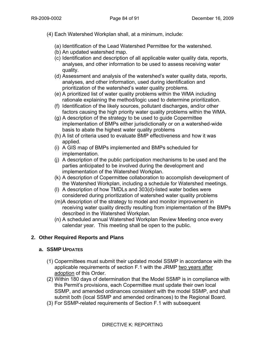- (4) Each Watershed Workplan shall, at a minimum, include:
	- (a) Identification of the Lead Watershed Permittee for the watershed.
	- (b) An updated watershed map.
	- (c) Identification and description of all applicable water quality data, reports, analyses, and other information to be used to assess receiving water quality.
	- (d) Assessment and analysis of the watershed's water quality data, reports, analyses, and other information, used during identification and prioritization of the watershed's water quality problems.
	- (e) A prioritized list of water quality problems within the WMA including rationale explaining the method/logic used to determine prioritization.
	- (f) Identification of the likely sources, pollutant discharges, and/or other factors causing the high priority water quality problems within the WMA.
	- (g) A description of the strategy to be used to guide Copermittee implementation of BMPs either jurisdictionally or on a watershed-wide basis to abate the highest water quality problems
	- (h) A list of criteria used to evaluate BMP effectiveness and how it was applied.
	- (i) A GIS map of BMPs implemented and BMPs scheduled for implementation.
	- (j) A description of the public participation mechanisms to be used and the parties anticipated to be involved during the development and implementation of the Watershed Workplan.
	- (k) A description of Copermittee collaboration to accomplish development of the Watershed Workplan, including a schedule for Watershed meetings.
	- (l) A description of how TMDLs and 303(d)-listed water bodies were considered during prioritization of watershed water quality problems
	- (m)A description of the strategy to model and monitor improvement in receiving water quality directly resulting from implementation of the BMPs described in the Watershed Workplan.
	- (n) A scheduled annual Watershed Workplan Review Meeting once every calendar year. This meeting shall be open to the public.

# **2. Other Required Reports and Plans**

## **a. SSMP UPDATES**

- (1) Copermittees must submit their updated model SSMP in accordance with the applicable requirements of section F.1 with the JRMP two years after adoption of this Order.
- (2) Within 180 days of determination that the Model SSMP is in compliance with this Permit's provisions, each Copermittee must update their own local SSMP, and amended ordinances consistent with the model SSMP, and shall submit both (local SSMP and amended ordinances) to the Regional Board.
- (3) For SSMP-related requirements of Section F.1 with subsequent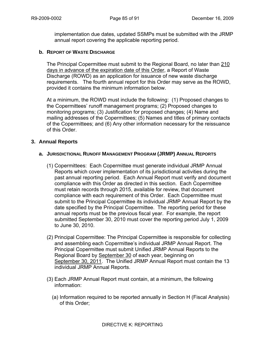implementation due dates, updated SSMPs must be submitted with the JRMP annual report covering the applicable reporting period.

#### **b. REPORT OF WASTE DISCHARGE**

The Principal Copermittee must submit to the Regional Board, no later than 210 days in advance of the expiration date of this Order, a Report of Waste Discharge (ROWD) as an application for issuance of new waste discharge requirements. The fourth annual report for this Order may serve as the ROWD, provided it contains the minimum information below.

At a minimum, the ROWD must include the following: (1) Proposed changes to the Copermittees' runoff management programs; (2) Proposed changes to monitoring programs; (3) Justification for proposed changes; (4) Name and mailing addresses of the Copermittees; (5) Names and titles of primary contacts of the Copermittees; and (6) Any other information necessary for the reissuance of this Order.

#### **3. Annual Reports**

#### **a. JURISDICTIONAL RUNOFF MANAGEMENT PROGRAM (JRMP) ANNUAL REPORTS**

- (1) Copermittees: Each Copermittee must generate individual JRMP Annual Reports which cover implementation of its jurisdictional activities during the past annual reporting period. Each Annual Report must verify and document compliance with this Order as directed in this section. Each Copermittee must retain records through 2015, available for review, that document compliance with each requirement of this Order. Each Copermittee must submit to the Principal Copermittee its individual JRMP Annual Report by the date specified by the Principal Copermittee. The reporting period for these annual reports must be the previous fiscal year. For example, the report submitted September 30, 2010 must cover the reporting period July 1, 2009 to June 30, 2010.
- (2) Principal Copermittee: The Principal Copermittee is responsible for collecting and assembling each Copermittee's individual JRMP Annual Report. The Principal Copermittee must submit Unified JRMP Annual Reports to the Regional Board by September 30 of each year, beginning on September 30, 2011. The Unified JRMP Annual Report must contain the 13 individual JRMP Annual Reports.
- (3) Each JRMP Annual Report must contain, at a minimum, the following information:
	- (a) Information required to be reported annually in Section H (Fiscal Analysis) of this Order;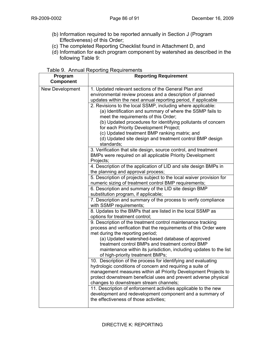- (b) Information required to be reported annually in Section J (Program Effectiveness) of this Order;
- (c) The completed Reporting Checklist found in Attachment D, and
- (d) Information for each program component by watershed as described in the following Table 9:

| Table 9. Annual Reporting Requirements |
|----------------------------------------|
|----------------------------------------|

| Program<br><b>Component</b> | <b>Reporting Requirement</b>                                                                                                                                                                                                                                                                                                                                                                          |
|-----------------------------|-------------------------------------------------------------------------------------------------------------------------------------------------------------------------------------------------------------------------------------------------------------------------------------------------------------------------------------------------------------------------------------------------------|
| <b>New Development</b>      | 1. Updated relevant sections of the General Plan and<br>environmental review process and a description of planned<br>updates within the next annual reporting period, if applicable                                                                                                                                                                                                                   |
|                             | 2. Revisions to the local SSMP, including where applicable:<br>(a) Identification and summary of where the SSMP fails to<br>meet the requirements of this Order;<br>(b) Updated procedures for identifying pollutants of concern<br>for each Priority Development Project;<br>(c) Updated treatment BMP ranking matrix; and<br>(d) Updated site design and treatment control BMP design<br>standards; |
|                             | 3. Verification that site design, source control, and treatment<br>BMPs were required on all applicable Priority Development<br>Projects;                                                                                                                                                                                                                                                             |
|                             | 4. Description of the application of LID and site design BMPs in<br>the planning and approval process;                                                                                                                                                                                                                                                                                                |
|                             | 5. Description of projects subject to the local waiver provision for<br>numeric sizing of treatment control BMP requirements;                                                                                                                                                                                                                                                                         |
|                             | 6. Description and summary of the LID site design BMP<br>substitution program, if applicable;                                                                                                                                                                                                                                                                                                         |
|                             | 7. Description and summary of the process to verify compliance<br>with SSMP requirements;                                                                                                                                                                                                                                                                                                             |
|                             | 8. Updates to the BMPs that are listed in the local SSMP as<br>options for treatment control;                                                                                                                                                                                                                                                                                                         |
|                             | 9. Description of the treatment control maintenance tracking<br>process and verification that the requirements of this Order were<br>met during the reporting period;<br>(a) Updated watershed-based database of approved                                                                                                                                                                             |
|                             | treatment control BMPs and treatment control BMP<br>maintenance within its jurisdiction, including updates to the list<br>of high-priority treatment BMPs;                                                                                                                                                                                                                                            |
|                             | 10. Description of the process for identifying and evaluating<br>hvdrologic conditions of concern and requiring a suite of<br>management measures within all Priority Development Projects to<br>protect downstream beneficial uses and prevent adverse physical<br>changes to downstream stream channels;                                                                                            |
|                             | 11. Description of enforcement activities applicable to the new<br>development and redevelopment component and a summary of<br>the effectiveness of those activities;                                                                                                                                                                                                                                 |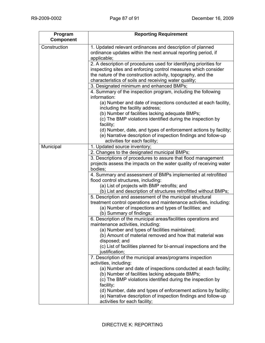| Program<br><b>Component</b> | <b>Reporting Requirement</b>                                                                                                                                      |
|-----------------------------|-------------------------------------------------------------------------------------------------------------------------------------------------------------------|
| Construction                | 1. Updated relevant ordinances and description of planned<br>ordinance updates within the next annual reporting period, if<br>applicable;                         |
|                             | 2. A description of procedures used for identifying priorities for                                                                                                |
|                             | inspecting sites and enforcing control measures which consider                                                                                                    |
|                             | the nature of the construction activity, topography, and the                                                                                                      |
|                             | characteristics of soils and receiving water quality;                                                                                                             |
|                             | 3. Designated minimum and enhanced BMPs;                                                                                                                          |
|                             | 4. Summary of the inspection program, including the following<br>information:                                                                                     |
|                             | (a) Number and date of inspections conducted at each facility,<br>including the facility address;                                                                 |
|                             | (b) Number of facilities lacking adequate BMPs;                                                                                                                   |
|                             | (c) The BMP violations identified during the inspection by<br>facility;                                                                                           |
|                             | (d) Number, date, and types of enforcement actions by facility;                                                                                                   |
|                             | (e) Narrative description of inspection findings and follow-up<br>activities for each facility;                                                                   |
| Municipal                   | 1. Updated source inventory;                                                                                                                                      |
|                             | 2. Changes to the designated municipal BMPs;                                                                                                                      |
|                             | 3. Descriptions of procedures to assure that flood management<br>projects assess the impacts on the water quality of receiving water<br>bodies;                   |
|                             | 4. Summary and assessment of BMPs implemented at retrofitted<br>flood control structures, including:                                                              |
|                             | (a) List of projects with BMP retrofits; and                                                                                                                      |
|                             | (b) List and description of structures retrofitted without BMPs;                                                                                                  |
|                             | 5. Description and assessment of the municipal structural                                                                                                         |
|                             | treatment control operations and maintenance activities, including:<br>(a) Number of inspections and types of facilities; and<br>(b) Summary of findings;         |
|                             | 6. Description of the municipal areas/facilities operations and<br>maintenance activities, including:                                                             |
|                             | (a) Number and types of facilities maintained;<br>(b) Amount of material removed and how that material was                                                        |
|                             | disposed; and<br>(c) List of facilities planned for bi-annual inspections and the<br>justification;                                                               |
|                             | 7. Description of the municipal areas/programs inspection                                                                                                         |
|                             | activities, including:                                                                                                                                            |
|                             | (a) Number and date of inspections conducted at each facility;<br>(b) Number of facilities lacking adequate BMPs;                                                 |
|                             | (c) The BMP violations identified during the inspection by<br>facility;                                                                                           |
|                             | (d) Number, date and types of enforcement actions by facility;<br>(e) Narrative description of inspection findings and follow-up<br>activities for each facility; |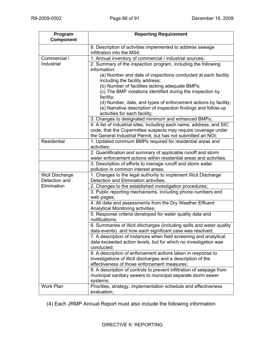| Program                  | <b>Reporting Requirement</b>                                                                                                         |
|--------------------------|--------------------------------------------------------------------------------------------------------------------------------------|
| <b>Component</b>         |                                                                                                                                      |
|                          | 8. Description of activities implemented to address sewage                                                                           |
|                          | infiltration into the MS4;                                                                                                           |
| Commercial /             | 1. Annual inventory of commercial / industrial sources;                                                                              |
| Industrial               | 2. Summary of the inspection program, including the following                                                                        |
|                          | information:                                                                                                                         |
|                          | (a) Number and date of inspections conducted at each facility                                                                        |
|                          | including the facility address;                                                                                                      |
|                          | (b) Number of facilities lacking adequate BMPs;                                                                                      |
|                          | (c) The BMP violations identified during the inspection by                                                                           |
|                          | facility;                                                                                                                            |
|                          | (d) Number, date, and types of enforcement actions by facility;                                                                      |
|                          | (e) Narrative description of inspection findings and follow-up<br>activities for each facility;                                      |
|                          | 3. Changes to designated minimum and enhanced BMPs;                                                                                  |
|                          | 4. A list of industrial sites, including each name, address, and SIC                                                                 |
|                          | code, that the Copermittee suspects may require coverage under                                                                       |
|                          | the General Industrial Permit, but has not submitted an NOI;                                                                         |
| Residential              | 1. Updated minimum BMPs required for residential areas and                                                                           |
|                          | activities;                                                                                                                          |
|                          | 2. Quantification and summary of applicable runoff and storm                                                                         |
|                          | water enforcement actions within residential areas and activities;                                                                   |
|                          | 3. Description of efforts to manage runoff and storm water                                                                           |
|                          | pollution in common interest areas;                                                                                                  |
| <b>Illicit Discharge</b> | 1. Changes to the legal authority to implement Illicit Discharge                                                                     |
| Detection and            | Detection and Elimination activities;                                                                                                |
| Elimination              | 2. Changes to the established investigation procedures;                                                                              |
|                          | 3. Public reporting mechanisms, including phone numbers and                                                                          |
|                          | web pages;                                                                                                                           |
|                          | 4. All data and assessments from the Dry Weather Effluent                                                                            |
|                          | Analytical Monitoring activities;                                                                                                    |
|                          | 5. Response criteria developed for water quality data and                                                                            |
|                          | notifications;                                                                                                                       |
|                          | 6. Summaries of illicit discharges (including spills and water quality                                                               |
|                          | data events) and how each significant case was resolved;                                                                             |
|                          | 7. A description of instances when field screening and analytical<br>data exceeded action levels, but for which no investigation was |
|                          | conducted;                                                                                                                           |
|                          | 8. A description of enforcement actions taken in response to                                                                         |
|                          | investigations of illicit discharges and a description of the                                                                        |
|                          | effectiveness of those enforcement measures;                                                                                         |
|                          | 9. A description of controls to prevent infiltration of seepage from                                                                 |
|                          | municipal sanitary sewers to municipal separate storm sewer                                                                          |
|                          | systems;                                                                                                                             |
| Work Plan                | Priorities, strategy, implementation schedule and effectiveness                                                                      |
|                          | evaluation;                                                                                                                          |
|                          |                                                                                                                                      |

(4) Each JRMP Annual Report must also include the following information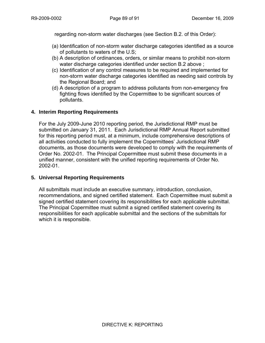regarding non-storm water discharges (see Section B.2. of this Order):

- (a) Identification of non-storm water discharge categories identified as a source of pollutants to waters of the U.S;
- (b) A description of ordinances, orders, or similar means to prohibit non-storm water discharge categories identified under section B.2 above ;
- (c) Identification of any control measures to be required and implemented for non-storm water discharge categories identified as needing said controls by the Regional Board; and
- (d) A description of a program to address pollutants from non-emergency fire fighting flows identified by the Copermittee to be significant sources of pollutants.

## **4. Interim Reporting Requirements**

For the July 2009-June 2010 reporting period, the Jurisdictional RMP must be submitted on January 31, 2011. Each Jurisdictional RMP Annual Report submitted for this reporting period must, at a minimum, include comprehensive descriptions of all activities conducted to fully implement the Copermittees' Jurisdictional RMP documents, as those documents were developed to comply with the requirements of Order No. 2002-01. The Principal Copermittee must submit these documents in a unified manner, consistent with the unified reporting requirements of Order No. 2002-01.

## **5. Universal Reporting Requirements**

All submittals must include an executive summary, introduction, conclusion, recommendations, and signed certified statement. Each Copermittee must submit a signed certified statement covering its responsibilities for each applicable submittal. The Principal Copermittee must submit a signed certified statement covering its responsibilities for each applicable submittal and the sections of the submittals for which it is responsible.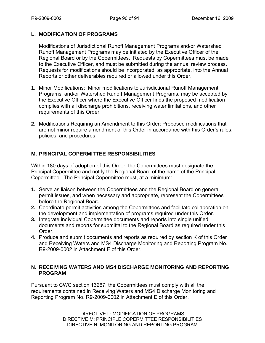## **L. MODIFICATION OF PROGRAMS**

Modifications of Jurisdictional Runoff Management Programs and/or Watershed Runoff Management Programs may be initiated by the Executive Officer of the Regional Board or by the Copermittees. Requests by Copermittees must be made to the Executive Officer, and must be submitted during the annual review process. Requests for modifications should be incorporated, as appropriate, into the Annual Reports or other deliverables required or allowed under this Order.

- **1.** Minor Modifications: Minor modifications to Jurisdictional Runoff Management Programs, and/or Watershed Runoff Management Programs, may be accepted by the Executive Officer where the Executive Officer finds the proposed modification complies with all discharge prohibitions, receiving water limitations, and other requirements of this Order.
- **2.** Modifications Requiring an Amendment to this Order: Proposed modifications that are not minor require amendment of this Order in accordance with this Order's rules, policies, and procedures.

# **M. PRINCIPAL COPERMITTEE RESPONSIBILITIES**

Within 180 days of adoption of this Order, the Copermittees must designate the Principal Copermittee and notify the Regional Board of the name of the Principal Copermittee. The Principal Copermittee must, at a minimum:

- **1.** Serve as liaison between the Copermittees and the Regional Board on general permit issues, and when necessary and appropriate, represent the Copermittees before the Regional Board.
- **2.** Coordinate permit activities among the Copermittees and facilitate collaboration on the development and implementation of programs required under this Order.
- **3.** Integrate individual Copermittee documents and reports into single unified documents and reports for submittal to the Regional Board as required under this Order.
- **4.** Produce and submit documents and reports as required by section K of this Order and Receiving Waters and MS4 Discharge Monitoring and Reporting Program No. R9-2009-0002 in Attachment E of this Order.

# **N. RECEIVING WATERS AND MS4 DISCHARGE MONITORING AND REPORTING PROGRAM**

Pursuant to CWC section 13267, the Copermittees must comply with all the requirements contained in Receiving Waters and MS4 Discharge Monitoring and Reporting Program No. R9-2009-0002 in Attachment E of this Order.

> DIRECTIVE L: MODIFICATION OF PROGRAMS DIRECTIVE M: PRINCIPLE COPERMITTEE RESPONSIBILITIES DIRECTIVE N: MONITORING AND REPORTING PROGRAM